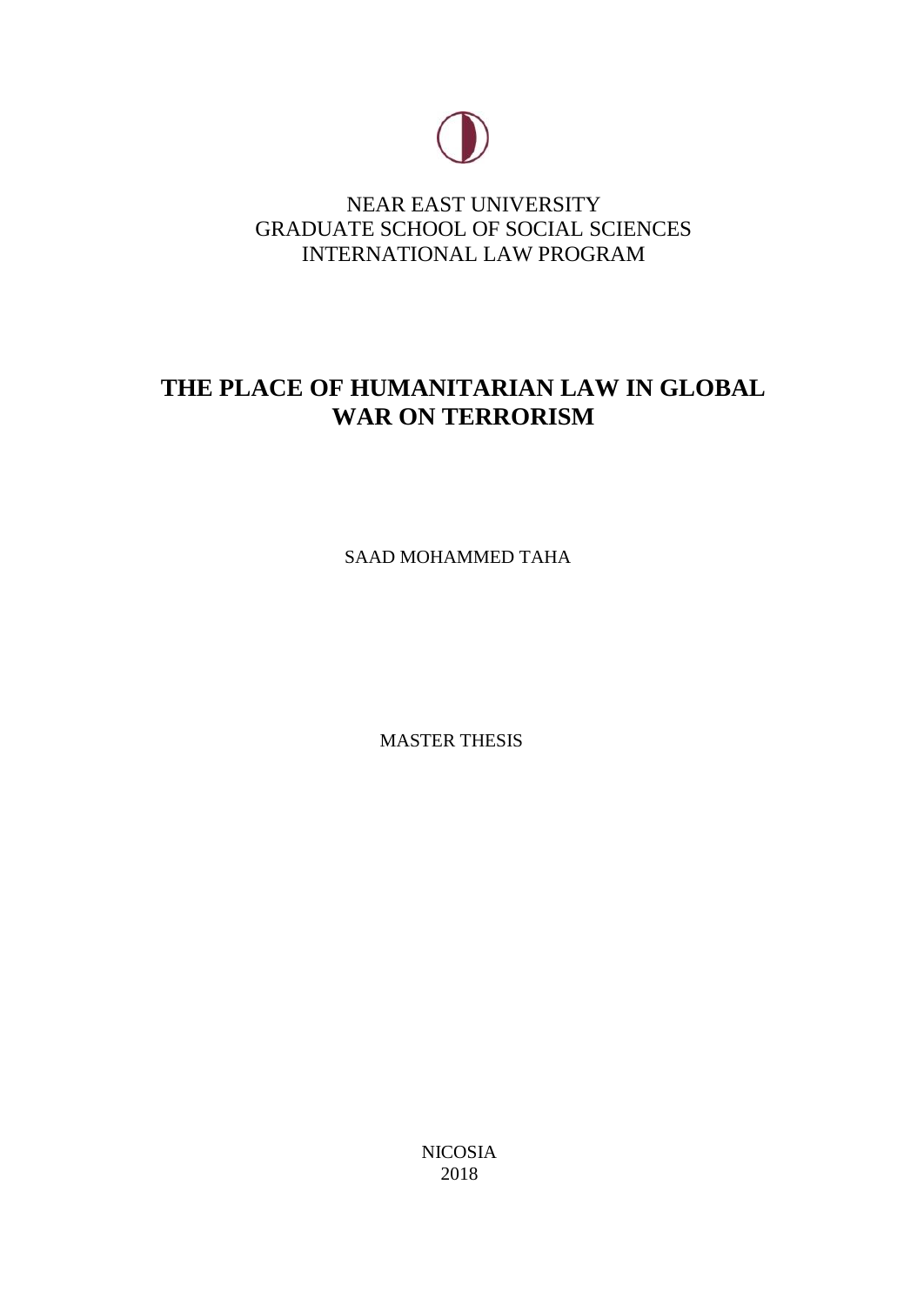

NEAR EAST UNIVERSITY GRADUATE SCHOOL OF SOCIAL SCIENCES INTERNATIONAL LAW PROGRAM

## **THE PLACE OF HUMANITARIAN LAW IN GLOBAL WAR ON TERRORISM**

SAAD MOHAMMED TAHA

MASTER THESIS

NICOSIA 2018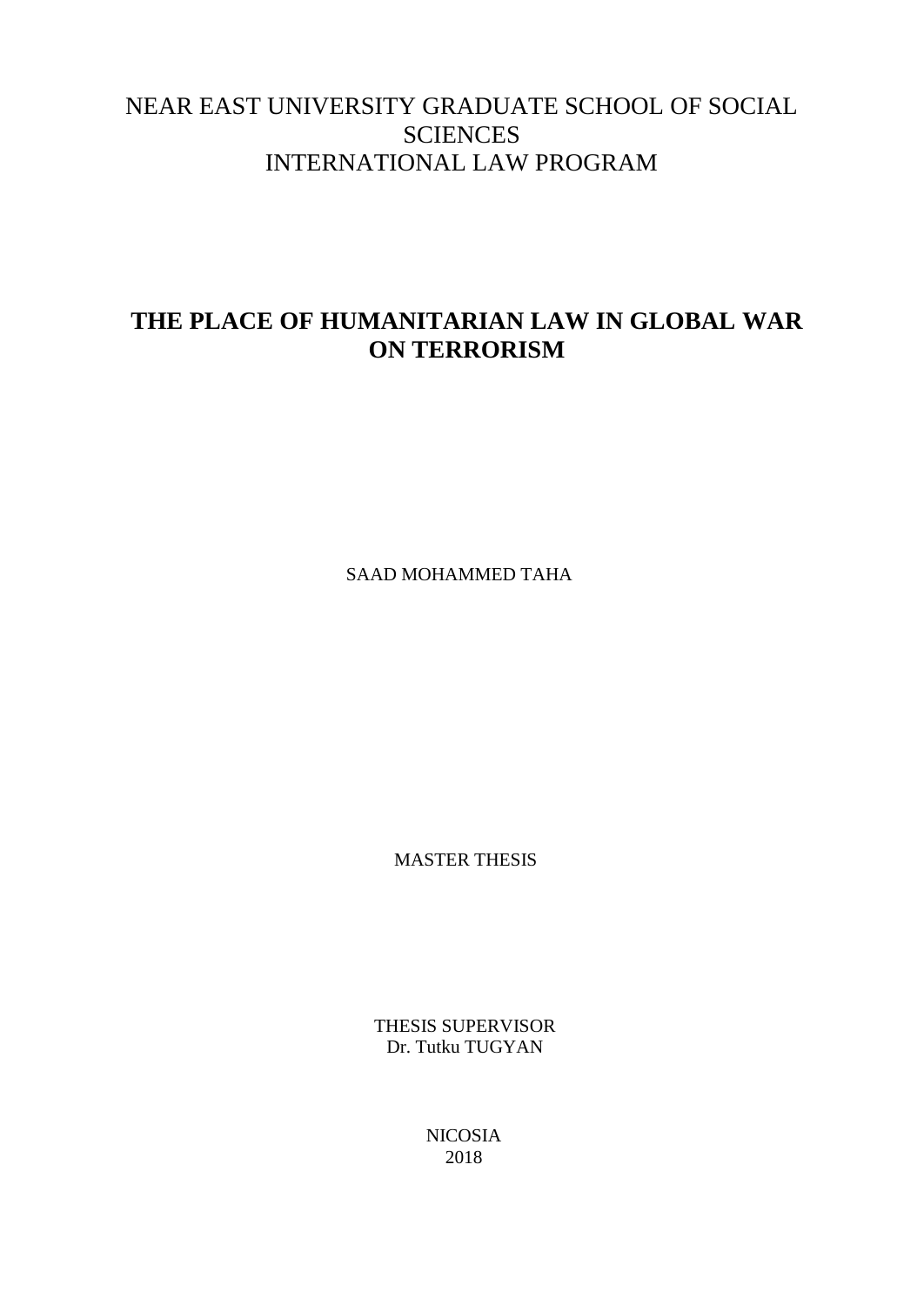## NEAR EAST UNIVERSITY GRADUATE SCHOOL OF SOCIAL **SCIENCES** INTERNATIONAL LAW PROGRAM

## **THE PLACE OF HUMANITARIAN LAW IN GLOBAL WAR ON TERRORISM**

SAAD MOHAMMED TAHA

MASTER THESIS

THESIS SUPERVISOR Dr. Tutku TUGYAN

> NICOSIA 2018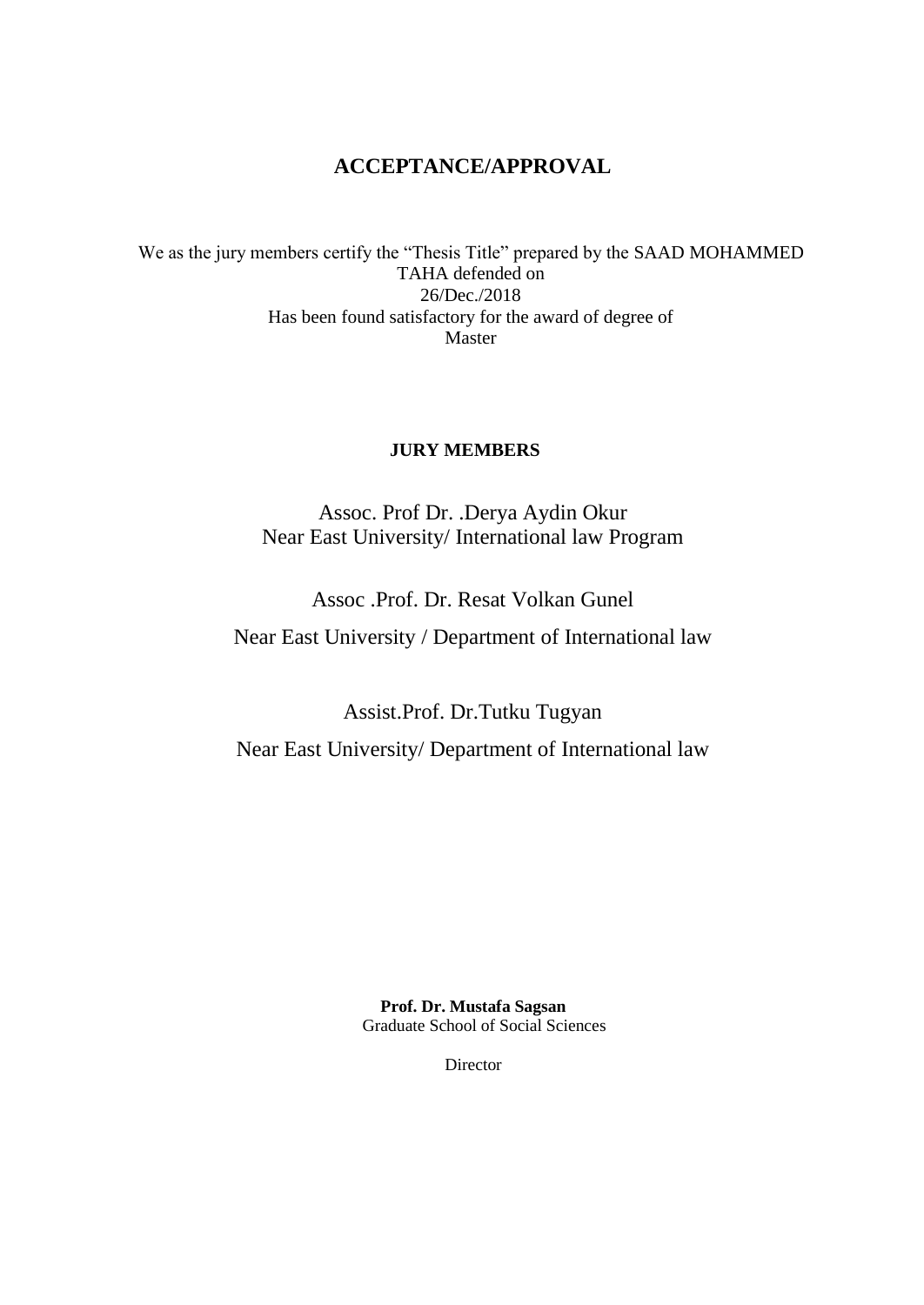## **ACCEPTANCE/APPROVAL**

We as the jury members certify the "Thesis Title" prepared by the SAAD MOHAMMED TAHA defended on 26/Dec./2018 Has been found satisfactory for the award of degree of Master

## **JURY MEMBERS**

Assoc. Prof Dr. .Derya Aydin Okur Near East University/ International law Program

Assoc .Prof. Dr. Resat Volkan Gunel

Near East University / Department of International law

Assist.Prof. Dr.Tutku Tugyan Near East University/ Department of International law

> **Prof. Dr. Mustafa Sagsan** Graduate School of Social Sciences

> > Director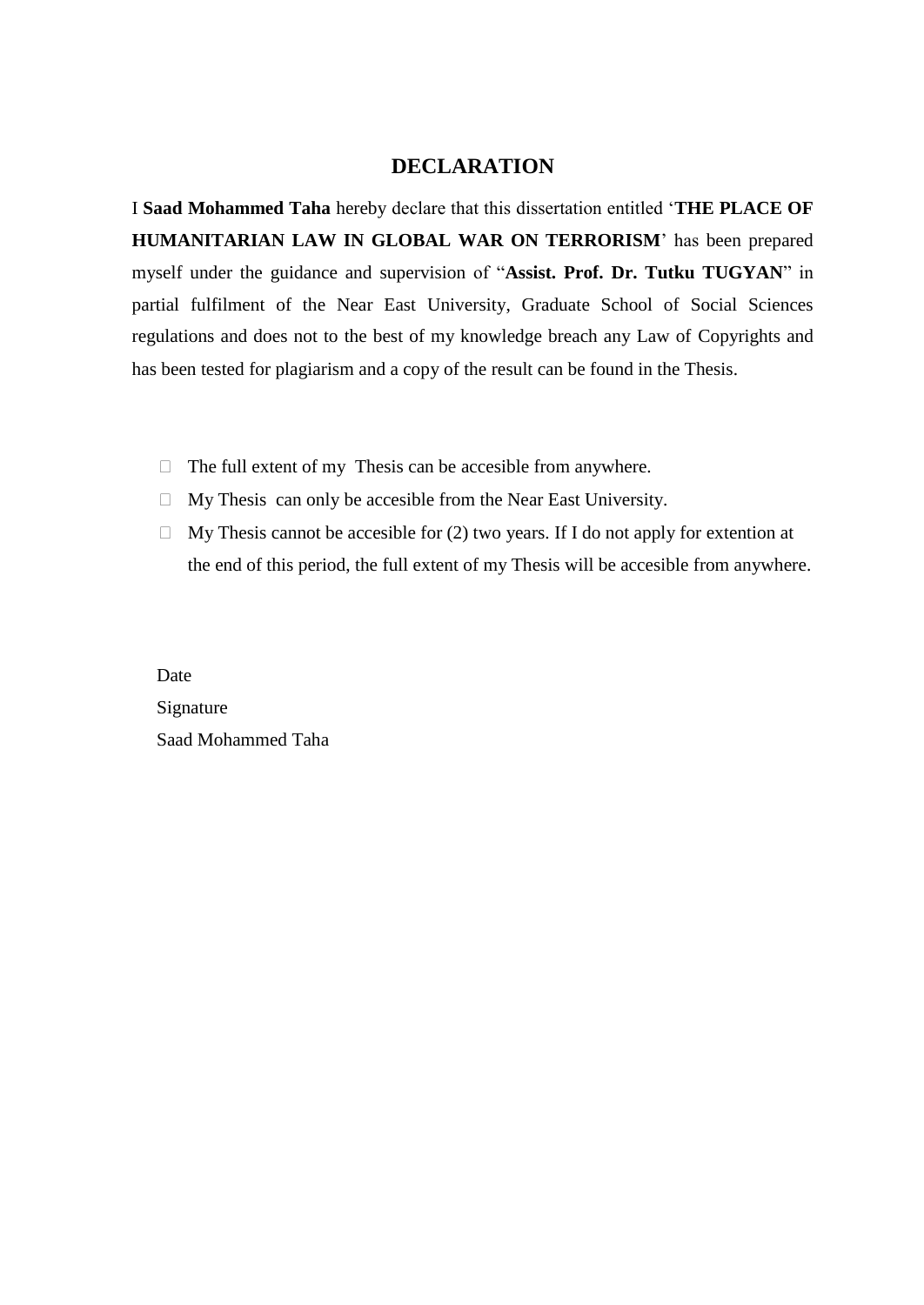## **DECLARATION**

I **Saad Mohammed Taha** hereby declare that this dissertation entitled '**THE PLACE OF HUMANITARIAN LAW IN GLOBAL WAR ON TERRORISM**' has been prepared myself under the guidance and supervision of "**Assist. Prof. Dr. Tutku TUGYAN**" in partial fulfilment of the Near East University, Graduate School of Social Sciences regulations and does not to the best of my knowledge breach any Law of Copyrights and has been tested for plagiarism and a copy of the result can be found in the Thesis.

- $\Box$  The full extent of my Thesis can be accesible from anywhere.
- $\Box$  My Thesis can only be accesible from the Near East University.
- $\Box$  My Thesis cannot be accesible for (2) two years. If I do not apply for extention at the end of this period, the full extent of my Thesis will be accesible from anywhere.

Date Signature Saad Mohammed Taha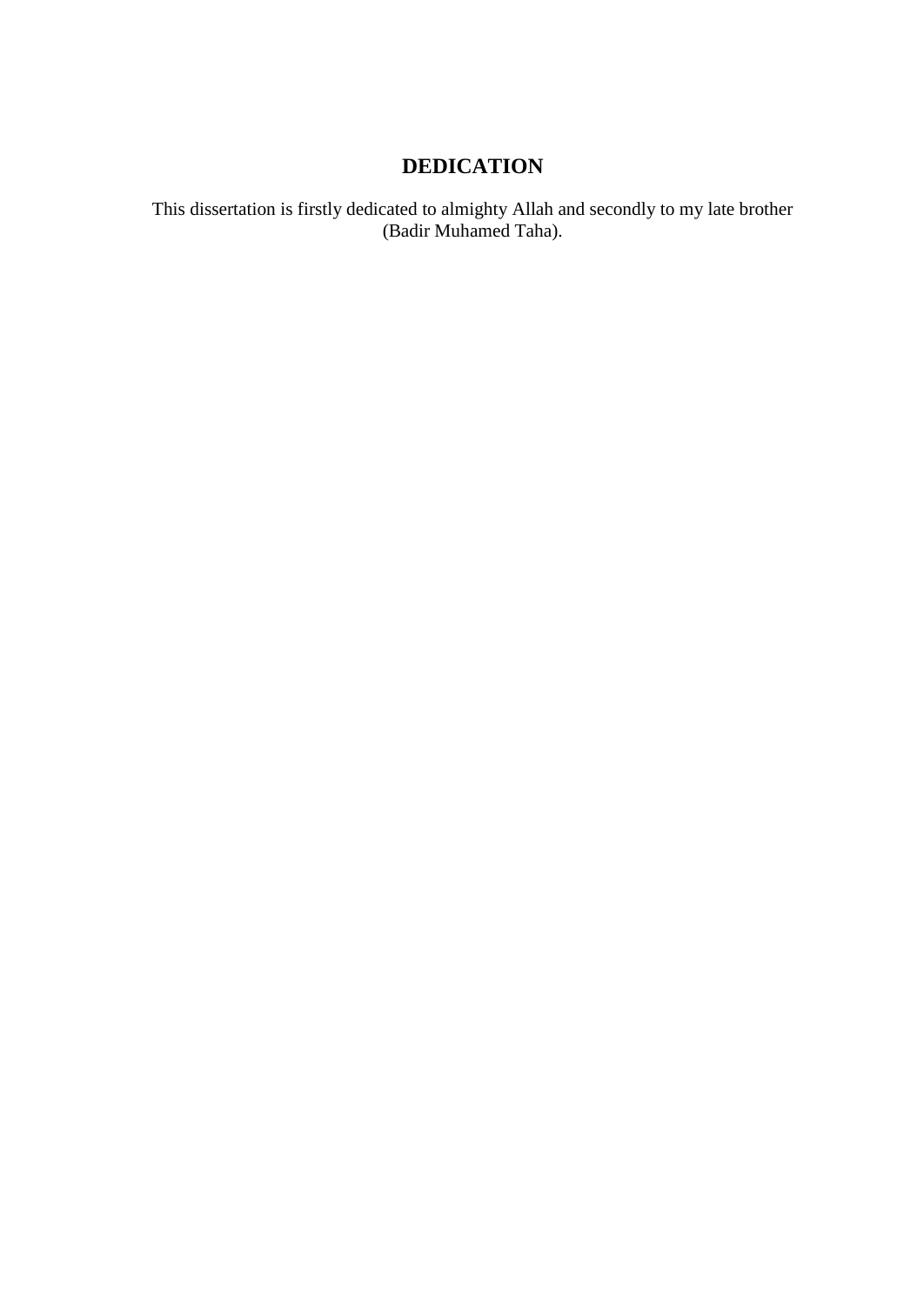## **DEDICATION**

This dissertation is firstly dedicated to almighty Allah and secondly to my late brother (Badir Muhamed Taha).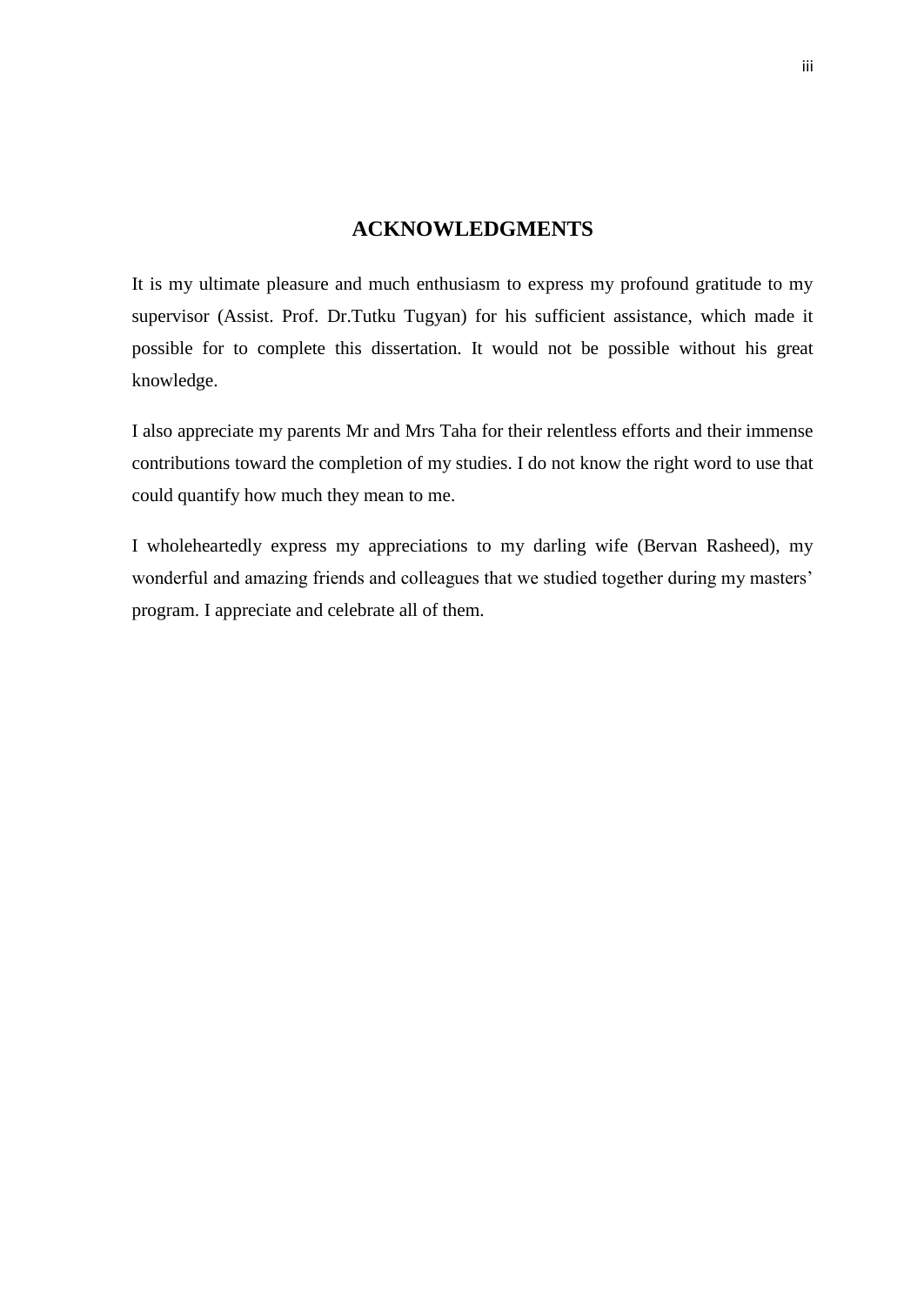## **ACKNOWLEDGMENTS**

<span id="page-5-0"></span>It is my ultimate pleasure and much enthusiasm to express my profound gratitude to my supervisor (Assist. Prof. Dr.Tutku Tugyan) for his sufficient assistance, which made it possible for to complete this dissertation. It would not be possible without his great knowledge.

I also appreciate my parents Mr and Mrs Taha for their relentless efforts and their immense contributions toward the completion of my studies. I do not know the right word to use that could quantify how much they mean to me.

I wholeheartedly express my appreciations to my darling wife (Bervan Rasheed), my wonderful and amazing friends and colleagues that we studied together during my masters' program. I appreciate and celebrate all of them.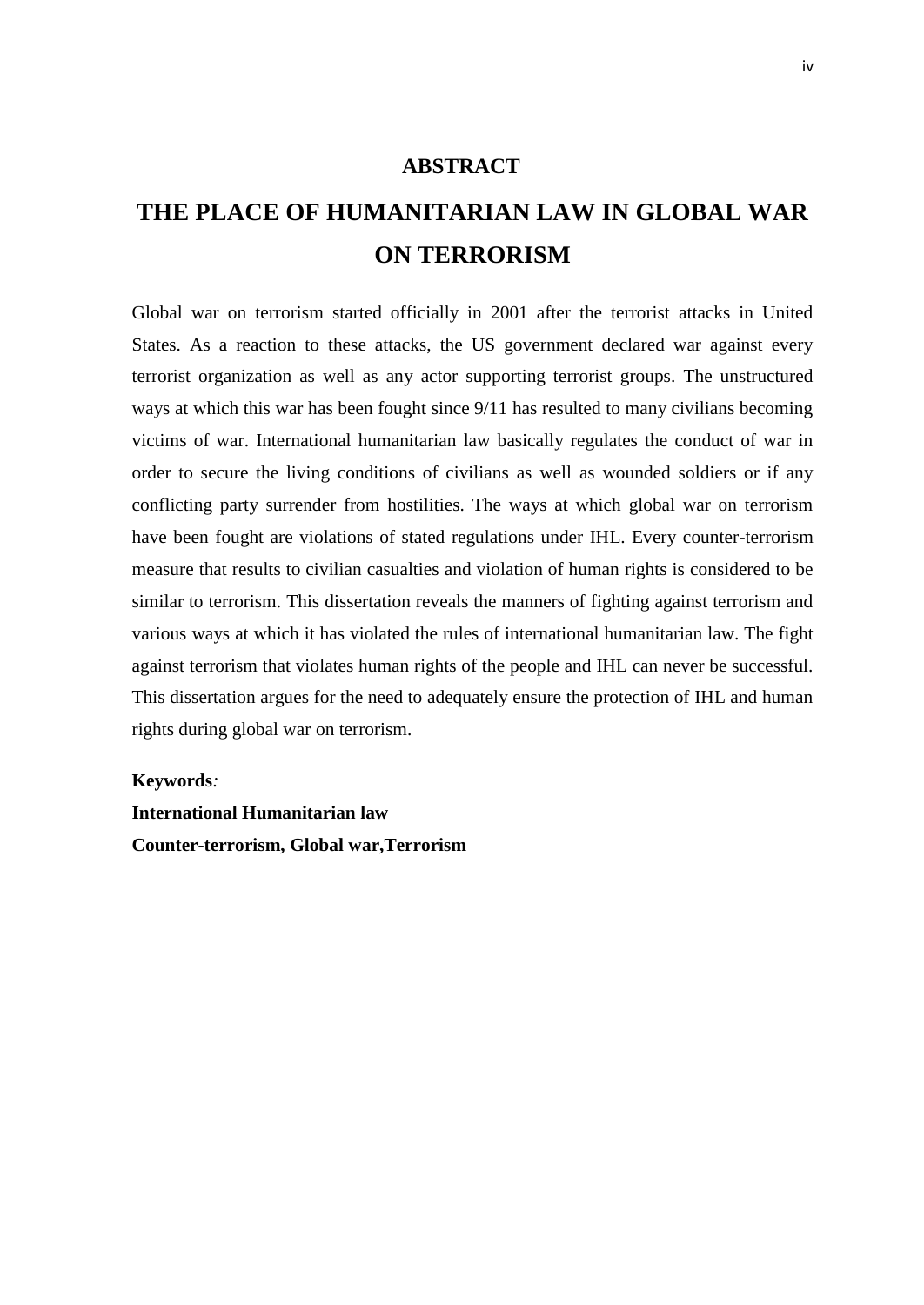## <span id="page-6-0"></span>**ABSTRACT**

# **THE PLACE OF HUMANITARIAN LAW IN GLOBAL WAR ON TERRORISM**

Global war on terrorism started officially in 2001 after the terrorist attacks in United States. As a reaction to these attacks, the US government declared war against every terrorist organization as well as any actor supporting terrorist groups. The unstructured ways at which this war has been fought since 9/11 has resulted to many civilians becoming victims of war. International humanitarian law basically regulates the conduct of war in order to secure the living conditions of civilians as well as wounded soldiers or if any conflicting party surrender from hostilities. The ways at which global war on terrorism have been fought are violations of stated regulations under IHL. Every counter-terrorism measure that results to civilian casualties and violation of human rights is considered to be similar to terrorism. This dissertation reveals the manners of fighting against terrorism and various ways at which it has violated the rules of international humanitarian law. The fight against terrorism that violates human rights of the people and IHL can never be successful. This dissertation argues for the need to adequately ensure the protection of IHL and human rights during global war on terrorism.

#### **Keywords***:*

**International Humanitarian law Counter-terrorism, Global war,Terrorism**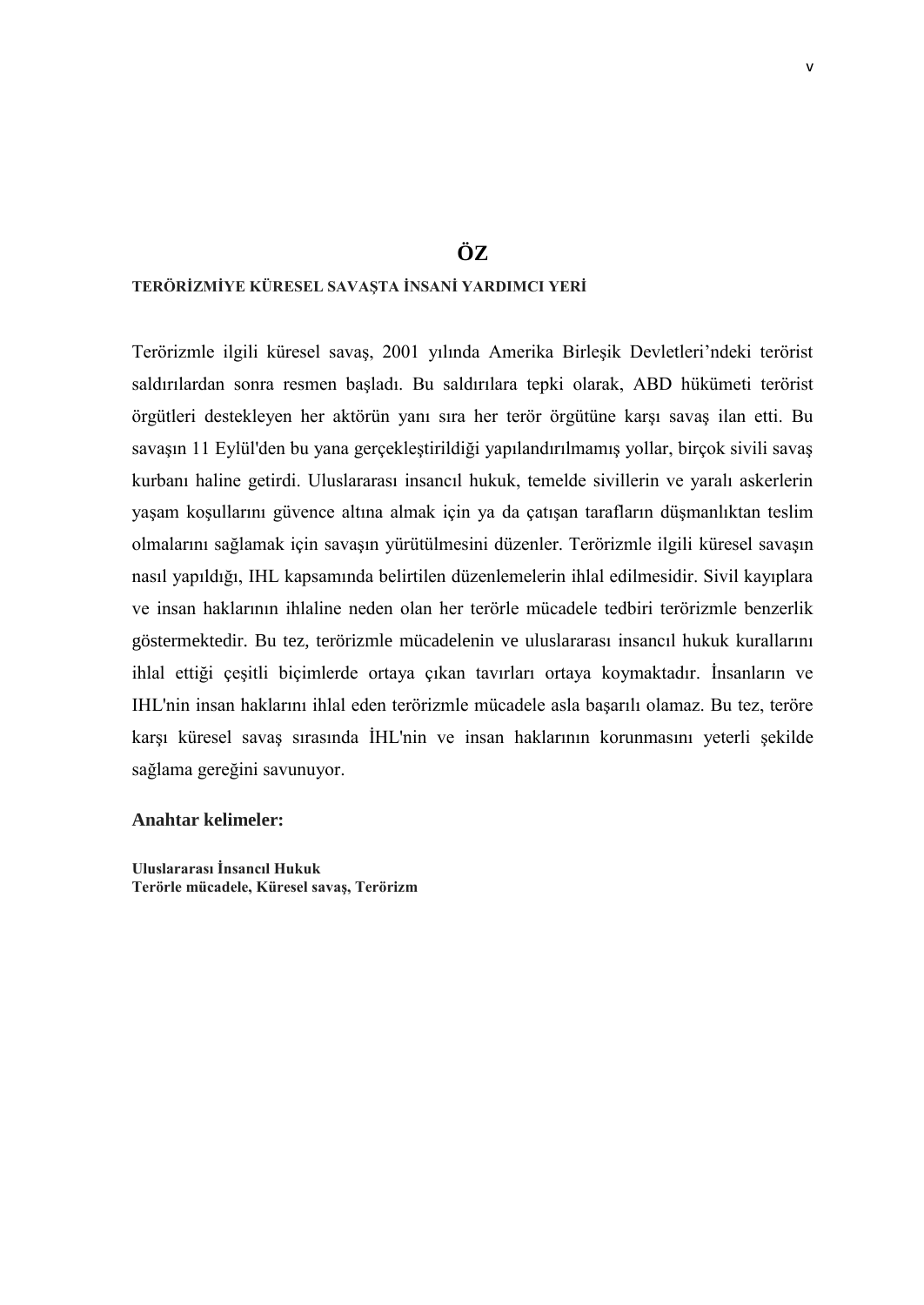## **ÖZ**

## <span id="page-7-0"></span>**TERÖRİZMİYE KÜRESEL SAVAŞTA İNSANİ YARDIMCI YERİ**

Terörizmle ilgili küresel savaş, 2001 yılında Amerika Birleşik Devletleri'ndeki terörist saldırılardan sonra resmen başladı. Bu saldırılara tepki olarak, ABD hükümeti terörist örgütleri destekleyen her aktörün yanı sıra her terör örgütüne karşı savaş ilan etti. Bu savaşın 11 Eylül'den bu yana gerçekleştirildiği yapılandırılmamış yollar, birçok sivili savaş kurbanı haline getirdi. Uluslararası insancıl hukuk, temelde sivillerin ve yaralı askerlerin yaşam koşullarını güvence altına almak için ya da çatışan tarafların düşmanlıktan teslim olmalarını sağlamak için savaşın yürütülmesini düzenler. Terörizmle ilgili küresel savaşın nasıl yapıldığı, IHL kapsamında belirtilen düzenlemelerin ihlal edilmesidir. Sivil kayıplara ve insan haklarının ihlaline neden olan her terörle mücadele tedbiri terörizmle benzerlik göstermektedir. Bu tez, terörizmle mücadelenin ve uluslararası insancıl hukuk kurallarını ihlal ettiği çeşitli biçimlerde ortaya çıkan tavırları ortaya koymaktadır. İnsanların ve IHL'nin insan haklarını ihlal eden terörizmle mücadele asla başarılı olamaz. Bu tez, teröre karşı küresel savaş sırasında İHL'nin ve insan haklarının korunmasını yeterli şekilde sağlama gereğini savunuyor.

#### **Anahtar kelimeler:**

**Uluslararası İnsancıl Hukuk Terörle mücadele, Küresel savaş, Terörizm**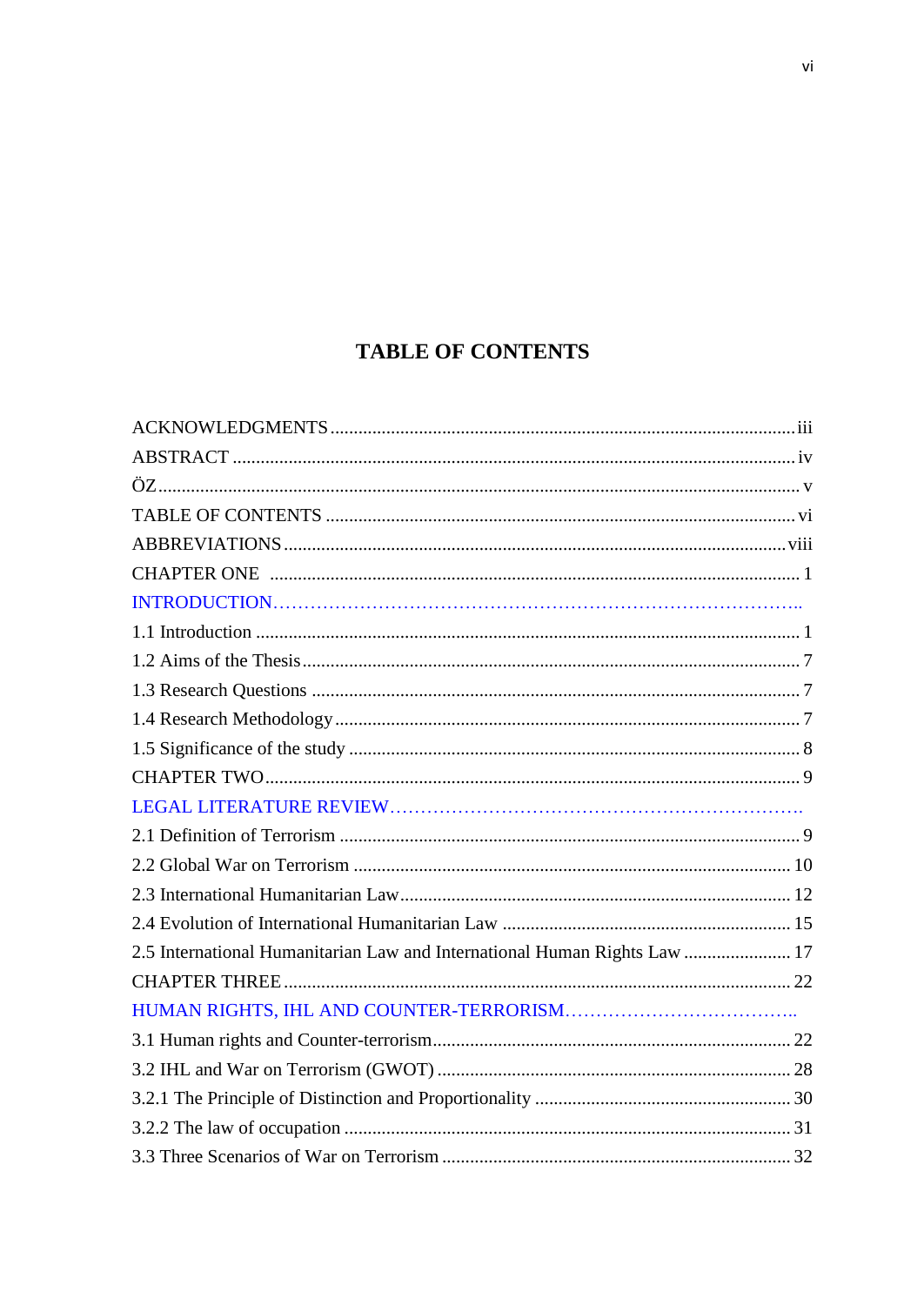## **TABLE OF CONTENTS**

<span id="page-8-0"></span>

| 2.5 International Humanitarian Law and International Human Rights Law  17 |  |
|---------------------------------------------------------------------------|--|
|                                                                           |  |
|                                                                           |  |
|                                                                           |  |
|                                                                           |  |
|                                                                           |  |
|                                                                           |  |
|                                                                           |  |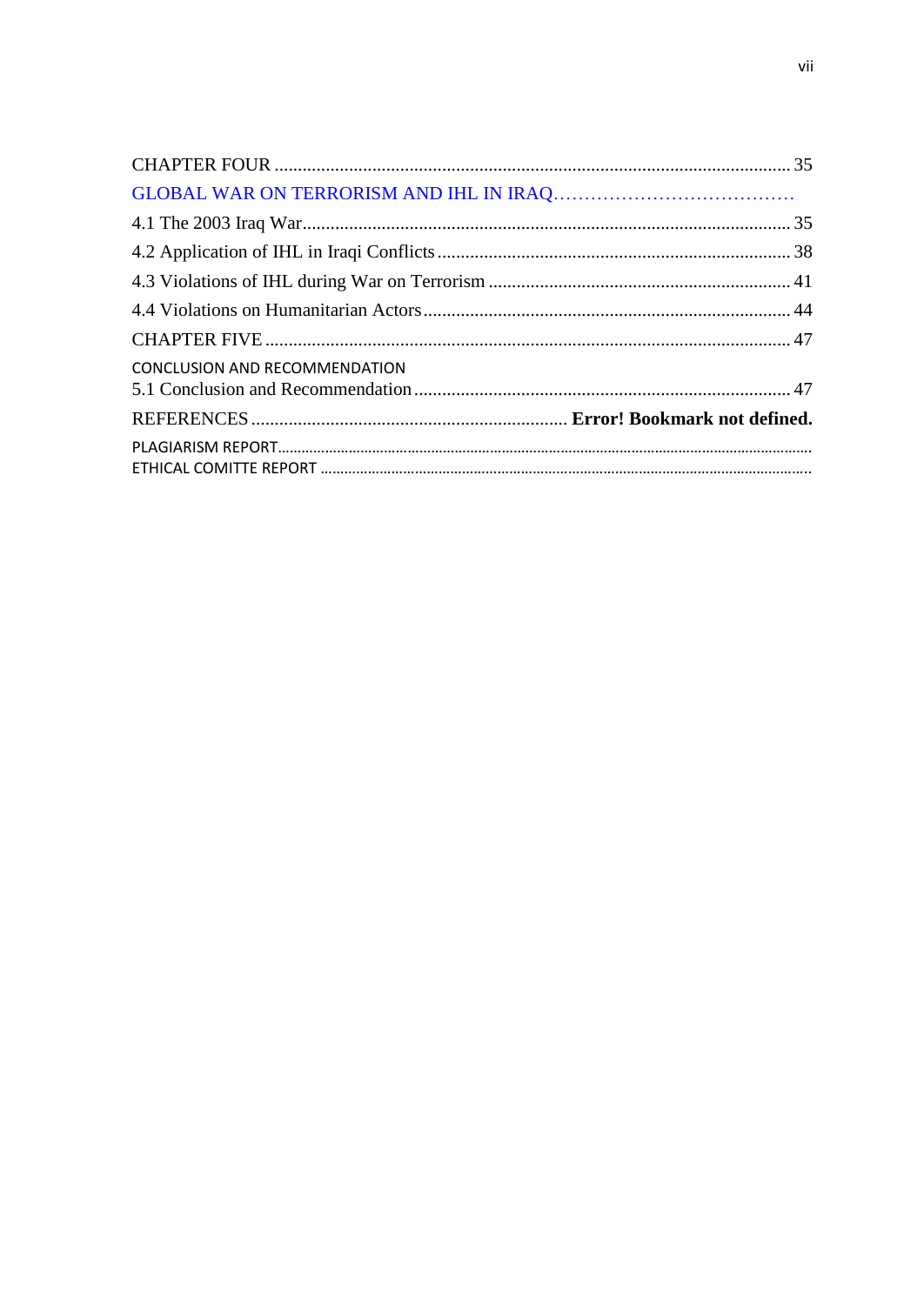<span id="page-9-0"></span>

| CONCLUSION AND RECOMMENDATION |  |
|-------------------------------|--|
|                               |  |
|                               |  |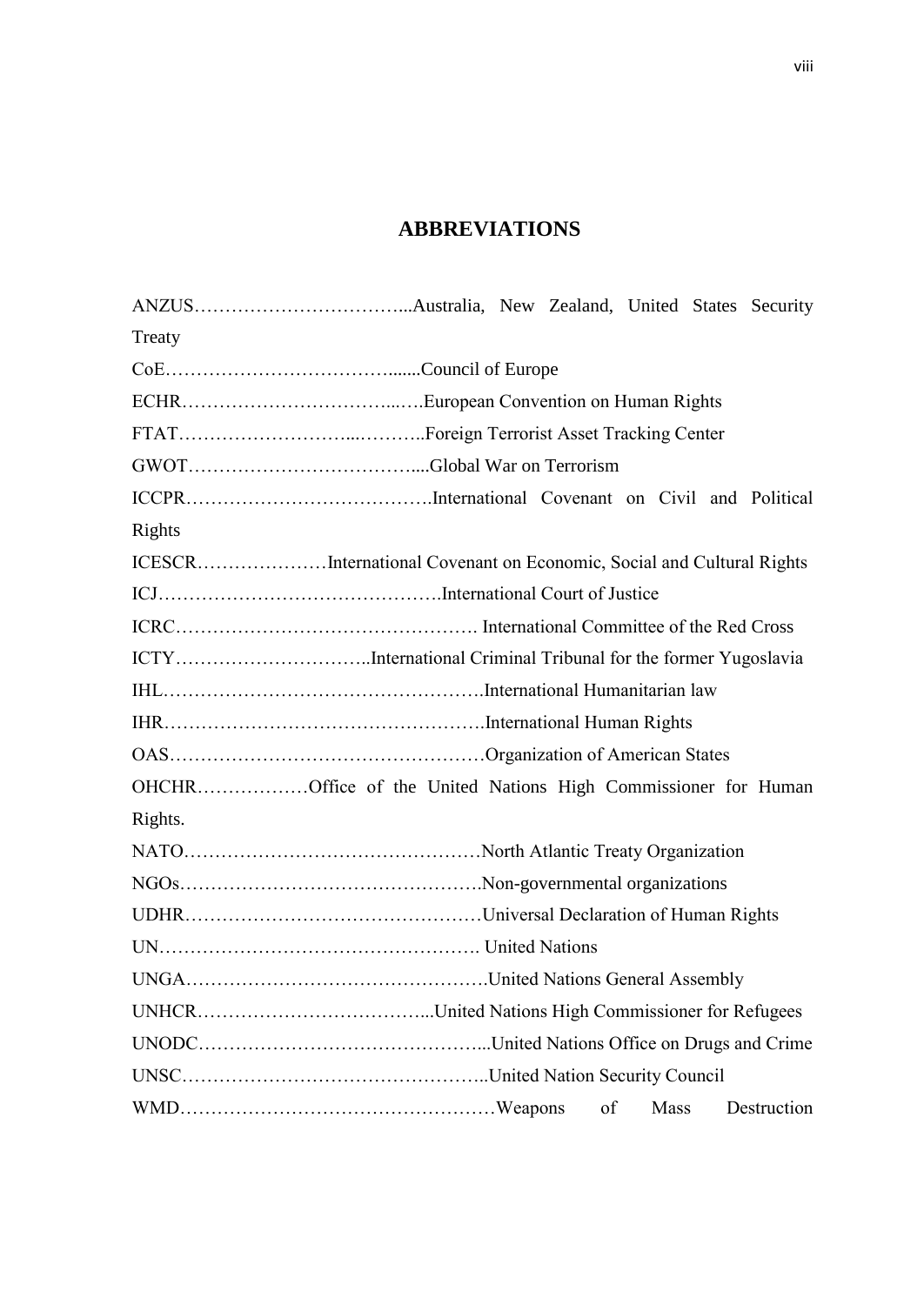## **ABBREVIATIONS**

| Treaty                                                               |  |  |  |    |      |             |  |
|----------------------------------------------------------------------|--|--|--|----|------|-------------|--|
|                                                                      |  |  |  |    |      |             |  |
|                                                                      |  |  |  |    |      |             |  |
|                                                                      |  |  |  |    |      |             |  |
|                                                                      |  |  |  |    |      |             |  |
|                                                                      |  |  |  |    |      |             |  |
| Rights                                                               |  |  |  |    |      |             |  |
| ICESCRInternational Covenant on Economic, Social and Cultural Rights |  |  |  |    |      |             |  |
|                                                                      |  |  |  |    |      |             |  |
|                                                                      |  |  |  |    |      |             |  |
| ICTYInternational Criminal Tribunal for the former Yugoslavia        |  |  |  |    |      |             |  |
|                                                                      |  |  |  |    |      |             |  |
|                                                                      |  |  |  |    |      |             |  |
|                                                                      |  |  |  |    |      |             |  |
| OHCHROffice of the United Nations High Commissioner for Human        |  |  |  |    |      |             |  |
| Rights.                                                              |  |  |  |    |      |             |  |
|                                                                      |  |  |  |    |      |             |  |
|                                                                      |  |  |  |    |      |             |  |
|                                                                      |  |  |  |    |      |             |  |
|                                                                      |  |  |  |    |      |             |  |
|                                                                      |  |  |  |    |      |             |  |
|                                                                      |  |  |  |    |      |             |  |
|                                                                      |  |  |  |    |      |             |  |
|                                                                      |  |  |  |    |      |             |  |
|                                                                      |  |  |  | of | Mass | Destruction |  |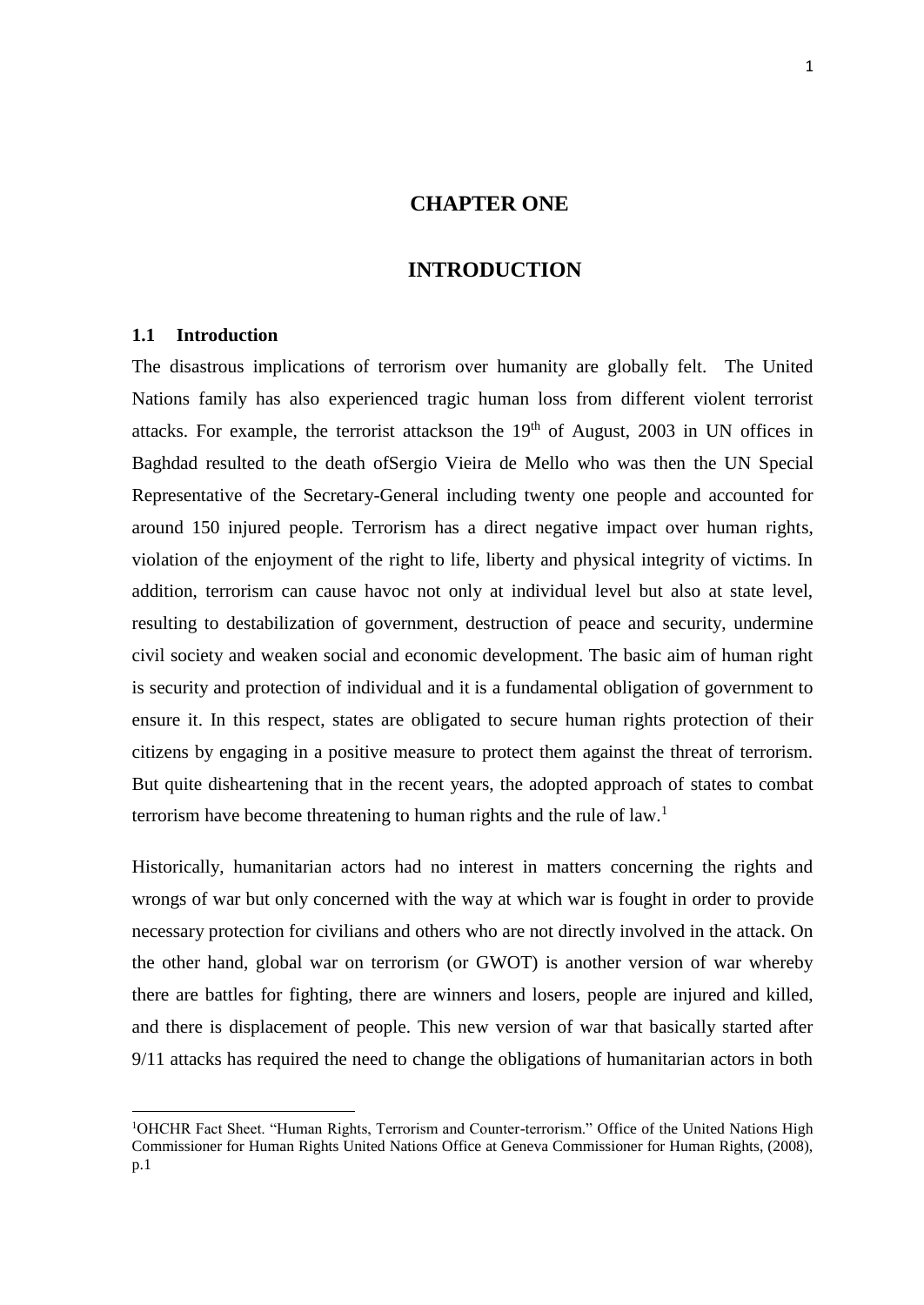## **CHAPTER ONE**

## **INTRODUCTION**

#### <span id="page-11-1"></span><span id="page-11-0"></span>**1.1 Introduction**

**.** 

The disastrous implications of terrorism over humanity are globally felt. The United Nations family has also experienced tragic human loss from different violent terrorist attacks. For example, the terrorist attackson the  $19<sup>th</sup>$  of August, 2003 in UN offices in Baghdad resulted to the death ofSergio Vieira de Mello who was then the UN Special Representative of the Secretary-General including twenty one people and accounted for around 150 injured people. Terrorism has a direct negative impact over human rights, violation of the enjoyment of the right to life, liberty and physical integrity of victims. In addition, terrorism can cause havoc not only at individual level but also at state level, resulting to destabilization of government, destruction of peace and security, undermine civil society and weaken social and economic development. The basic aim of human right is security and protection of individual and it is a fundamental obligation of government to ensure it. In this respect, states are obligated to secure human rights protection of their citizens by engaging in a positive measure to protect them against the threat of terrorism. But quite disheartening that in the recent years, the adopted approach of states to combat terrorism have become threatening to human rights and the rule of  $law$ <sup>1</sup>

Historically, humanitarian actors had no interest in matters concerning the rights and wrongs of war but only concerned with the way at which war is fought in order to provide necessary protection for civilians and others who are not directly involved in the attack. On the other hand, global war on terrorism (or GWOT) is another version of war whereby there are battles for fighting, there are winners and losers, people are injured and killed, and there is displacement of people. This new version of war that basically started after 9/11 attacks has required the need to change the obligations of humanitarian actors in both

<sup>&</sup>lt;sup>1</sup>OHCHR Fact Sheet. "Human Rights, Terrorism and Counter-terrorism." Office of the United Nations High Commissioner for Human Rights United Nations Office at Geneva Commissioner for Human Rights, (2008), p.1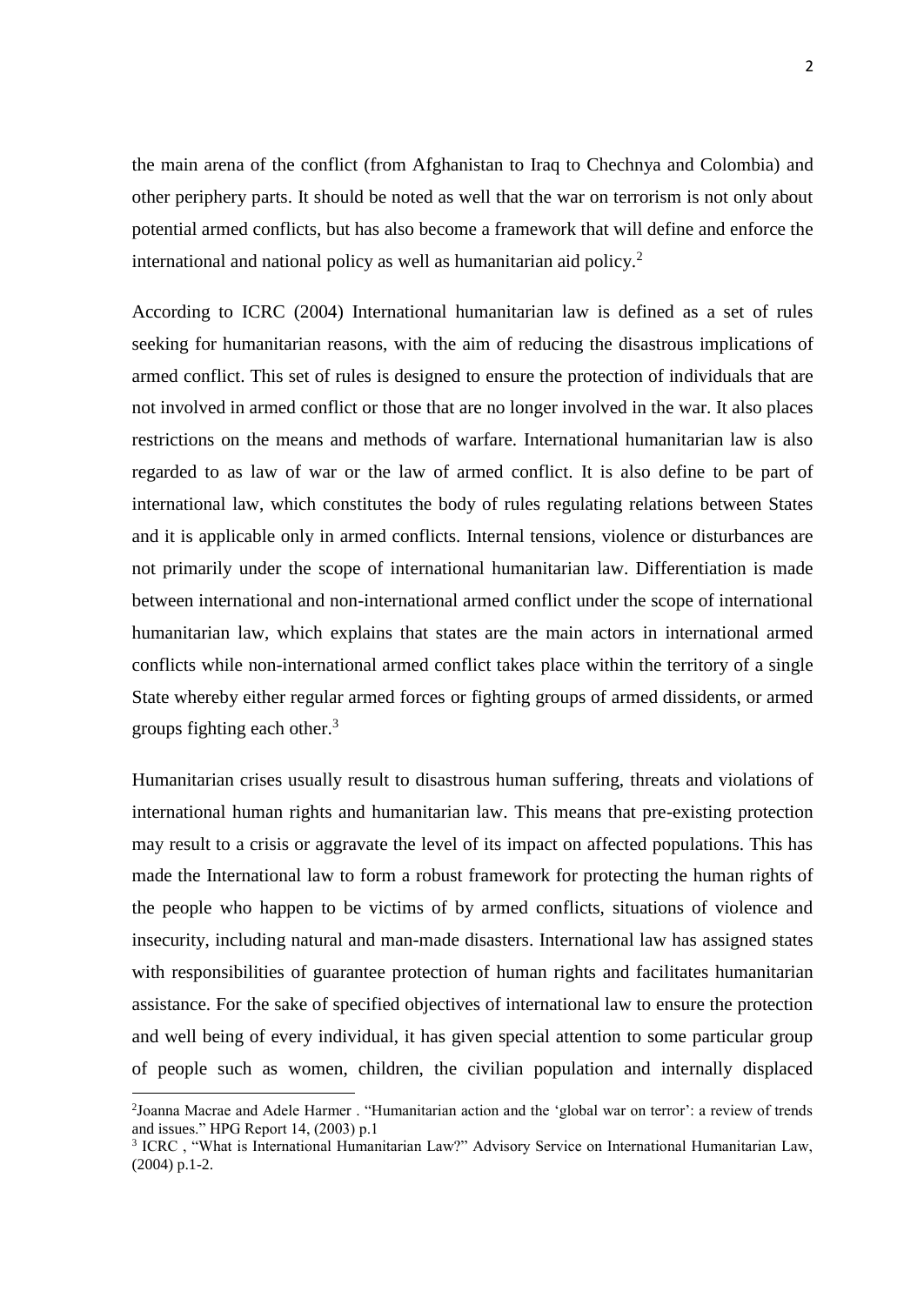the main arena of the conflict (from Afghanistan to Iraq to Chechnya and Colombia) and other periphery parts. It should be noted as well that the war on terrorism is not only about potential armed conflicts, but has also become a framework that will define and enforce the international and national policy as well as humanitarian aid policy.<sup>2</sup>

According to ICRC (2004) International humanitarian law is defined as a set of rules seeking for humanitarian reasons, with the aim of reducing the disastrous implications of armed conflict. This set of rules is designed to ensure the protection of individuals that are not involved in armed conflict or those that are no longer involved in the war. It also places restrictions on the means and methods of warfare. International humanitarian law is also regarded to as law of war or the law of armed conflict. It is also define to be part of international law, which constitutes the body of rules regulating relations between States and it is applicable only in armed conflicts. Internal tensions, violence or disturbances are not primarily under the scope of international humanitarian law. Differentiation is made between international and non-international armed conflict under the scope of international humanitarian law, which explains that states are the main actors in international armed conflicts while non-international armed conflict takes place within the territory of a single State whereby either regular armed forces or fighting groups of armed dissidents, or armed groups fighting each other. $3$ 

Humanitarian crises usually result to disastrous human suffering, threats and violations of international human rights and humanitarian law. This means that pre-existing protection may result to a crisis or aggravate the level of its impact on affected populations. This has made the International law to form a robust framework for protecting the human rights of the people who happen to be victims of by armed conflicts, situations of violence and insecurity, including natural and man-made disasters. International law has assigned states with responsibilities of guarantee protection of human rights and facilitates humanitarian assistance. For the sake of specified objectives of international law to ensure the protection and well being of every individual, it has given special attention to some particular group of people such as women, children, the civilian population and internally displaced

<sup>&</sup>lt;sup>2</sup>Joanna Macrae and Adele Harmer . "Humanitarian action and the 'global war on terror': a review of trends and issues." HPG Report 14, (2003) p.1

<sup>3</sup> ICRC , "What is International Humanitarian Law?" Advisory Service on International Humanitarian Law, (2004) p.1-2.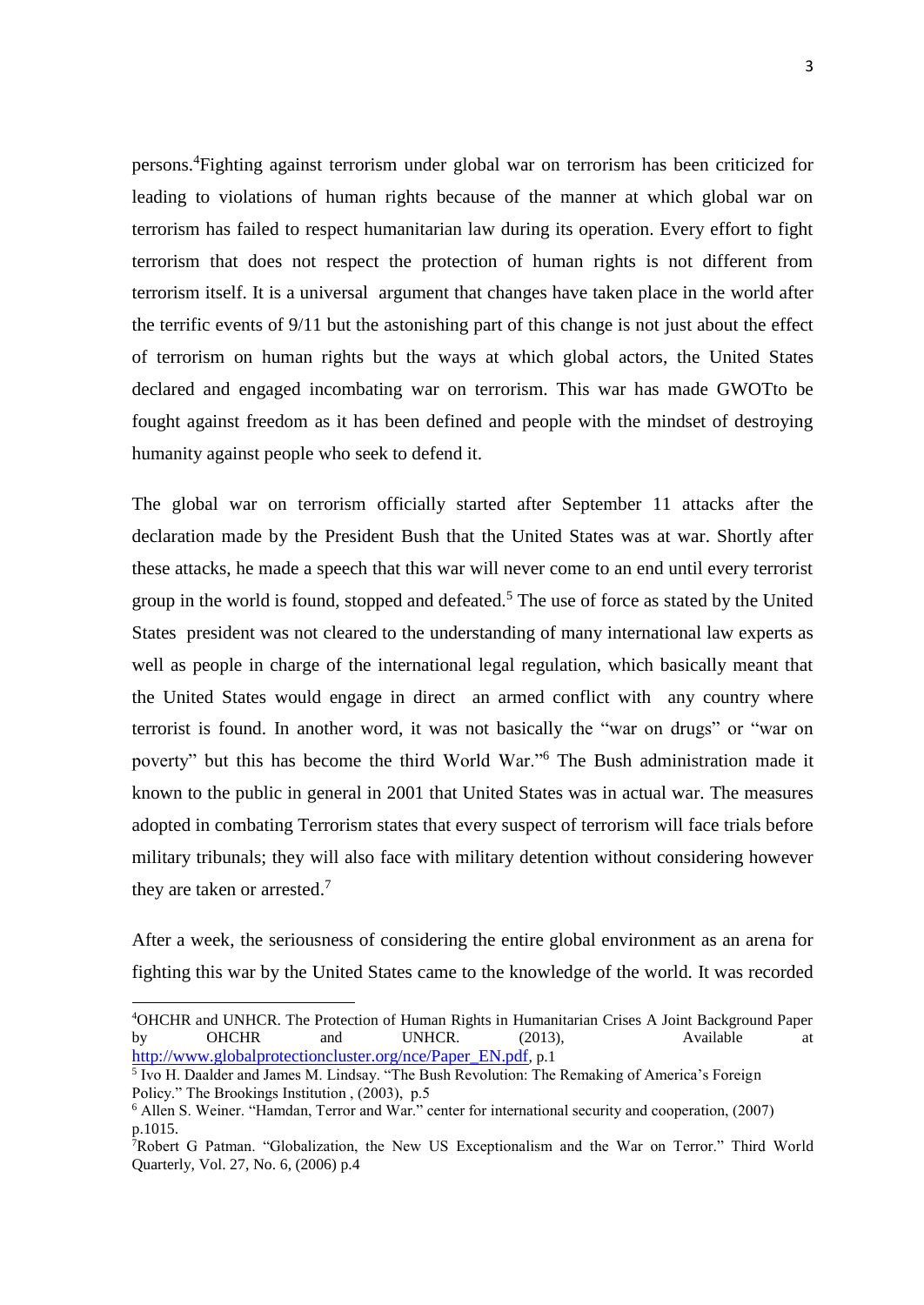persons. <sup>4</sup>Fighting against terrorism under global war on terrorism has been criticized for leading to violations of human rights because of the manner at which global war on terrorism has failed to respect humanitarian law during its operation. Every effort to fight terrorism that does not respect the protection of human rights is not different from terrorism itself. It is a universal argument that changes have taken place in the world after the terrific events of 9/11 but the astonishing part of this change is not just about the effect of terrorism on human rights but the ways at which global actors, the United States declared and engaged incombating war on terrorism. This war has made GWOTto be fought against freedom as it has been defined and people with the mindset of destroying humanity against people who seek to defend it.

The global war on terrorism officially started after September 11 attacks after the declaration made by the President Bush that the United States was at war. Shortly after these attacks, he made a speech that this war will never come to an end until every terrorist group in the world is found, stopped and defeated.<sup>5</sup> The use of force as stated by the United States president was not cleared to the understanding of many international law experts as well as people in charge of the international legal regulation, which basically meant that the United States would engage in direct an armed conflict with any country where terrorist is found. In another word, it was not basically the "war on drugs" or "war on poverty" but this has become the third World War."<sup>6</sup> The Bush administration made it known to the public in general in 2001 that United States was in actual war. The measures adopted in combating Terrorism states that every suspect of terrorism will face trials before military tribunals; they will also face with military detention without considering however they are taken or arrested. 7

After a week, the seriousness of considering the entire global environment as an arena for fighting this war by the United States came to the knowledge of the world. It was recorded

<sup>4</sup>OHCHR and UNHCR. The Protection of Human Rights in Humanitarian Crises A Joint Background Paper by OHCHR and UNHCR. (2013), Available at [http://www.globalprotectioncluster.org/nce/Paper\\_EN.pdf](http://www.globalprotectioncluster.org/nce/Paper_EN.pdf), p.1

<sup>&</sup>lt;sup>5</sup> Ivo H. Daalder and James M. Lindsay. "The Bush Revolution: The Remaking of America's Foreign Policy." The Brookings Institution , (2003), p.5

<sup>6</sup> Allen S. Weiner. "Hamdan, Terror and War." center for international security and cooperation, (2007) p.1015.

 $\hat{\tau}$ Robert G Patman. "Globalization, the New US Exceptionalism and the War on Terror." Third World Quarterly, Vol. 27, No. 6, (2006) p.4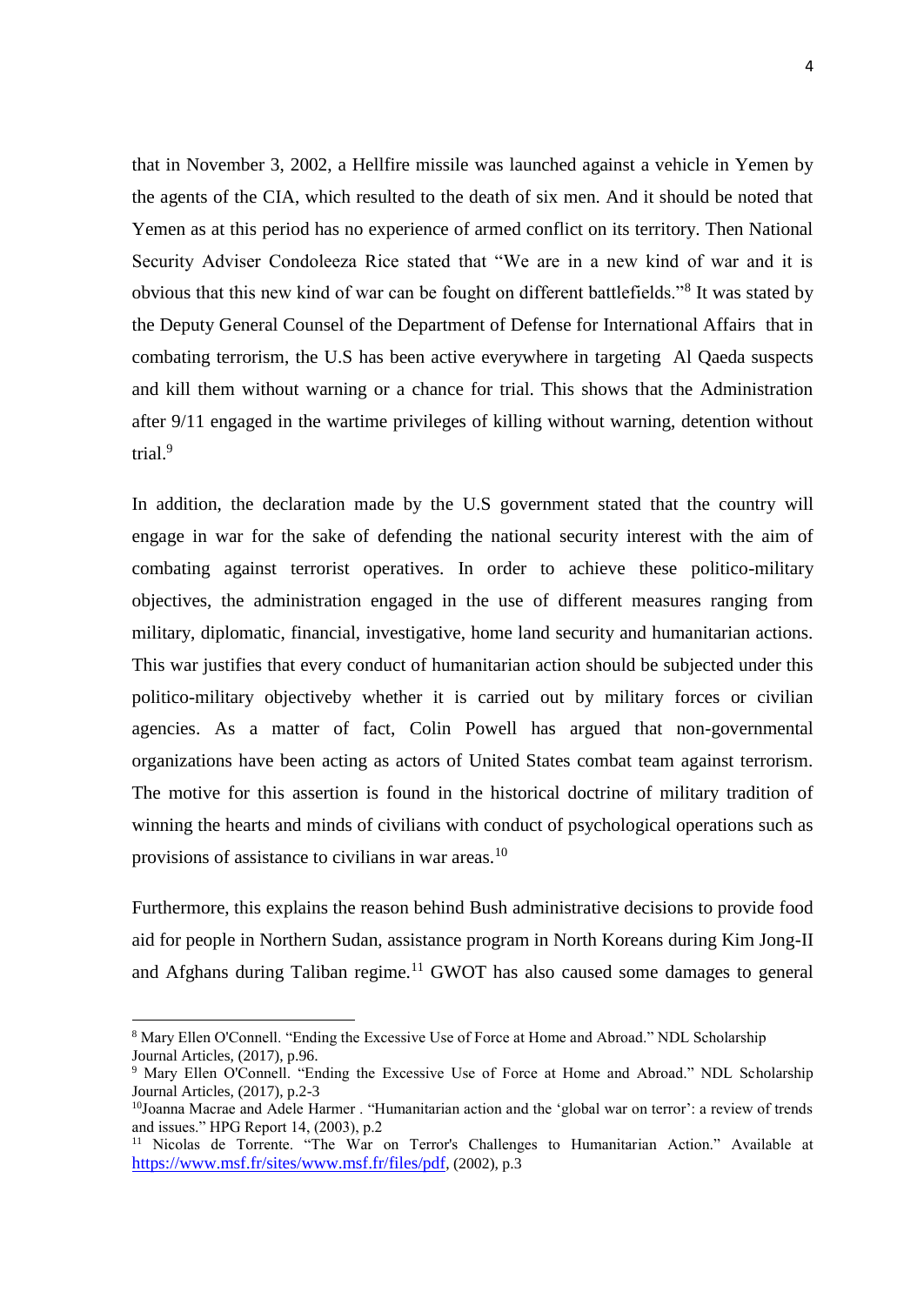that in November 3, 2002, a Hellfire missile was launched against a vehicle in Yemen by the agents of the CIA, which resulted to the death of six men. And it should be noted that Yemen as at this period has no experience of armed conflict on its territory. Then National Security Adviser Condoleeza Rice stated that "We are in a new kind of war and it is obvious that this new kind of war can be fought on different battlefields."<sup>8</sup> It was stated by the Deputy General Counsel of the Department of Defense for International Affairs that in combating terrorism, the U.S has been active everywhere in targeting Al Qaeda suspects and kill them without warning or a chance for trial. This shows that the Administration after 9/11 engaged in the wartime privileges of killing without warning, detention without trial.<sup>9</sup>

In addition, the declaration made by the U.S government stated that the country will engage in war for the sake of defending the national security interest with the aim of combating against terrorist operatives. In order to achieve these politico-military objectives, the administration engaged in the use of different measures ranging from military, diplomatic, financial, investigative, home land security and humanitarian actions. This war justifies that every conduct of humanitarian action should be subjected under this politico-military objectiveby whether it is carried out by military forces or civilian agencies. As a matter of fact, Colin Powell has argued that non-governmental organizations have been acting as actors of United States combat team against terrorism. The motive for this assertion is found in the historical doctrine of military tradition of winning the hearts and minds of civilians with conduct of psychological operations such as provisions of assistance to civilians in war areas.<sup>10</sup>

Furthermore, this explains the reason behind Bush administrative decisions to provide food aid for people in Northern Sudan, assistance program in North Koreans during Kim Jong-II and Afghans during Taliban regime.<sup>11</sup> GWOT has also caused some damages to general

<sup>1</sup> <sup>8</sup> Mary Ellen O'Connell. "Ending the Excessive Use of Force at Home and Abroad." NDL Scholarship Journal Articles, (2017), p.96.

<sup>9</sup> Mary Ellen O'Connell. "Ending the Excessive Use of Force at Home and Abroad." NDL Scholarship Journal Articles, (2017), p.2-3

<sup>10</sup>Joanna Macrae and Adele Harmer . "Humanitarian action and the 'global war on terror': a review of trends and issues." HPG Report 14, (2003), p.2

<sup>&</sup>lt;sup>11</sup> Nicolas de Torrente. "The War on Terror's Challenges to Humanitarian Action." Available at <https://www.msf.fr/sites/www.msf.fr/files/pdf>, (2002), p.3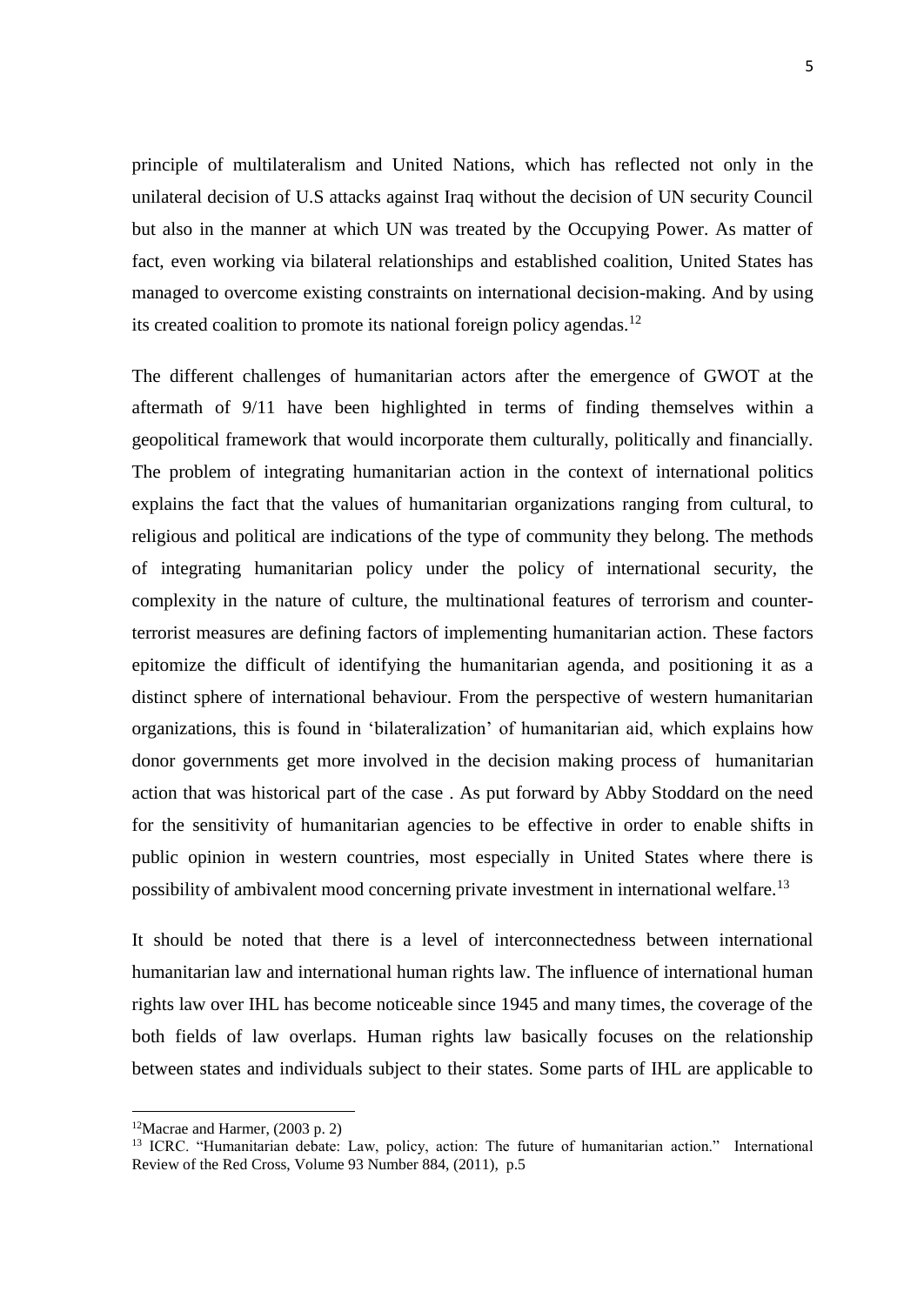principle of multilateralism and United Nations, which has reflected not only in the unilateral decision of U.S attacks against Iraq without the decision of UN security Council but also in the manner at which UN was treated by the Occupying Power. As matter of fact, even working via bilateral relationships and established coalition, United States has managed to overcome existing constraints on international decision-making. And by using its created coalition to promote its national foreign policy agendas.<sup>12</sup>

The different challenges of humanitarian actors after the emergence of GWOT at the aftermath of 9/11 have been highlighted in terms of finding themselves within a geopolitical framework that would incorporate them culturally, politically and financially. The problem of integrating humanitarian action in the context of international politics explains the fact that the values of humanitarian organizations ranging from cultural, to religious and political are indications of the type of community they belong. The methods of integrating humanitarian policy under the policy of international security, the complexity in the nature of culture, the multinational features of terrorism and counterterrorist measures are defining factors of implementing humanitarian action. These factors epitomize the difficult of identifying the humanitarian agenda, and positioning it as a distinct sphere of international behaviour. From the perspective of western humanitarian organizations, this is found in 'bilateralization' of humanitarian aid, which explains how donor governments get more involved in the decision making process of humanitarian action that was historical part of the case . As put forward by Abby Stoddard on the need for the sensitivity of humanitarian agencies to be effective in order to enable shifts in public opinion in western countries, most especially in United States where there is possibility of ambivalent mood concerning private investment in international welfare.<sup>13</sup>

It should be noted that there is a level of interconnectedness between international humanitarian law and international human rights law. The influence of international human rights law over IHL has become noticeable since 1945 and many times, the coverage of the both fields of law overlaps. Human rights law basically focuses on the relationship between states and individuals subject to their states. Some parts of IHL are applicable to

 $12$ Macrae and Harmer, (2003 p. 2)

<sup>&</sup>lt;sup>13</sup> ICRC. "Humanitarian debate: Law, policy, action: The future of humanitarian action." International Review of the Red Cross, Volume 93 Number 884, (2011), p.5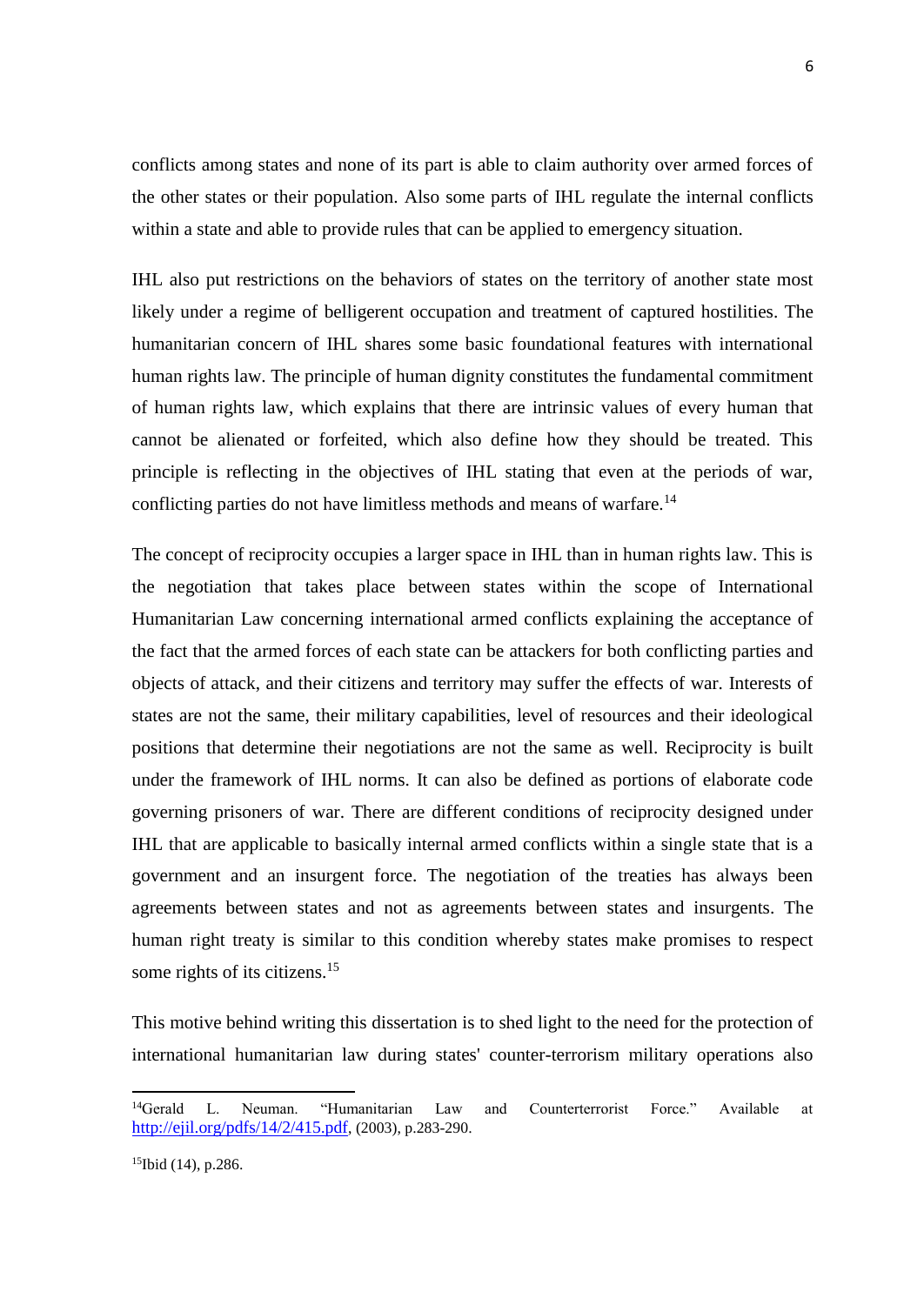conflicts among states and none of its part is able to claim authority over armed forces of the other states or their population. Also some parts of IHL regulate the internal conflicts within a state and able to provide rules that can be applied to emergency situation.

IHL also put restrictions on the behaviors of states on the territory of another state most likely under a regime of belligerent occupation and treatment of captured hostilities. The humanitarian concern of IHL shares some basic foundational features with international human rights law. The principle of human dignity constitutes the fundamental commitment of human rights law, which explains that there are intrinsic values of every human that cannot be alienated or forfeited, which also define how they should be treated. This principle is reflecting in the objectives of IHL stating that even at the periods of war, conflicting parties do not have limitless methods and means of warfare.<sup>14</sup>

The concept of reciprocity occupies a larger space in IHL than in human rights law. This is the negotiation that takes place between states within the scope of International Humanitarian Law concerning international armed conflicts explaining the acceptance of the fact that the armed forces of each state can be attackers for both conflicting parties and objects of attack, and their citizens and territory may suffer the effects of war. Interests of states are not the same, their military capabilities, level of resources and their ideological positions that determine their negotiations are not the same as well. Reciprocity is built under the framework of IHL norms. It can also be defined as portions of elaborate code governing prisoners of war. There are different conditions of reciprocity designed under IHL that are applicable to basically internal armed conflicts within a single state that is a government and an insurgent force. The negotiation of the treaties has always been agreements between states and not as agreements between states and insurgents. The human right treaty is similar to this condition whereby states make promises to respect some rights of its citizens.<sup>15</sup>

This motive behind writing this dissertation is to shed light to the need for the protection of international humanitarian law during states' counter-terrorism military operations also

<sup>14</sup>Gerald L. Neuman. "Humanitarian Law and Counterterrorist Force." Available at <http://ejil.org/pdfs/14/2/415.pdf>, (2003), p.283-290.

<sup>15</sup>Ibid (14), p.286.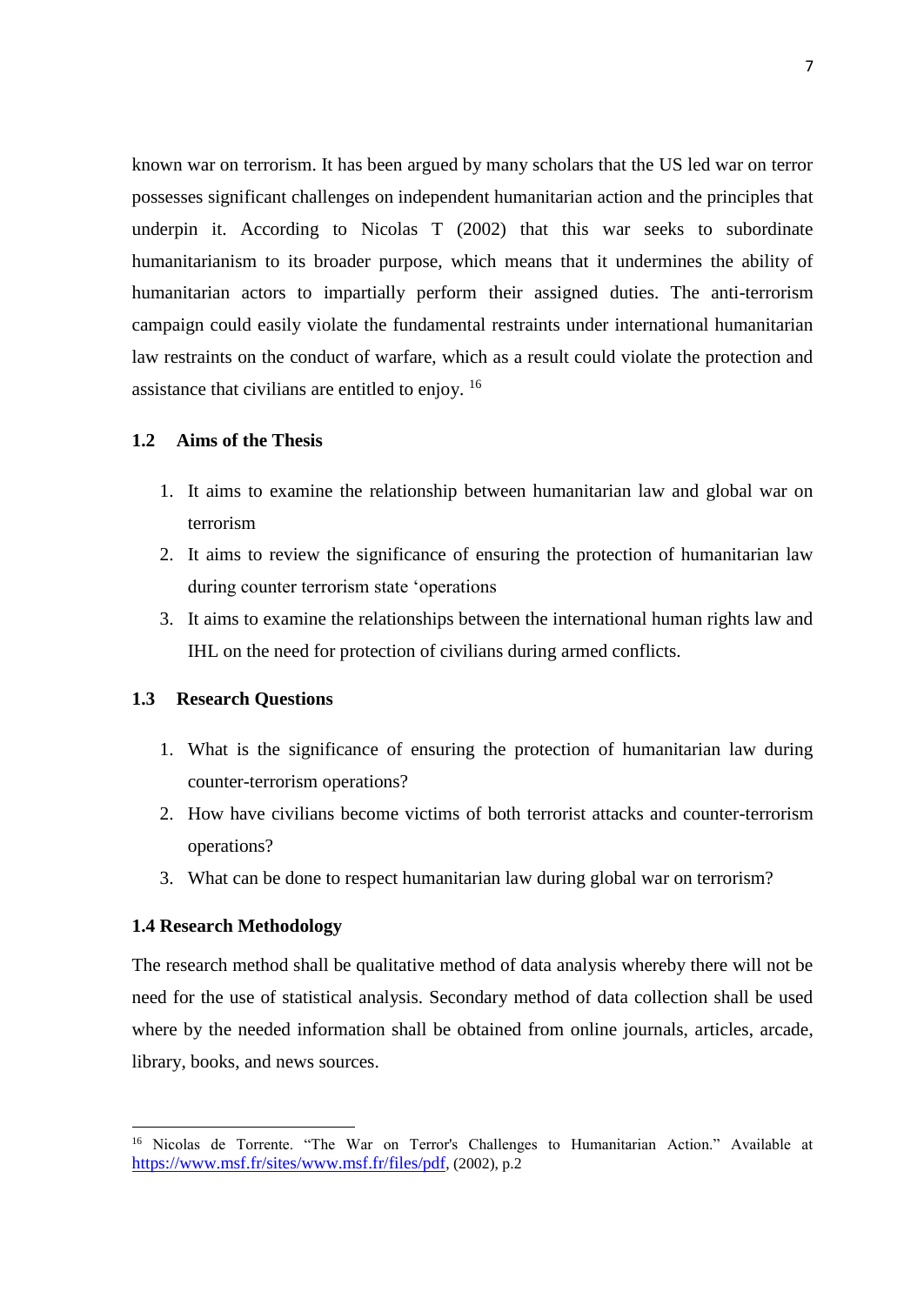known war on terrorism. It has been argued by many scholars that the US led war on terror possesses significant challenges on independent humanitarian action and the principles that underpin it. According to Nicolas T (2002) that this war seeks to subordinate humanitarianism to its broader purpose, which means that it undermines the ability of humanitarian actors to impartially perform their assigned duties. The anti-terrorism campaign could easily violate the fundamental restraints under international humanitarian law restraints on the conduct of warfare, which as a result could violate the protection and assistance that civilians are entitled to enjoy.  $16$ 

## <span id="page-17-0"></span>**1.2 Aims of the Thesis**

- 1. It aims to examine the relationship between humanitarian law and global war on terrorism
- 2. It aims to review the significance of ensuring the protection of humanitarian law during counter terrorism state 'operations
- 3. It aims to examine the relationships between the international human rights law and IHL on the need for protection of civilians during armed conflicts.

### <span id="page-17-1"></span>**1.3 Research Questions**

- 1. What is the significance of ensuring the protection of humanitarian law during counter-terrorism operations?
- 2. How have civilians become victims of both terrorist attacks and counter-terrorism operations?
- 3. What can be done to respect humanitarian law during global war on terrorism?

### <span id="page-17-2"></span>**1.4 Research Methodology**

1

The research method shall be qualitative method of data analysis whereby there will not be need for the use of statistical analysis. Secondary method of data collection shall be used where by the needed information shall be obtained from online journals, articles, arcade, library, books, and news sources.

<sup>&</sup>lt;sup>16</sup> Nicolas de Torrente. "The War on Terror's Challenges to Humanitarian Action." Available at <https://www.msf.fr/sites/www.msf.fr/files/pdf>, (2002), p.2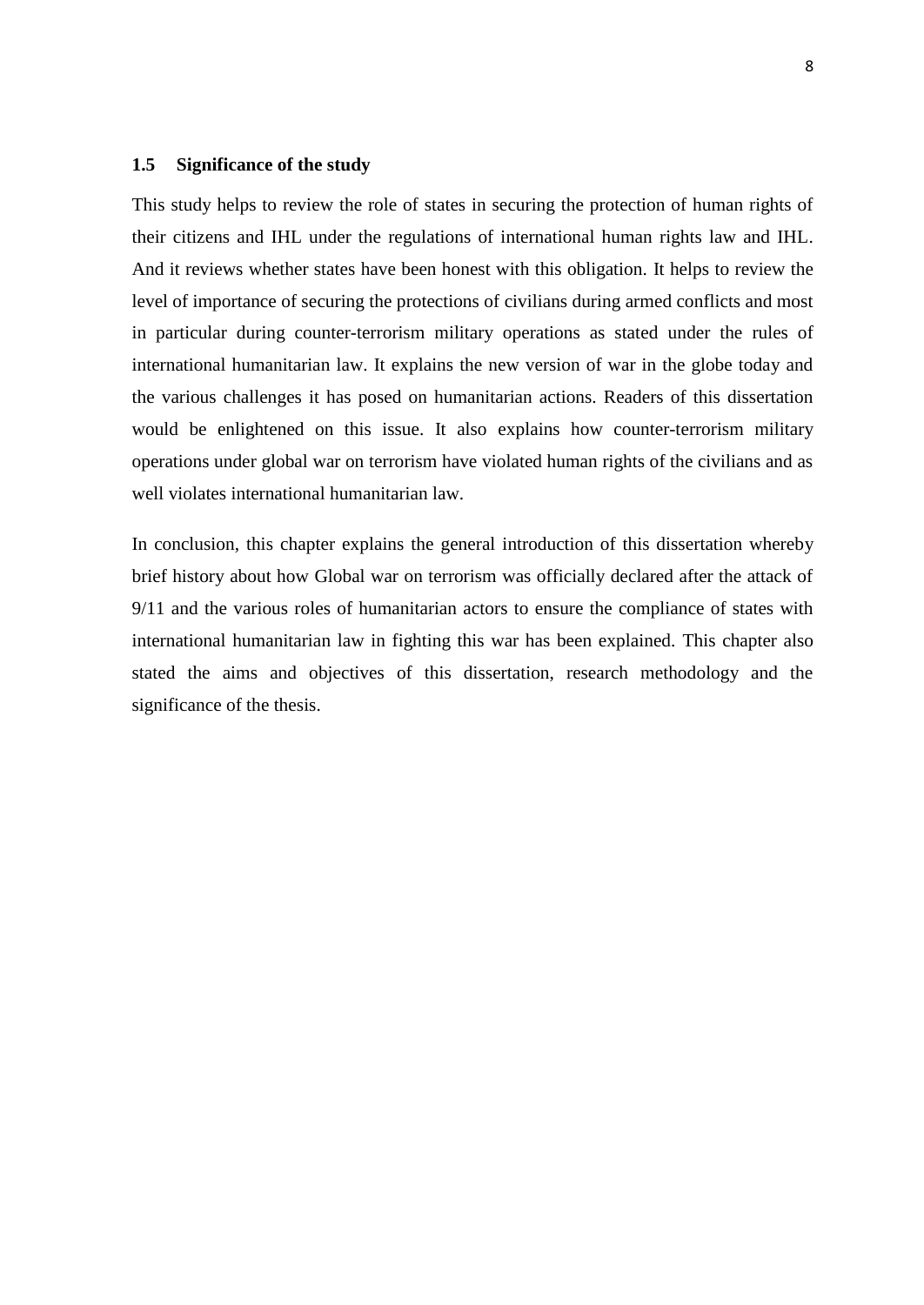#### <span id="page-18-0"></span>**1.5 Significance of the study**

This study helps to review the role of states in securing the protection of human rights of their citizens and IHL under the regulations of international human rights law and IHL. And it reviews whether states have been honest with this obligation. It helps to review the level of importance of securing the protections of civilians during armed conflicts and most in particular during counter-terrorism military operations as stated under the rules of international humanitarian law. It explains the new version of war in the globe today and the various challenges it has posed on humanitarian actions. Readers of this dissertation would be enlightened on this issue. It also explains how counter-terrorism military operations under global war on terrorism have violated human rights of the civilians and as well violates international humanitarian law.

In conclusion, this chapter explains the general introduction of this dissertation whereby brief history about how Global war on terrorism was officially declared after the attack of 9/11 and the various roles of humanitarian actors to ensure the compliance of states with international humanitarian law in fighting this war has been explained. This chapter also stated the aims and objectives of this dissertation, research methodology and the significance of the thesis.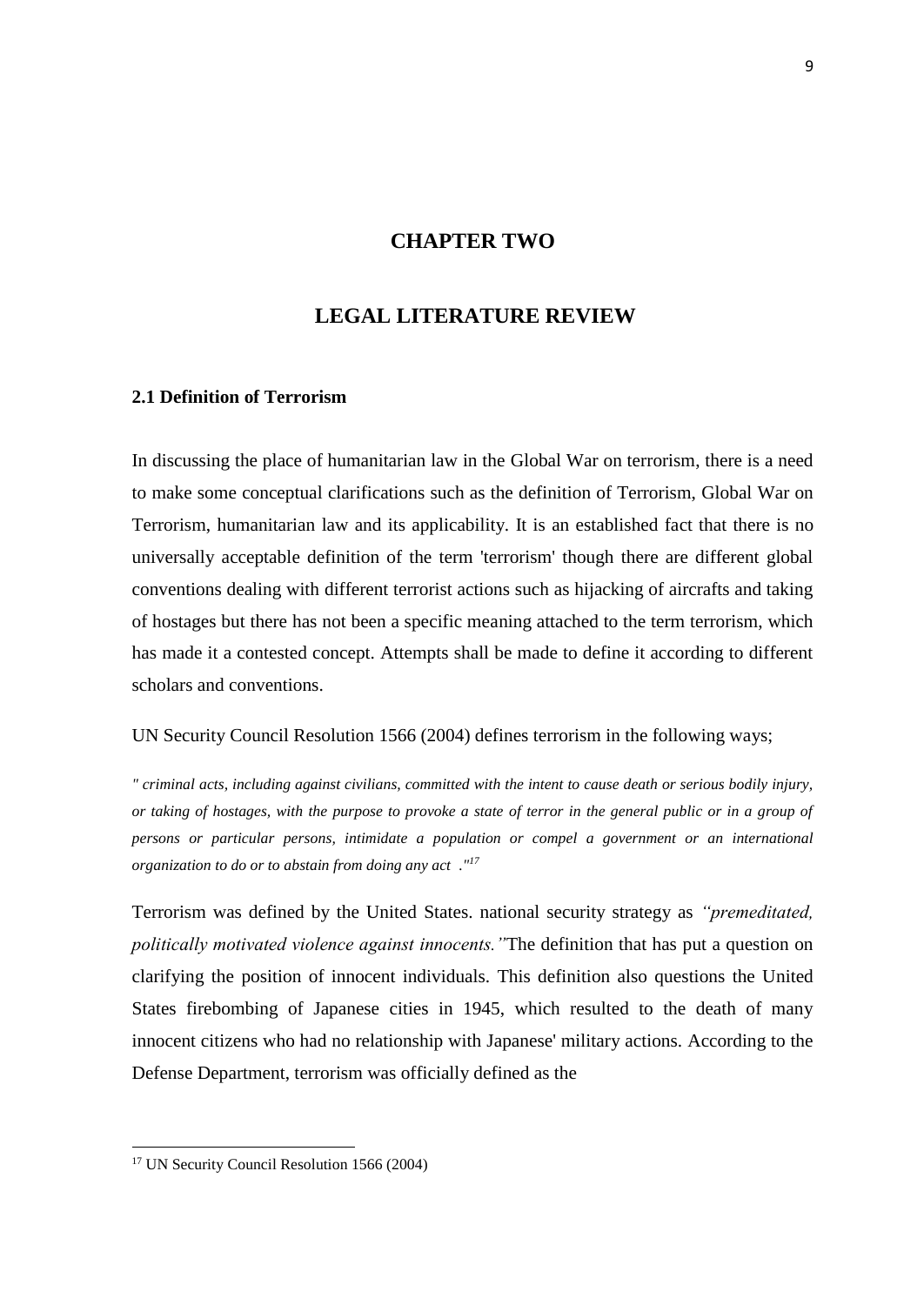## **CHAPTER TWO**

## **LEGAL LITERATURE REVIEW**

#### <span id="page-19-1"></span><span id="page-19-0"></span>**2.1 Definition of Terrorism**

In discussing the place of humanitarian law in the Global War on terrorism, there is a need to make some conceptual clarifications such as the definition of Terrorism, Global War on Terrorism, humanitarian law and its applicability. It is an established fact that there is no universally acceptable definition of the term 'terrorism' though there are different global conventions dealing with different terrorist actions such as hijacking of aircrafts and taking of hostages but there has not been a specific meaning attached to the term terrorism, which has made it a contested concept. Attempts shall be made to define it according to different scholars and conventions.

UN Security Council Resolution 1566 (2004) defines terrorism in the following ways;

*".criminal acts, including against civilians, committed with the intent to cause death or serious bodily injury, or taking of hostages, with the purpose to provoke a state of terror in the general public or in a group of persons or particular persons, intimidate a population or compel a government or an international organization to do or to abstain from doing any act,.."<sup>17</sup>*

Terrorism was defined by the United States. national security strategy as *"premeditated, politically motivated violence against innocents."*The definition that has put a question on clarifying the position of innocent individuals. This definition also questions the United States firebombing of Japanese cities in 1945, which resulted to the death of many innocent citizens who had no relationship with Japanese' military actions. According to the Defense Department, terrorism was officially defined as the

<sup>&</sup>lt;sup>17</sup> UN Security Council Resolution 1566 (2004)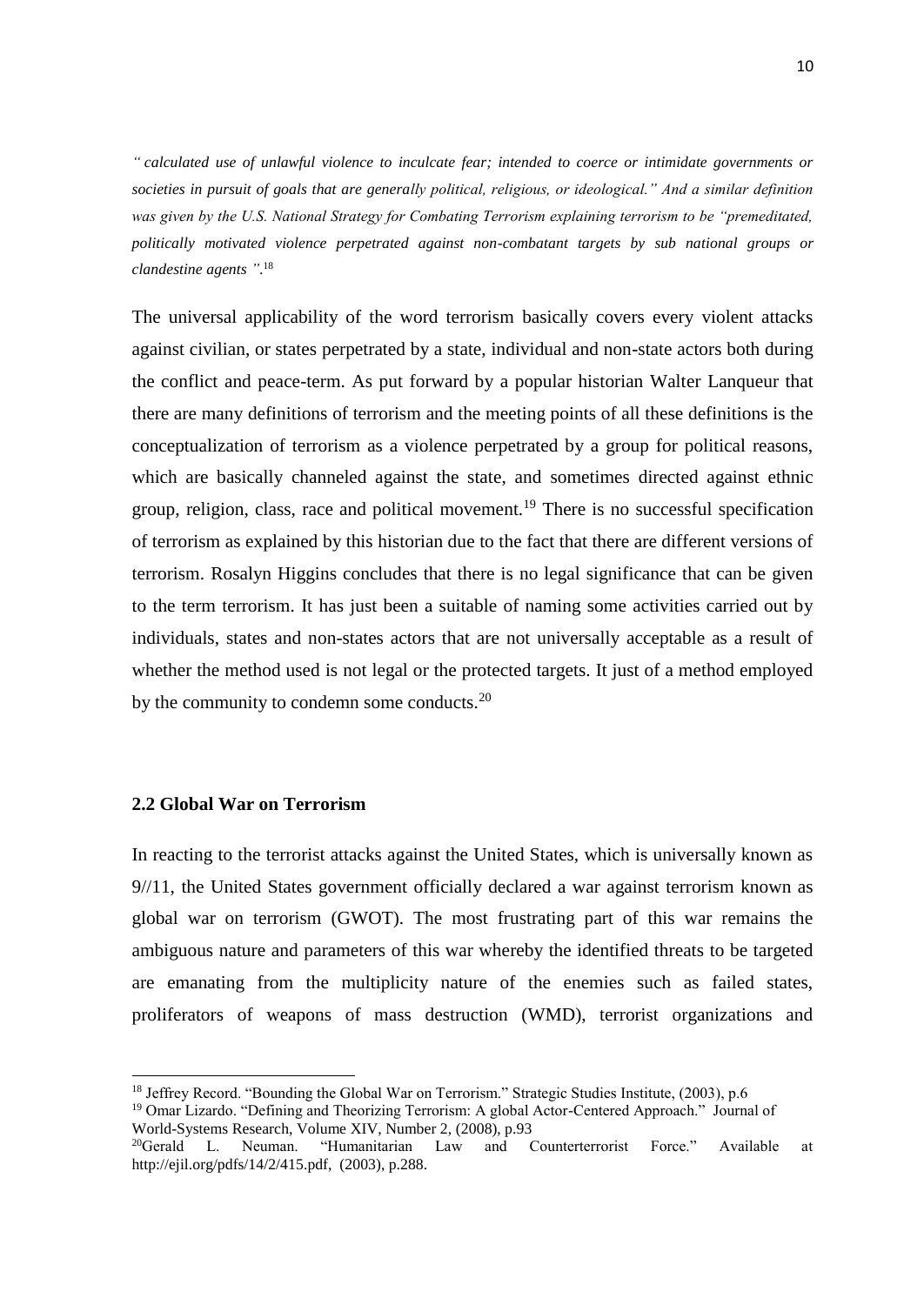*".calculated use of unlawful violence to inculcate fear; intended to coerce or intimidate governments or societies in pursuit of goals that are generally political, religious, or ideological." And a similar definition was given by the U.S. National Strategy for Combating Terrorism explaining terrorism to be "premeditated, politically motivated violence perpetrated against non-combatant targets by sub national groups or clandestine agents."*. 18

The universal applicability of the word terrorism basically covers every violent attacks against civilian, or states perpetrated by a state, individual and non-state actors both during the conflict and peace-term. As put forward by a popular historian Walter Lanqueur that there are many definitions of terrorism and the meeting points of all these definitions is the conceptualization of terrorism as a violence perpetrated by a group for political reasons, which are basically channeled against the state, and sometimes directed against ethnic group, religion, class, race and political movement.<sup>19</sup> There is no successful specification of terrorism as explained by this historian due to the fact that there are different versions of terrorism. Rosalyn Higgins concludes that there is no legal significance that can be given to the term terrorism. It has just been a suitable of naming some activities carried out by individuals, states and non-states actors that are not universally acceptable as a result of whether the method used is not legal or the protected targets. It just of a method employed by the community to condemn some conducts.<sup>20</sup>

## <span id="page-20-0"></span>**2.2 Global War on Terrorism**

1

In reacting to the terrorist attacks against the United States, which is universally known as 9//11, the United States government officially declared a war against terrorism known as global war on terrorism (GWOT). The most frustrating part of this war remains the ambiguous nature and parameters of this war whereby the identified threats to be targeted are emanating from the multiplicity nature of the enemies such as failed states, proliferators of weapons of mass destruction (WMD), terrorist organizations and

<sup>&</sup>lt;sup>18</sup> Jeffrey Record. "Bounding the Global War on Terrorism." Strategic Studies Institute, (2003), p.6

<sup>&</sup>lt;sup>19</sup> Omar Lizardo. "Defining and Theorizing Terrorism: A global Actor-Centered Approach." Journal of World-Systems Research, Volume XIV, Number 2, (2008), p.93

<sup>20</sup>Gerald L. Neuman. "Humanitarian Law and Counterterrorist Force." Available at http://ejil.org/pdfs/14/2/415.pdf, (2003), p.288.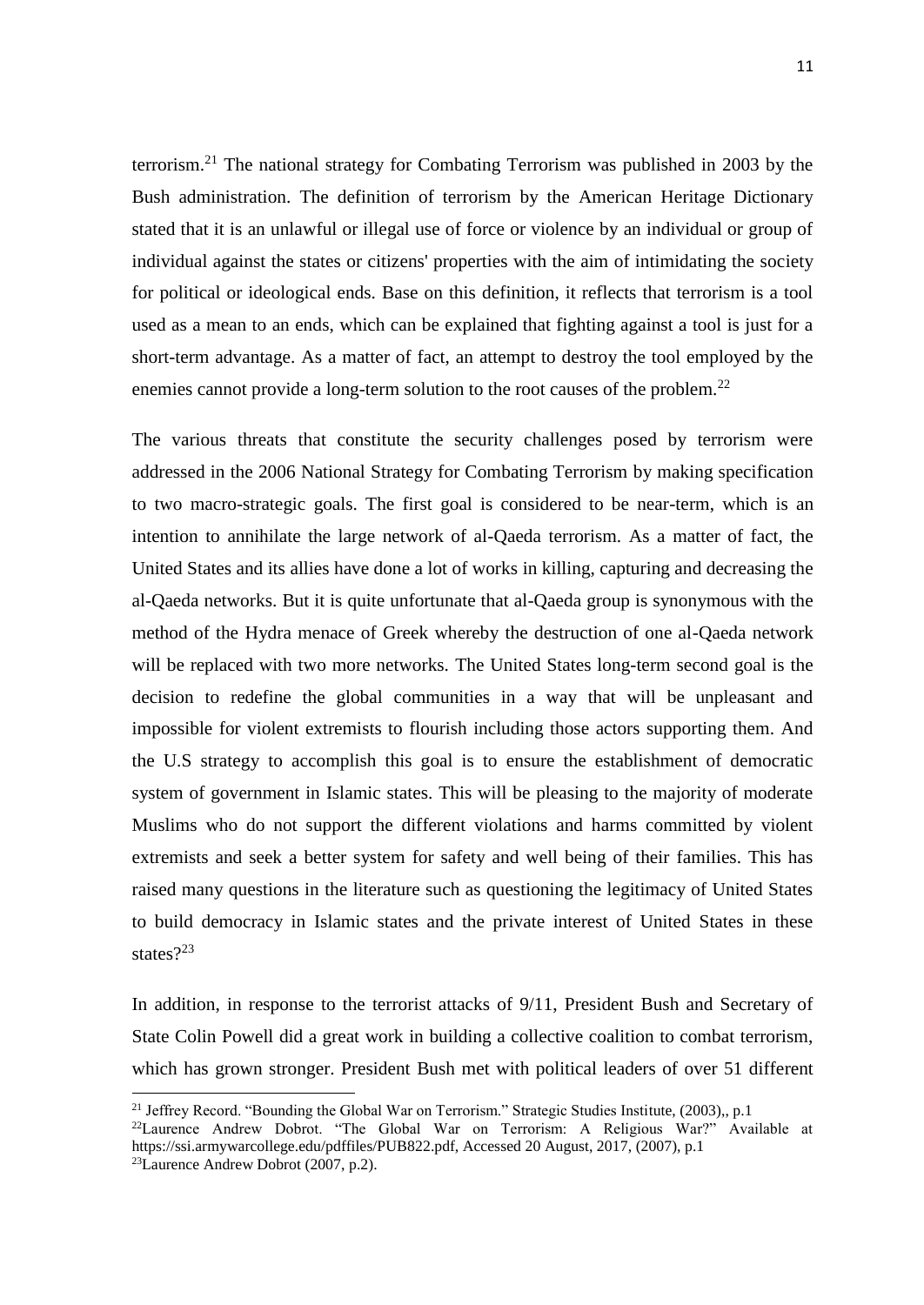terrorism.<sup>21</sup> The national strategy for Combating Terrorism was published in 2003 by the Bush administration. The definition of terrorism by the American Heritage Dictionary stated that it is an unlawful or illegal use of force or violence by an individual or group of individual against the states or citizens' properties with the aim of intimidating the society for political or ideological ends. Base on this definition, it reflects that terrorism is a tool used as a mean to an ends, which can be explained that fighting against a tool is just for a short-term advantage. As a matter of fact, an attempt to destroy the tool employed by the enemies cannot provide a long-term solution to the root causes of the problem.<sup>22</sup>

The various threats that constitute the security challenges posed by terrorism were addressed in the 2006 National Strategy for Combating Terrorism by making specification to two macro-strategic goals. The first goal is considered to be near-term, which is an intention to annihilate the large network of al-Qaeda terrorism. As a matter of fact, the United States and its allies have done a lot of works in killing, capturing and decreasing the al-Qaeda networks. But it is quite unfortunate that al-Qaeda group is synonymous with the method of the Hydra menace of Greek whereby the destruction of one al-Qaeda network will be replaced with two more networks. The United States long-term second goal is the decision to redefine the global communities in a way that will be unpleasant and impossible for violent extremists to flourish including those actors supporting them. And the U.S strategy to accomplish this goal is to ensure the establishment of democratic system of government in Islamic states. This will be pleasing to the majority of moderate Muslims who do not support the different violations and harms committed by violent extremists and seek a better system for safety and well being of their families. This has raised many questions in the literature such as questioning the legitimacy of United States to build democracy in Islamic states and the private interest of United States in these states?<sup>23</sup>

In addition, in response to the terrorist attacks of 9/11, President Bush and Secretary of State Colin Powell did a great work in building a collective coalition to combat terrorism, which has grown stronger. President Bush met with political leaders of over 51 different

<sup>&</sup>lt;sup>21</sup> Jeffrey Record. "Bounding the Global War on Terrorism." Strategic Studies Institute, (2003),, p.1

<sup>&</sup>lt;sup>22</sup>Laurence Andrew Dobrot. "The Global War on Terrorism: A Religious War?" Available at https://ssi.armywarcollege.edu/pdffiles/PUB822.pdf, Accessed 20 August, 2017, (2007), p.1

 $^{23}$ Laurence Andrew Dobrot (2007, p.2).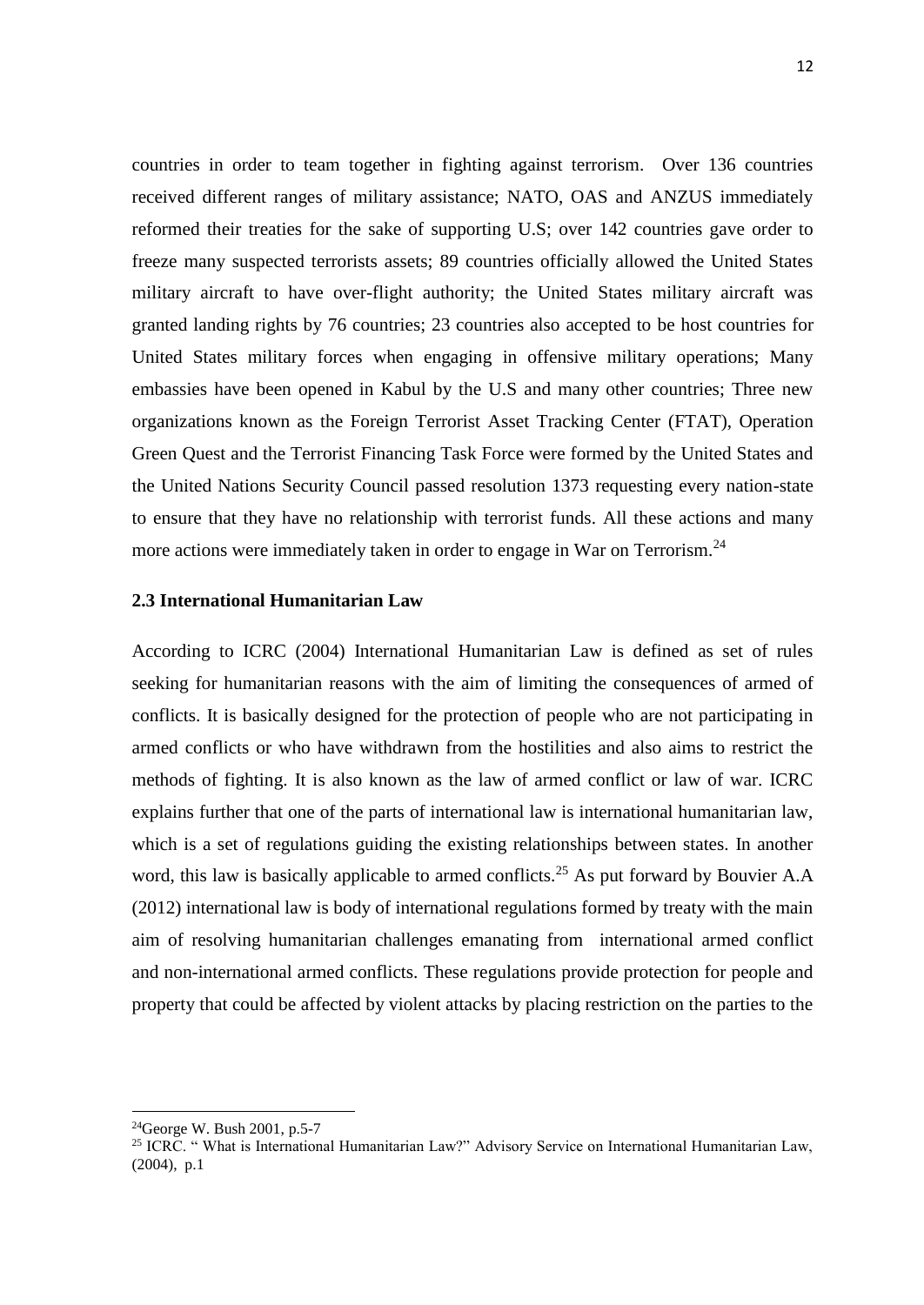countries in order to team together in fighting against terrorism. Over 136 countries received different ranges of military assistance; NATO, OAS and ANZUS immediately reformed their treaties for the sake of supporting U.S; over 142 countries gave order to freeze many suspected terrorists assets; 89 countries officially allowed the United States military aircraft to have over-flight authority; the United States military aircraft was granted landing rights by 76 countries; 23 countries also accepted to be host countries for United States military forces when engaging in offensive military operations; Many embassies have been opened in Kabul by the U.S and many other countries; Three new organizations known as the Foreign Terrorist Asset Tracking Center (FTAT), Operation Green Quest and the Terrorist Financing Task Force were formed by the United States and the United Nations Security Council passed resolution 1373 requesting every nation-state to ensure that they have no relationship with terrorist funds. All these actions and many more actions were immediately taken in order to engage in War on Terrorism.<sup>24</sup>

### <span id="page-22-0"></span>**2.3 International Humanitarian Law**

According to ICRC (2004) International Humanitarian Law is defined as set of rules seeking for humanitarian reasons with the aim of limiting the consequences of armed of conflicts. It is basically designed for the protection of people who are not participating in armed conflicts or who have withdrawn from the hostilities and also aims to restrict the methods of fighting. It is also known as the law of armed conflict or law of war. ICRC explains further that one of the parts of international law is international humanitarian law, which is a set of regulations guiding the existing relationships between states. In another word, this law is basically applicable to armed conflicts.<sup>25</sup> As put forward by Bouvier A.A (2012) international law is body of international regulations formed by treaty with the main aim of resolving humanitarian challenges emanating from international armed conflict and non-international armed conflicts. These regulations provide protection for people and property that could be affected by violent attacks by placing restriction on the parties to the

 $^{24}$ George W. Bush 2001, p.5-7

<sup>&</sup>lt;sup>25</sup> ICRC. "What is International Humanitarian Law?" Advisory Service on International Humanitarian Law, (2004), p.1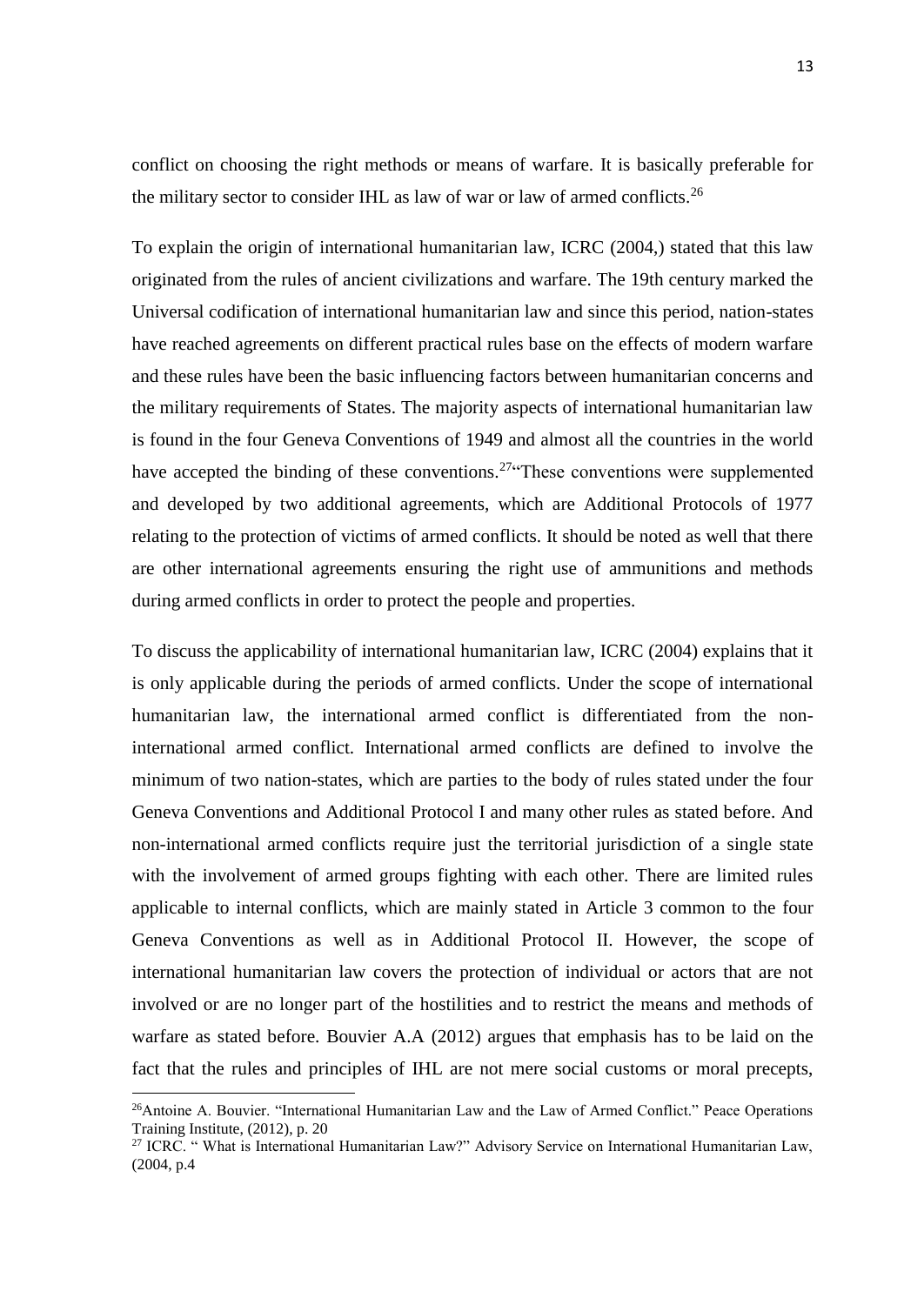conflict on choosing the right methods or means of warfare. It is basically preferable for the military sector to consider IHL as law of war or law of armed conflicts.<sup>26</sup>

To explain the origin of international humanitarian law, ICRC (2004,) stated that this law originated from the rules of ancient civilizations and warfare. The 19th century marked the Universal codification of international humanitarian law and since this period, nation-states have reached agreements on different practical rules base on the effects of modern warfare and these rules have been the basic influencing factors between humanitarian concerns and the military requirements of States. The majority aspects of international humanitarian law is found in the four Geneva Conventions of 1949 and almost all the countries in the world have accepted the binding of these conventions.<sup>27</sup> These conventions were supplemented and developed by two additional agreements, which are Additional Protocols of 1977 relating to the protection of victims of armed conflicts. It should be noted as well that there are other international agreements ensuring the right use of ammunitions and methods during armed conflicts in order to protect the people and properties.

To discuss the applicability of international humanitarian law, ICRC (2004) explains that it is only applicable during the periods of armed conflicts. Under the scope of international humanitarian law, the international armed conflict is differentiated from the noninternational armed conflict. International armed conflicts are defined to involve the minimum of two nation-states, which are parties to the body of rules stated under the four Geneva Conventions and Additional Protocol I and many other rules as stated before. And non-international armed conflicts require just the territorial jurisdiction of a single state with the involvement of armed groups fighting with each other. There are limited rules applicable to internal conflicts, which are mainly stated in Article 3 common to the four Geneva Conventions as well as in Additional Protocol II. However, the scope of international humanitarian law covers the protection of individual or actors that are not involved or are no longer part of the hostilities and to restrict the means and methods of warfare as stated before. Bouvier A.A (2012) argues that emphasis has to be laid on the fact that the rules and principles of IHL are not mere social customs or moral precepts,

<sup>&</sup>lt;sup>26</sup>Antoine A. Bouvier. "International Humanitarian Law and the Law of Armed Conflict." Peace Operations Training Institute, (2012), p. 20

<sup>&</sup>lt;sup>27</sup> ICRC. "What is International Humanitarian Law?" Advisory Service on International Humanitarian Law, (2004, p.4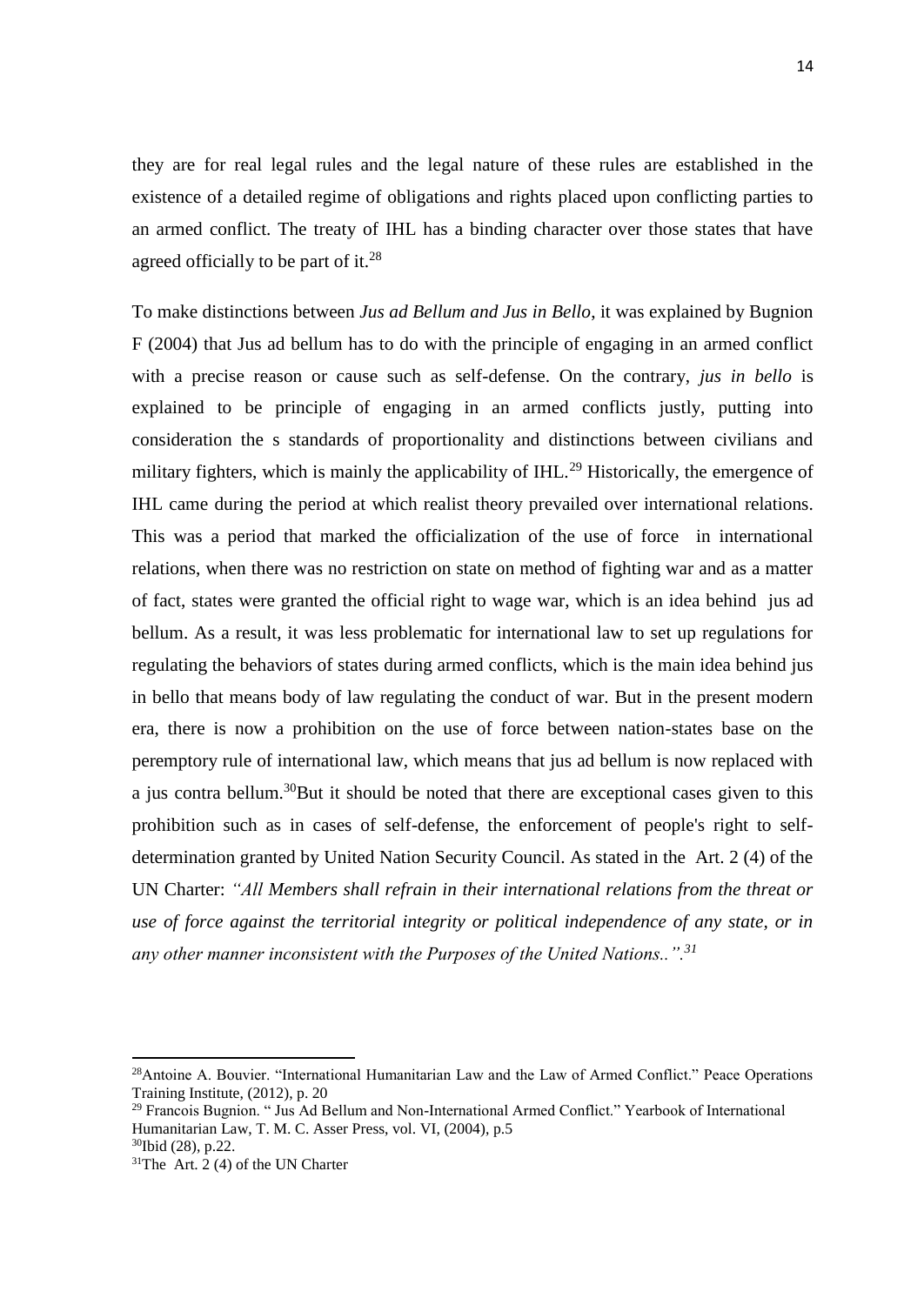they are for real legal rules and the legal nature of these rules are established in the existence of a detailed regime of obligations and rights placed upon conflicting parties to an armed conflict. The treaty of IHL has a binding character over those states that have agreed officially to be part of it.<sup>28</sup>

To make distinctions between *Jus ad Bellum and Jus in Bello*, it was explained by Bugnion F (2004) that Jus ad bellum has to do with the principle of engaging in an armed conflict with a precise reason or cause such as self-defense. On the contrary, *jus in bello* is explained to be principle of engaging in an armed conflicts justly, putting into consideration the s standards of proportionality and distinctions between civilians and military fighters, which is mainly the applicability of  $IHL$ <sup>29</sup> Historically, the emergence of IHL came during the period at which realist theory prevailed over international relations. This was a period that marked the officialization of the use of force in international relations, when there was no restriction on state on method of fighting war and as a matter of fact, states were granted the official right to wage war, which is an idea behind jus ad bellum. As a result, it was less problematic for international law to set up regulations for regulating the behaviors of states during armed conflicts, which is the main idea behind jus in bello that means body of law regulating the conduct of war. But in the present modern era, there is now a prohibition on the use of force between nation-states base on the peremptory rule of international law, which means that jus ad bellum is now replaced with a jus contra bellum.<sup>30</sup>But it should be noted that there are exceptional cases given to this prohibition such as in cases of self-defense, the enforcement of people's right to selfdetermination granted by United Nation Security Council. As stated in the Art. 2 (4) of the UN Charter: *"All Members shall refrain in their international relations from the threat or use of force against the territorial integrity or political independence of any state, or in any other manner inconsistent with the Purposes of the United Nations..".<sup>31</sup>*

<sup>&</sup>lt;sup>28</sup>Antoine A. Bouvier. "International Humanitarian Law and the Law of Armed Conflict." Peace Operations Training Institute, (2012), p. 20

<sup>29</sup> Francois Bugnion. " Jus Ad Bellum and Non-International Armed Conflict." Yearbook of International Humanitarian Law, T. M. C. Asser Press, vol. VI, (2004), p.5

<sup>30</sup>Ibid (28), p.22.

 $31$ The Art. 2 (4) of the UN Charter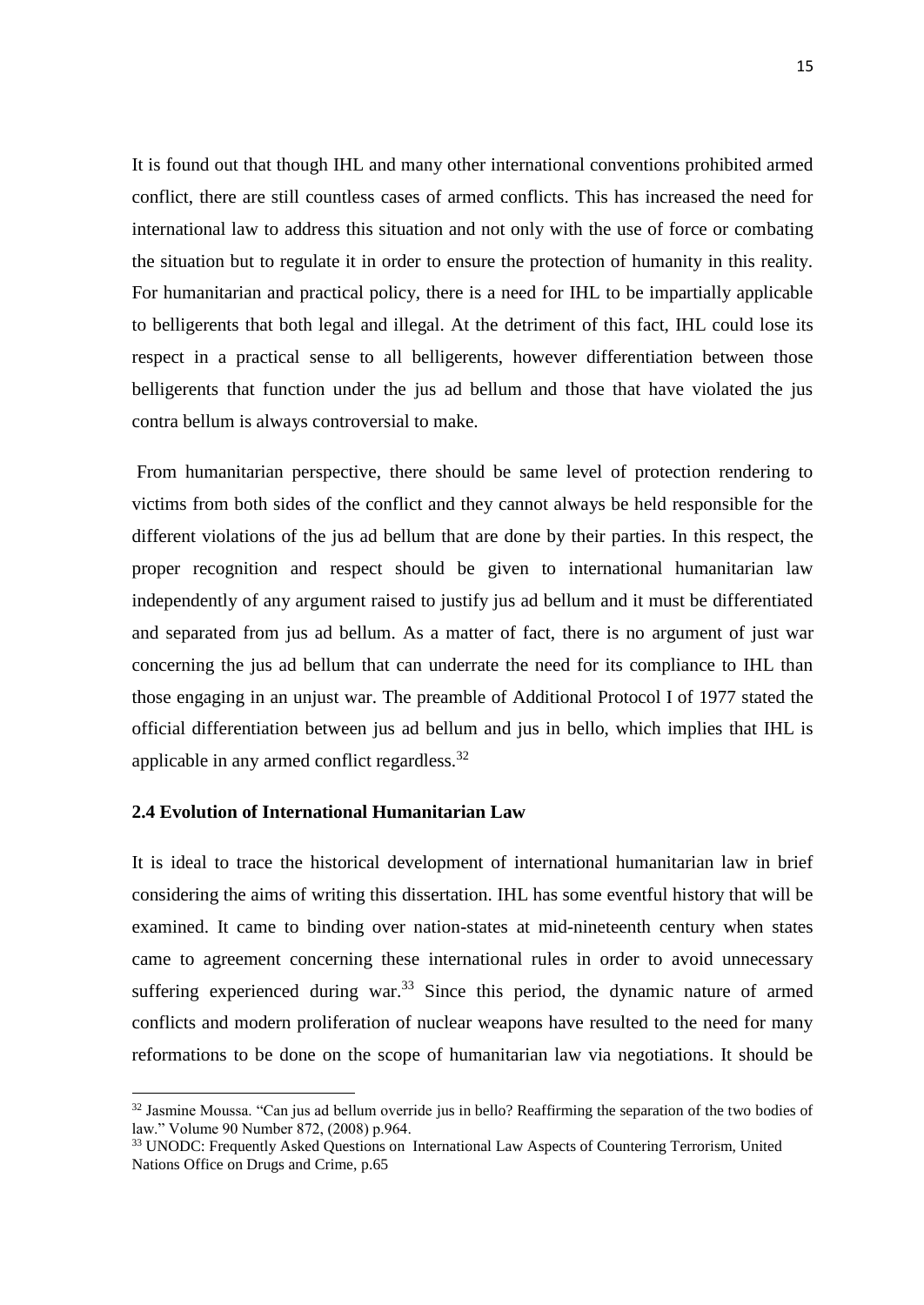It is found out that though IHL and many other international conventions prohibited armed conflict, there are still countless cases of armed conflicts. This has increased the need for international law to address this situation and not only with the use of force or combating the situation but to regulate it in order to ensure the protection of humanity in this reality. For humanitarian and practical policy, there is a need for IHL to be impartially applicable to belligerents that both legal and illegal. At the detriment of this fact, IHL could lose its respect in a practical sense to all belligerents, however differentiation between those belligerents that function under the jus ad bellum and those that have violated the jus contra bellum is always controversial to make.

From humanitarian perspective, there should be same level of protection rendering to victims from both sides of the conflict and they cannot always be held responsible for the different violations of the jus ad bellum that are done by their parties. In this respect, the proper recognition and respect should be given to international humanitarian law independently of any argument raised to justify jus ad bellum and it must be differentiated and separated from jus ad bellum. As a matter of fact, there is no argument of just war concerning the jus ad bellum that can underrate the need for its compliance to IHL than those engaging in an unjust war. The preamble of Additional Protocol I of 1977 stated the official differentiation between jus ad bellum and jus in bello, which implies that IHL is applicable in any armed conflict regardless.<sup>32</sup>

## <span id="page-25-0"></span>**2.4 Evolution of International Humanitarian Law**

**.** 

It is ideal to trace the historical development of international humanitarian law in brief considering the aims of writing this dissertation. IHL has some eventful history that will be examined. It came to binding over nation-states at mid-nineteenth century when states came to agreement concerning these international rules in order to avoid unnecessary suffering experienced during war. $33$  Since this period, the dynamic nature of armed conflicts and modern proliferation of nuclear weapons have resulted to the need for many reformations to be done on the scope of humanitarian law via negotiations. It should be

<sup>&</sup>lt;sup>32</sup> Jasmine Moussa. "Can jus ad bellum override jus in bello? Reaffirming the separation of the two bodies of law." Volume 90 Number 872, (2008) p.964.

<sup>33</sup> UNODC: Frequently Asked Questions on International Law Aspects of Countering Terrorism, United Nations Office on Drugs and Crime, p.65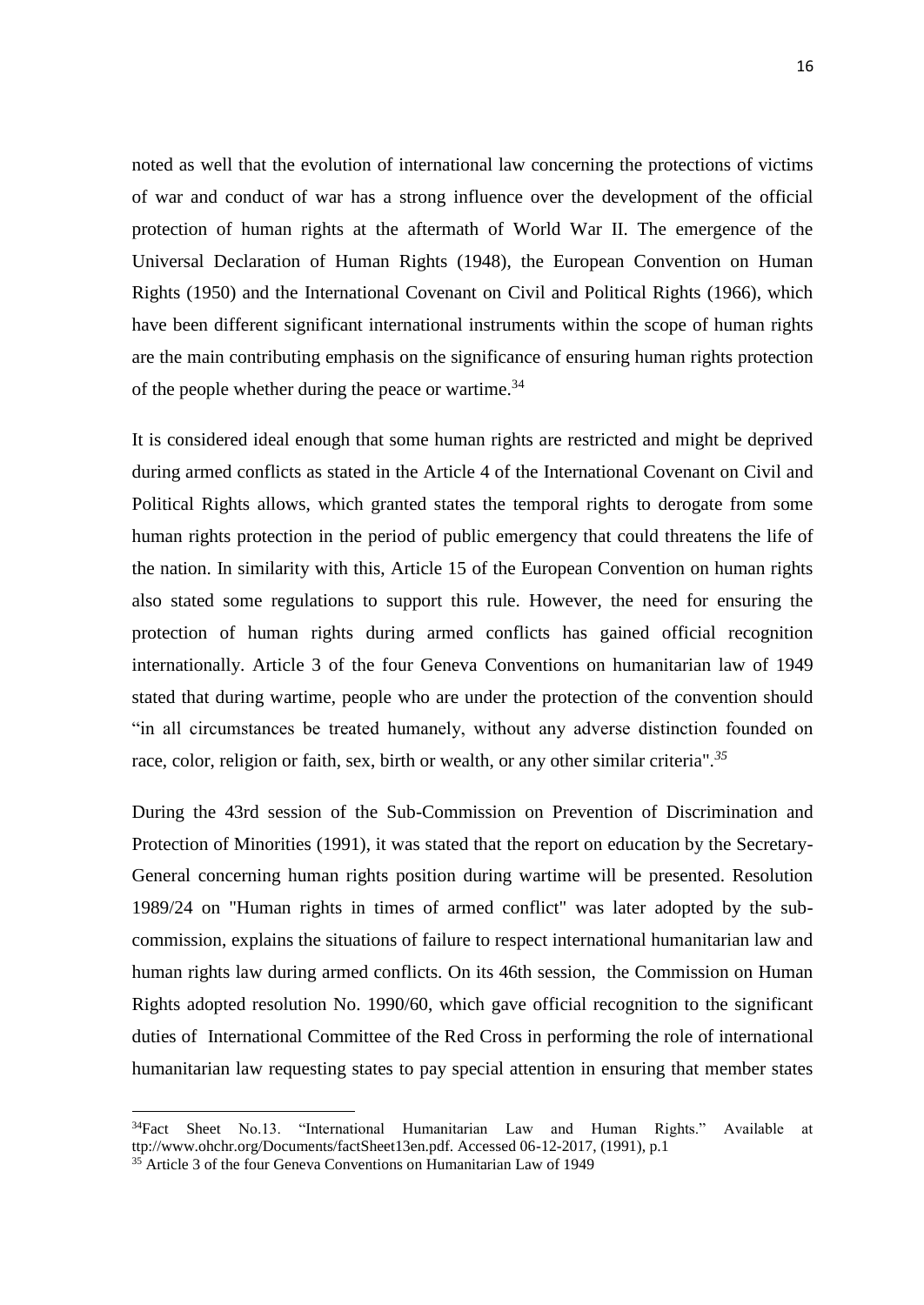noted as well that the evolution of international law concerning the protections of victims of war and conduct of war has a strong influence over the development of the official protection of human rights at the aftermath of World War II. The emergence of the Universal Declaration of Human Rights (1948), the European Convention on Human Rights (1950) and the International Covenant on Civil and Political Rights (1966), which have been different significant international instruments within the scope of human rights are the main contributing emphasis on the significance of ensuring human rights protection of the people whether during the peace or wartime.<sup>34</sup>

It is considered ideal enough that some human rights are restricted and might be deprived during armed conflicts as stated in the Article 4 of the International Covenant on Civil and Political Rights allows, which granted states the temporal rights to derogate from some human rights protection in the period of public emergency that could threatens the life of the nation. In similarity with this, Article 15 of the European Convention on human rights also stated some regulations to support this rule. However, the need for ensuring the protection of human rights during armed conflicts has gained official recognition internationally. Article 3 of the four Geneva Conventions on humanitarian law of 1949 stated that during wartime, people who are under the protection of the convention should "in all circumstances be treated humanely, without any adverse distinction founded on race, color, religion or faith, sex, birth or wealth, or any other similar criteria".*<sup>35</sup>*

During the 43rd session of the Sub-Commission on Prevention of Discrimination and Protection of Minorities (1991), it was stated that the report on education by the Secretary-General concerning human rights position during wartime will be presented. Resolution 1989/24 on "Human rights in times of armed conflict" was later adopted by the subcommission, explains the situations of failure to respect international humanitarian law and human rights law during armed conflicts. On its 46th session, the Commission on Human Rights adopted resolution No. 1990/60, which gave official recognition to the significant duties of International Committee of the Red Cross in performing the role of international humanitarian law requesting states to pay special attention in ensuring that member states

<sup>34</sup>Fact Sheet No.13. "International Humanitarian Law and Human Rights." Available at ttp://www.ohchr.org/Documents/factSheet13en.pdf. Accessed 06-12-2017, (1991), p.1

 $35$  Article 3 of the four Geneva Conventions on Humanitarian Law of 1949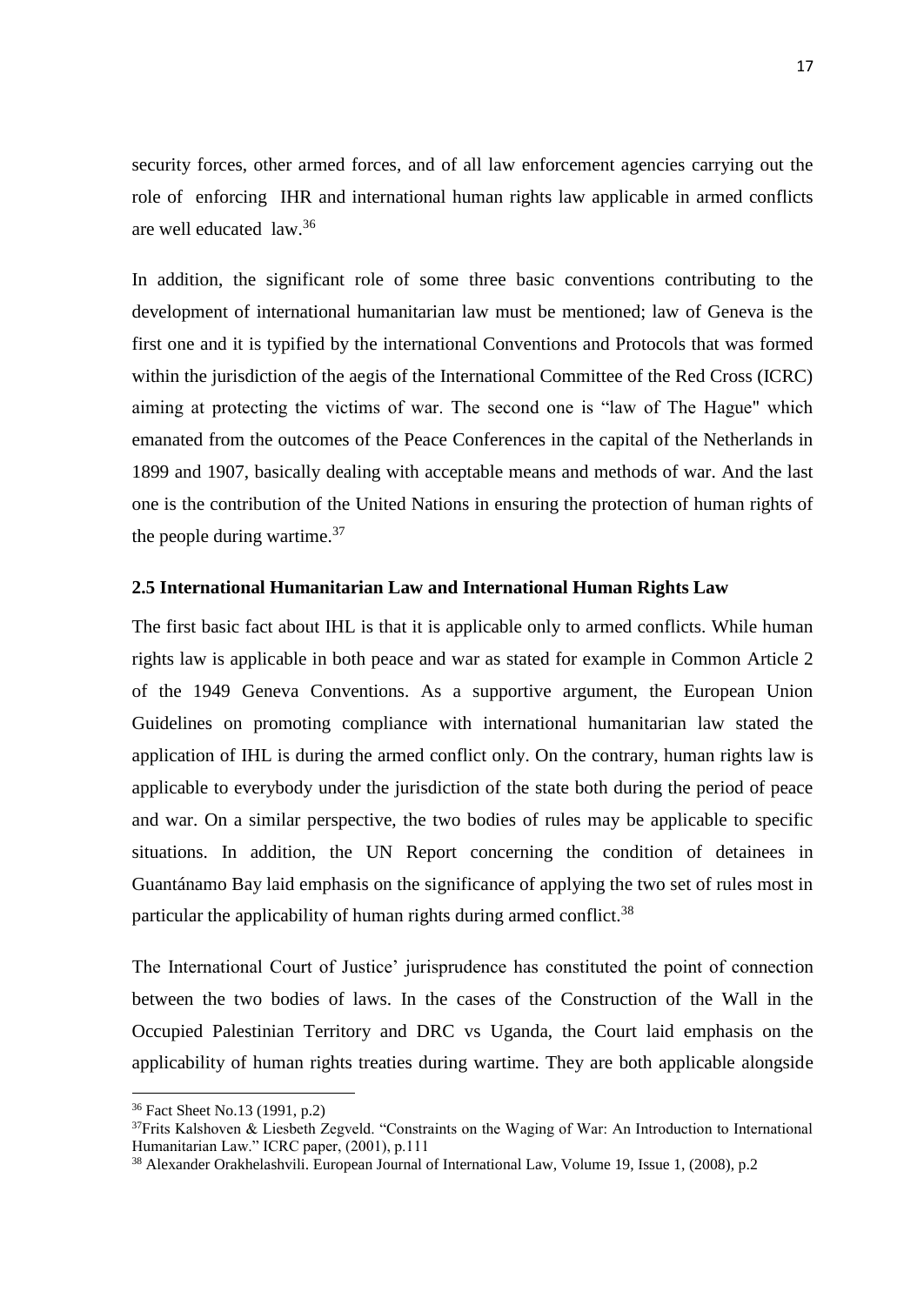security forces, other armed forces, and of all law enforcement agencies carrying out the role of enforcing IHR and international human rights law applicable in armed conflicts are well educated law.<sup>36</sup>

In addition, the significant role of some three basic conventions contributing to the development of international humanitarian law must be mentioned; law of Geneva is the first one and it is typified by the international Conventions and Protocols that was formed within the jurisdiction of the aegis of the International Committee of the Red Cross (ICRC) aiming at protecting the victims of war. The second one is "law of The Hague" which emanated from the outcomes of the Peace Conferences in the capital of the Netherlands in 1899 and 1907, basically dealing with acceptable means and methods of war. And the last one is the contribution of the United Nations in ensuring the protection of human rights of the people during wartime. $37$ 

### <span id="page-27-0"></span>**2.5 International Humanitarian Law and International Human Rights Law**

The first basic fact about IHL is that it is applicable only to armed conflicts. While human rights law is applicable in both peace and war as stated for example in Common Article 2 of the 1949 Geneva Conventions. As a supportive argument, the European Union Guidelines on promoting compliance with international humanitarian law stated the application of IHL is during the armed conflict only. On the contrary, human rights law is applicable to everybody under the jurisdiction of the state both during the period of peace and war. On a similar perspective, the two bodies of rules may be applicable to specific situations. In addition, the UN Report concerning the condition of detainees in Guantánamo Bay laid emphasis on the significance of applying the two set of rules most in particular the applicability of human rights during armed conflict.<sup>38</sup>

The International Court of Justice' jurisprudence has constituted the point of connection between the two bodies of laws. In the cases of the Construction of the Wall in the Occupied Palestinian Territory and DRC vs Uganda, the Court laid emphasis on the applicability of human rights treaties during wartime. They are both applicable alongside

<sup>36</sup> Fact Sheet No.13 (1991, p.2)

 $37$ Frits Kalshoven & Liesbeth Zegveld. "Constraints on the Waging of War: An Introduction to International Humanitarian Law." ICRC paper, (2001), p.111

<sup>38</sup> Alexander Orakhelashvili. European Journal of International Law, Volume 19, Issue 1, (2008), p.2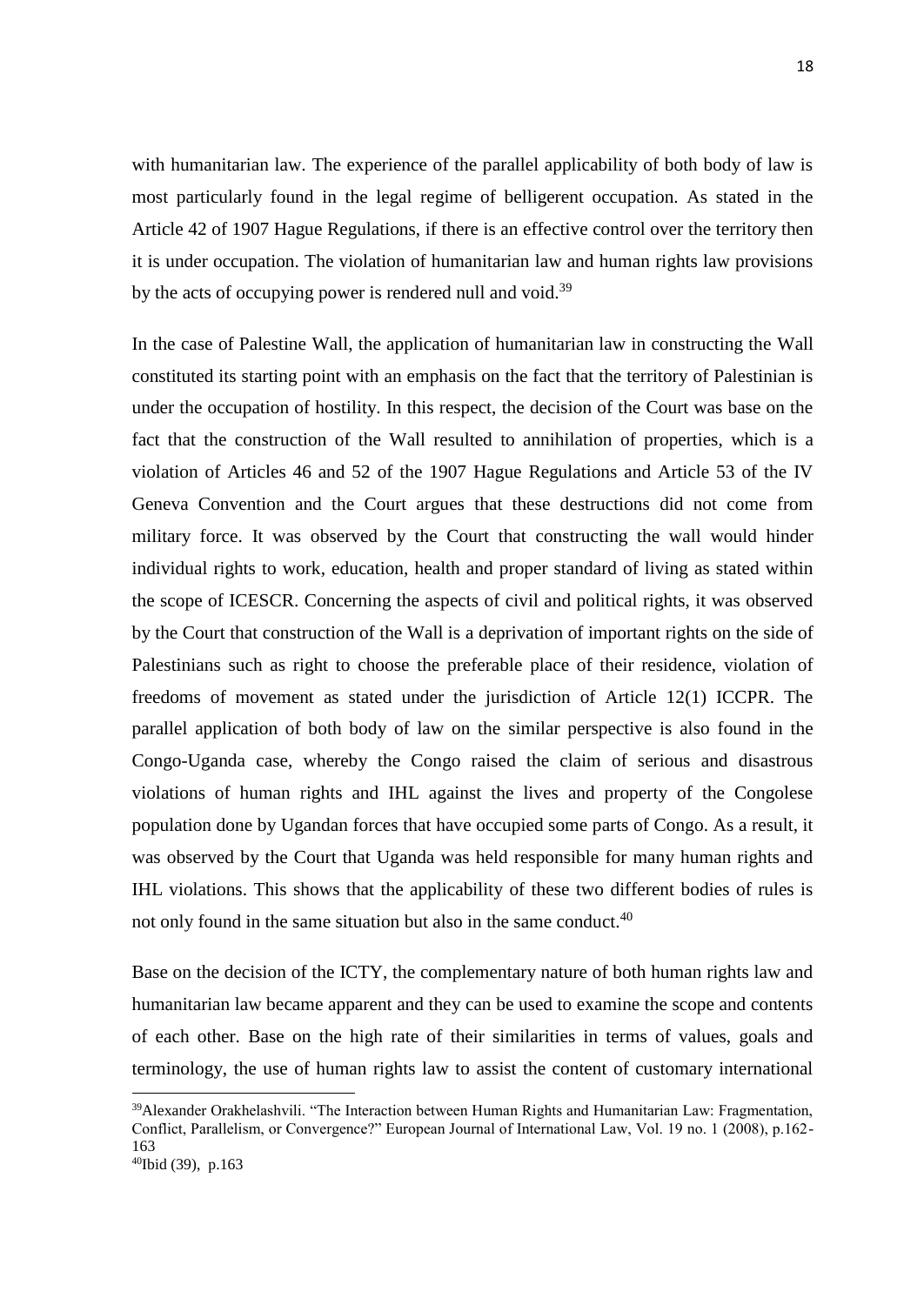with humanitarian law. The experience of the parallel applicability of both body of law is most particularly found in the legal regime of belligerent occupation. As stated in the Article 42 of 1907 Hague Regulations, if there is an effective control over the territory then it is under occupation. The violation of humanitarian law and human rights law provisions by the acts of occupying power is rendered null and void.<sup>39</sup>

In the case of Palestine Wall, the application of humanitarian law in constructing the Wall constituted its starting point with an emphasis on the fact that the territory of Palestinian is under the occupation of hostility. In this respect, the decision of the Court was base on the fact that the construction of the Wall resulted to annihilation of properties, which is a violation of Articles 46 and 52 of the 1907 Hague Regulations and Article 53 of the IV Geneva Convention and the Court argues that these destructions did not come from military force. It was observed by the Court that constructing the wall would hinder individual rights to work, education, health and proper standard of living as stated within the scope of ICESCR. Concerning the aspects of civil and political rights, it was observed by the Court that construction of the Wall is a deprivation of important rights on the side of Palestinians such as right to choose the preferable place of their residence, violation of freedoms of movement as stated under the jurisdiction of Article 12(1) ICCPR. The parallel application of both body of law on the similar perspective is also found in the Congo-Uganda case, whereby the Congo raised the claim of serious and disastrous violations of human rights and IHL against the lives and property of the Congolese population done by Ugandan forces that have occupied some parts of Congo. As a result, it was observed by the Court that Uganda was held responsible for many human rights and IHL violations. This shows that the applicability of these two different bodies of rules is not only found in the same situation but also in the same conduct.<sup>40</sup>

Base on the decision of the ICTY, the complementary nature of both human rights law and humanitarian law became apparent and they can be used to examine the scope and contents of each other. Base on the high rate of their similarities in terms of values, goals and terminology, the use of human rights law to assist the content of customary international

<sup>&</sup>lt;sup>39</sup>Alexander Orakhelashvili. "The Interaction between Human Rights and Humanitarian Law: Fragmentation, Conflict, Parallelism, or Convergence?" European Journal of International Law, Vol. 19 no. 1 (2008), p.162- 163

<sup>40</sup>Ibid (39), p.163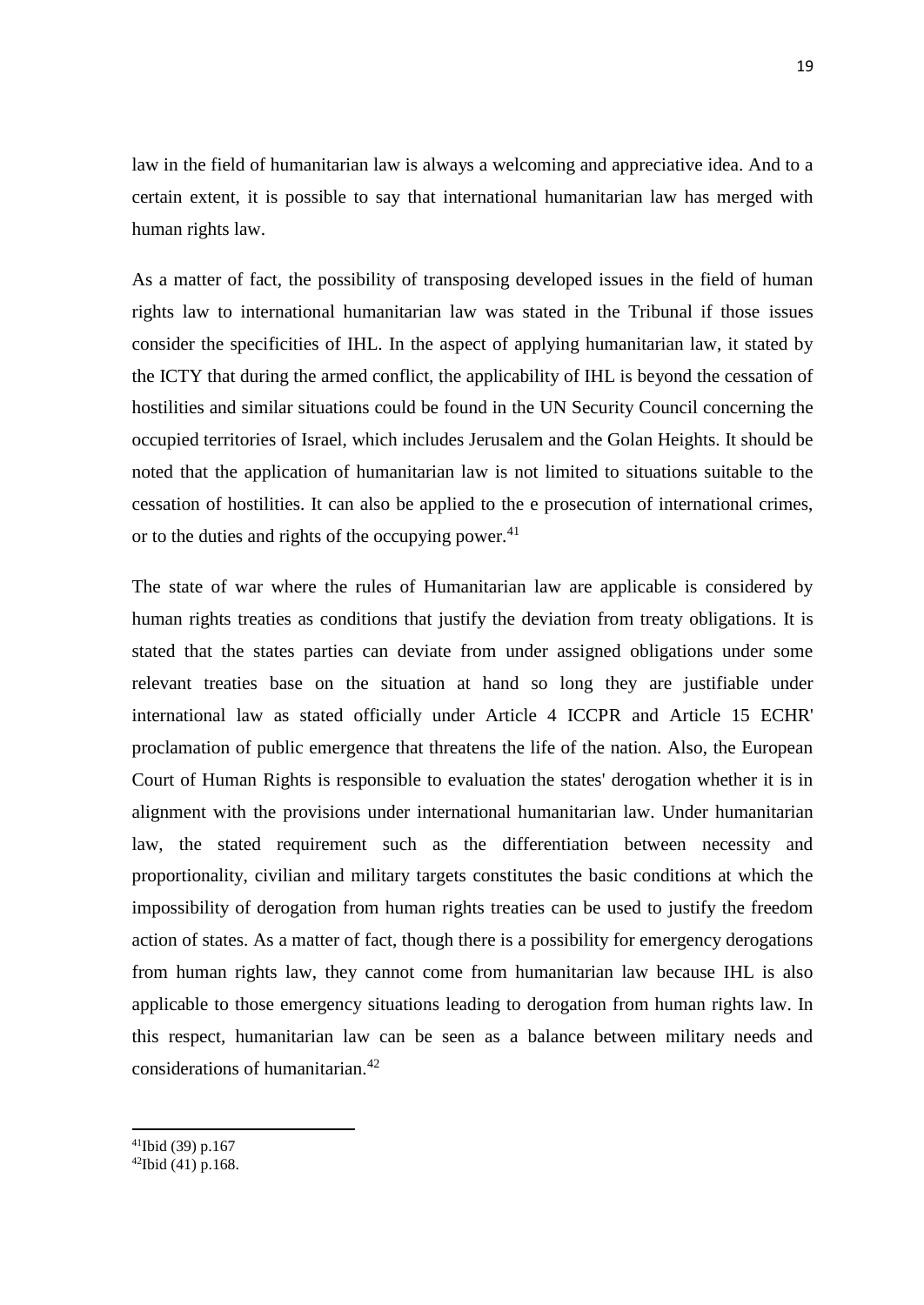law in the field of humanitarian law is always a welcoming and appreciative idea. And to a certain extent, it is possible to say that international humanitarian law has merged with human rights law.

As a matter of fact, the possibility of transposing developed issues in the field of human rights law to international humanitarian law was stated in the Tribunal if those issues consider the specificities of IHL. In the aspect of applying humanitarian law, it stated by the ICTY that during the armed conflict, the applicability of IHL is beyond the cessation of hostilities and similar situations could be found in the UN Security Council concerning the occupied territories of Israel, which includes Jerusalem and the Golan Heights. It should be noted that the application of humanitarian law is not limited to situations suitable to the cessation of hostilities. It can also be applied to the e prosecution of international crimes, or to the duties and rights of the occupying power. $41$ 

The state of war where the rules of Humanitarian law are applicable is considered by human rights treaties as conditions that justify the deviation from treaty obligations. It is stated that the states parties can deviate from under assigned obligations under some relevant treaties base on the situation at hand so long they are justifiable under international law as stated officially under Article 4 ICCPR and Article 15 ECHR' proclamation of public emergence that threatens the life of the nation. Also, the European Court of Human Rights is responsible to evaluation the states' derogation whether it is in alignment with the provisions under international humanitarian law. Under humanitarian law, the stated requirement such as the differentiation between necessity and proportionality, civilian and military targets constitutes the basic conditions at which the impossibility of derogation from human rights treaties can be used to justify the freedom action of states. As a matter of fact, though there is a possibility for emergency derogations from human rights law, they cannot come from humanitarian law because IHL is also applicable to those emergency situations leading to derogation from human rights law. In this respect, humanitarian law can be seen as a balance between military needs and considerations of humanitarian.<sup>42</sup>

 $\overline{a}$ 

 $41$ Ibid (39) p.167

<sup>42</sup>Ibid (41) p.168.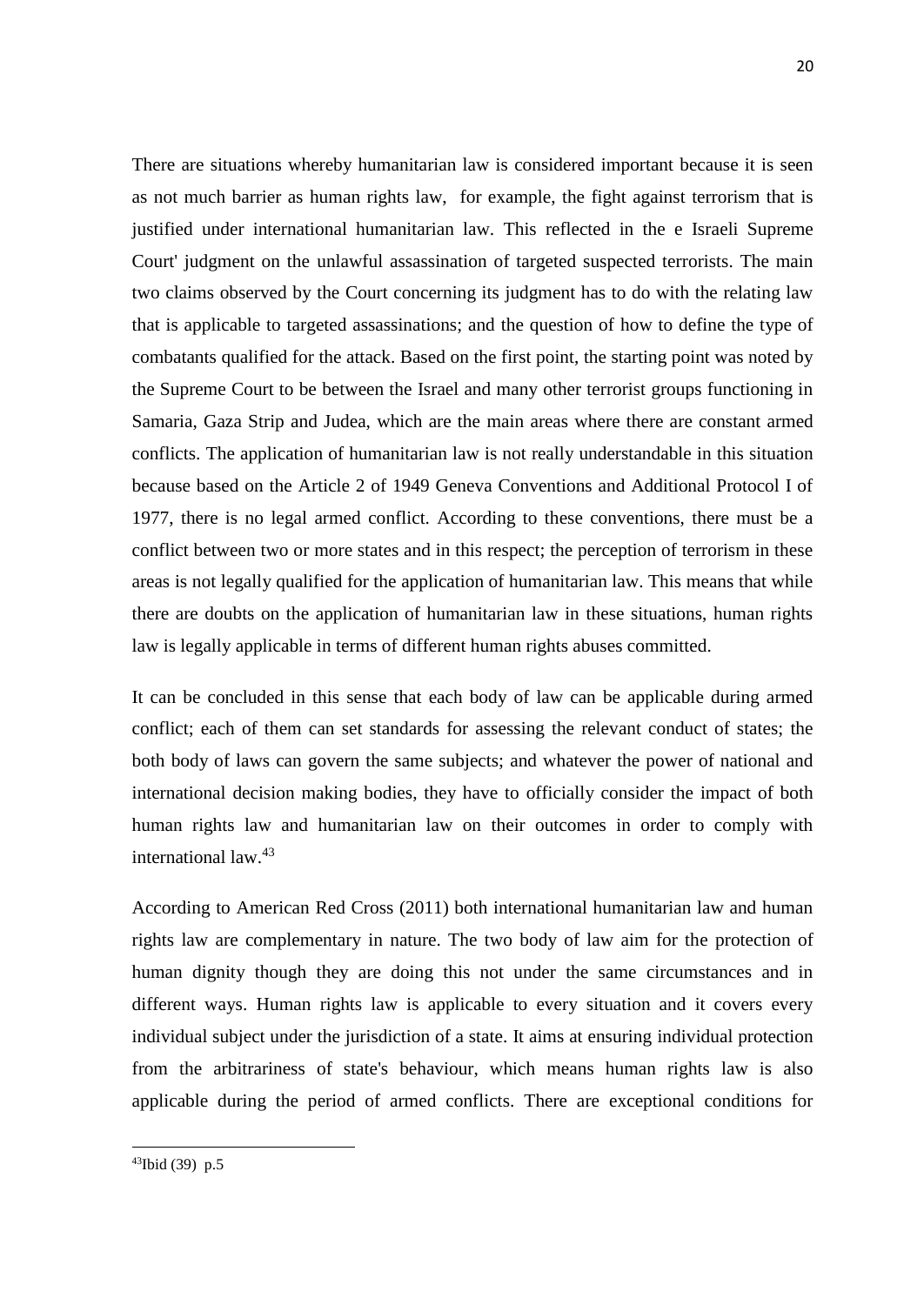There are situations whereby humanitarian law is considered important because it is seen as not much barrier as human rights law, for example, the fight against terrorism that is justified under international humanitarian law. This reflected in the e Israeli Supreme Court' judgment on the unlawful assassination of targeted suspected terrorists. The main two claims observed by the Court concerning its judgment has to do with the relating law that is applicable to targeted assassinations; and the question of how to define the type of combatants qualified for the attack. Based on the first point, the starting point was noted by the Supreme Court to be between the Israel and many other terrorist groups functioning in Samaria, Gaza Strip and Judea, which are the main areas where there are constant armed conflicts. The application of humanitarian law is not really understandable in this situation because based on the Article 2 of 1949 Geneva Conventions and Additional Protocol I of 1977, there is no legal armed conflict. According to these conventions, there must be a conflict between two or more states and in this respect; the perception of terrorism in these areas is not legally qualified for the application of humanitarian law. This means that while there are doubts on the application of humanitarian law in these situations, human rights law is legally applicable in terms of different human rights abuses committed.

It can be concluded in this sense that each body of law can be applicable during armed conflict; each of them can set standards for assessing the relevant conduct of states; the both body of laws can govern the same subjects; and whatever the power of national and international decision making bodies, they have to officially consider the impact of both human rights law and humanitarian law on their outcomes in order to comply with international law.<sup>43</sup>

According to American Red Cross (2011) both international humanitarian law and human rights law are complementary in nature. The two body of law aim for the protection of human dignity though they are doing this not under the same circumstances and in different ways. Human rights law is applicable to every situation and it covers every individual subject under the jurisdiction of a state. It aims at ensuring individual protection from the arbitrariness of state's behaviour, which means human rights law is also applicable during the period of armed conflicts. There are exceptional conditions for

<sup>43</sup>Ibid (39) p.5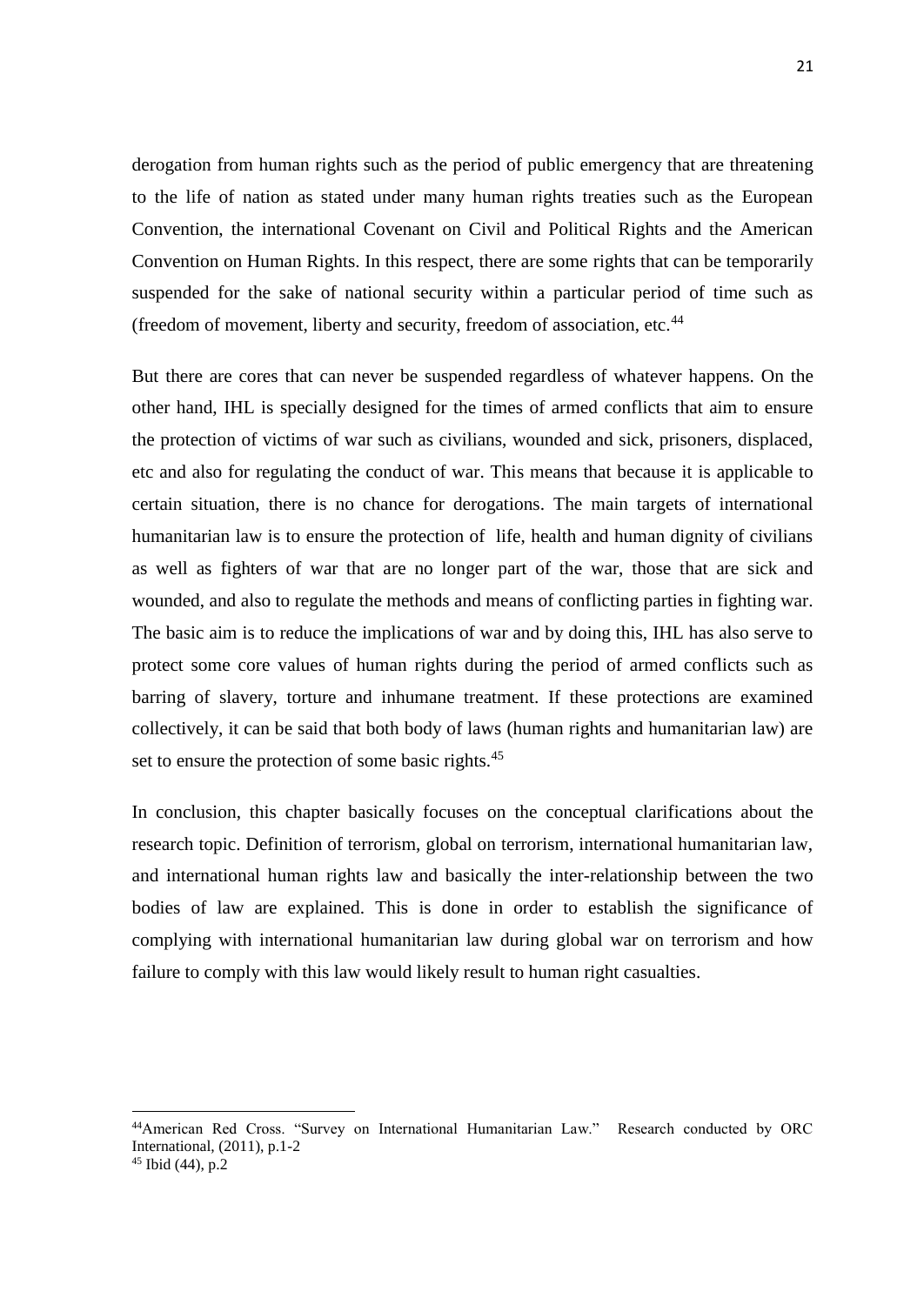derogation from human rights such as the period of public emergency that are threatening to the life of nation as stated under many human rights treaties such as the European Convention, the international Covenant on Civil and Political Rights and the American Convention on Human Rights. In this respect, there are some rights that can be temporarily suspended for the sake of national security within a particular period of time such as (freedom of movement, liberty and security, freedom of association, etc.<sup>44</sup>

But there are cores that can never be suspended regardless of whatever happens. On the other hand, IHL is specially designed for the times of armed conflicts that aim to ensure the protection of victims of war such as civilians, wounded and sick, prisoners, displaced, etc and also for regulating the conduct of war. This means that because it is applicable to certain situation, there is no chance for derogations. The main targets of international humanitarian law is to ensure the protection of life, health and human dignity of civilians as well as fighters of war that are no longer part of the war, those that are sick and wounded, and also to regulate the methods and means of conflicting parties in fighting war. The basic aim is to reduce the implications of war and by doing this, IHL has also serve to protect some core values of human rights during the period of armed conflicts such as barring of slavery, torture and inhumane treatment. If these protections are examined collectively, it can be said that both body of laws (human rights and humanitarian law) are set to ensure the protection of some basic rights.<sup>45</sup>

In conclusion, this chapter basically focuses on the conceptual clarifications about the research topic. Definition of terrorism, global on terrorism, international humanitarian law, and international human rights law and basically the inter-relationship between the two bodies of law are explained. This is done in order to establish the significance of complying with international humanitarian law during global war on terrorism and how failure to comply with this law would likely result to human right casualties.

<sup>44</sup>American Red Cross. "Survey on International Humanitarian Law." Research conducted by ORC International, (2011), p.1-2

 $45$  Ibid (44), p.2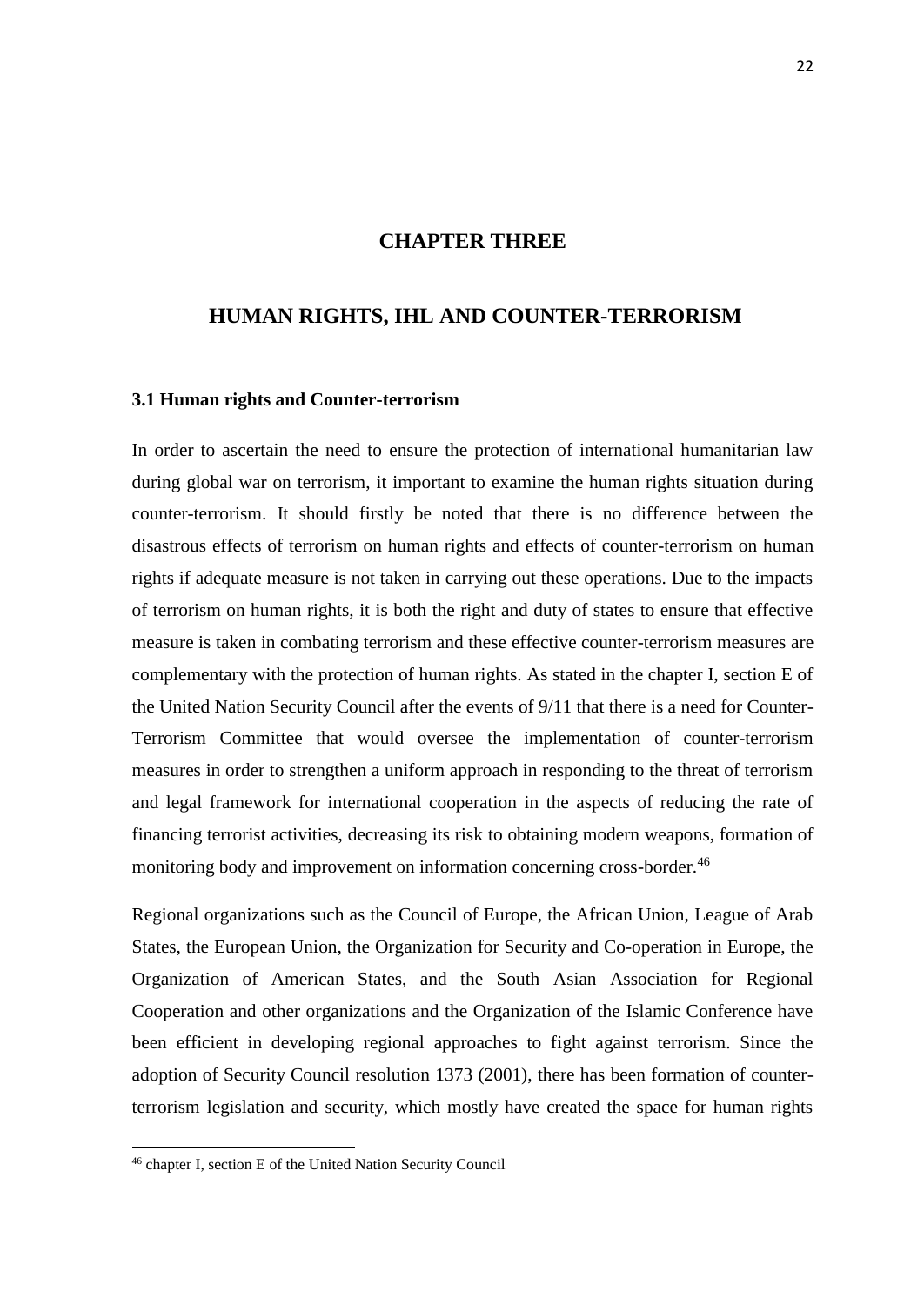## **CHAPTER THREE**

## <span id="page-32-0"></span>**HUMAN RIGHTS, IHL AND COUNTER-TERRORISM**

#### <span id="page-32-1"></span>**3.1 Human rights and Counter-terrorism**

In order to ascertain the need to ensure the protection of international humanitarian law during global war on terrorism, it important to examine the human rights situation during counter-terrorism. It should firstly be noted that there is no difference between the disastrous effects of terrorism on human rights and effects of counter-terrorism on human rights if adequate measure is not taken in carrying out these operations. Due to the impacts of terrorism on human rights, it is both the right and duty of states to ensure that effective measure is taken in combating terrorism and these effective counter-terrorism measures are complementary with the protection of human rights. As stated in the chapter I, section E of the United Nation Security Council after the events of 9/11 that there is a need for Counter-Terrorism Committee that would oversee the implementation of counter-terrorism measures in order to strengthen a uniform approach in responding to the threat of terrorism and legal framework for international cooperation in the aspects of reducing the rate of financing terrorist activities, decreasing its risk to obtaining modern weapons, formation of monitoring body and improvement on information concerning cross-border.<sup>46</sup>

Regional organizations such as the Council of Europe, the African Union, League of Arab States, the European Union, the Organization for Security and Co-operation in Europe, the Organization of American States, and the South Asian Association for Regional Cooperation and other organizations and the Organization of the Islamic Conference have been efficient in developing regional approaches to fight against terrorism. Since the adoption of Security Council resolution 1373 (2001), there has been formation of counterterrorism legislation and security, which mostly have created the space for human rights

<sup>46</sup> chapter I, section E of the United Nation Security Council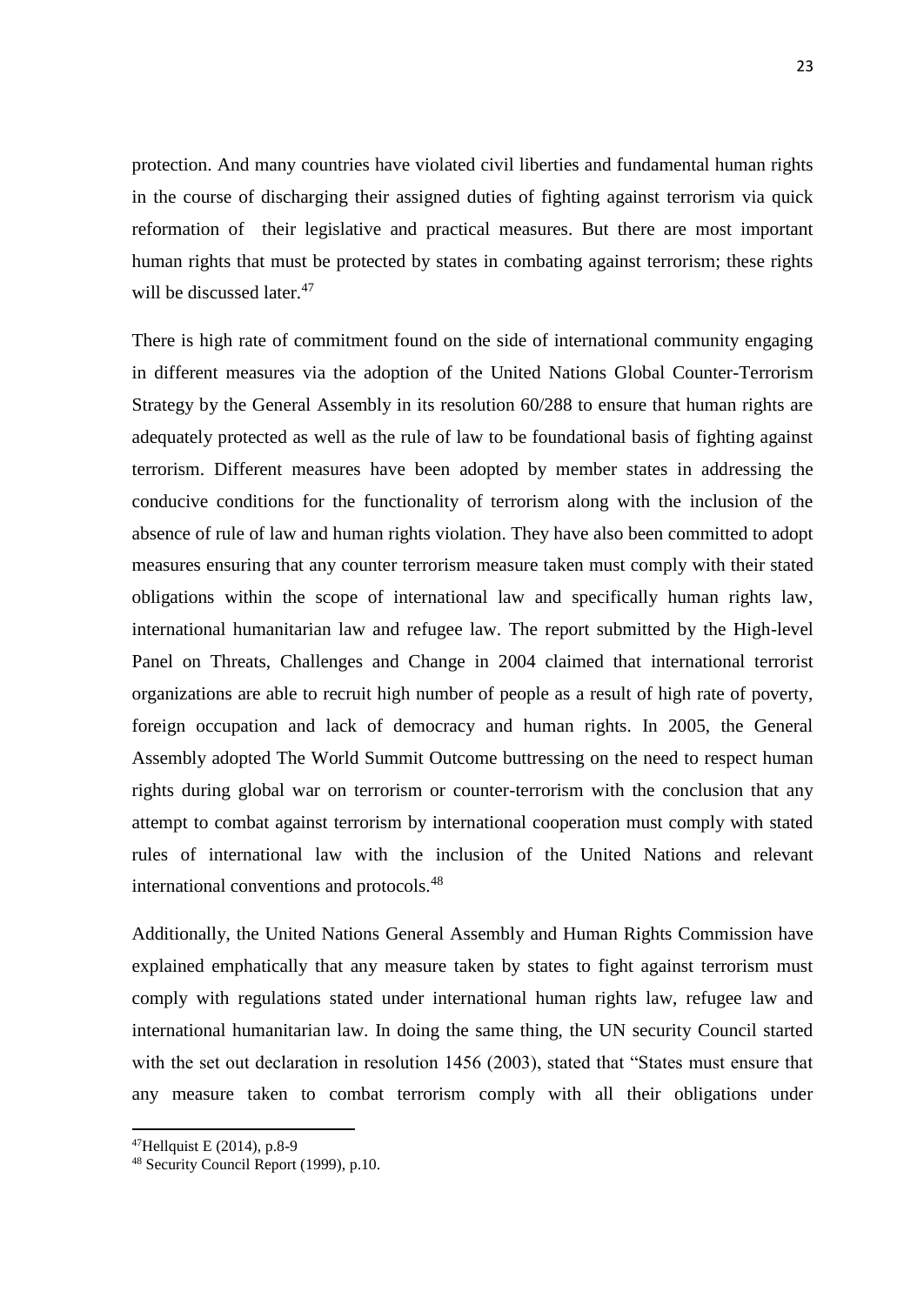protection. And many countries have violated civil liberties and fundamental human rights in the course of discharging their assigned duties of fighting against terrorism via quick reformation of their legislative and practical measures. But there are most important human rights that must be protected by states in combating against terrorism; these rights will be discussed later.<sup>47</sup>

There is high rate of commitment found on the side of international community engaging in different measures via the adoption of the United Nations Global Counter-Terrorism Strategy by the General Assembly in its resolution 60/288 to ensure that human rights are adequately protected as well as the rule of law to be foundational basis of fighting against terrorism. Different measures have been adopted by member states in addressing the conducive conditions for the functionality of terrorism along with the inclusion of the absence of rule of law and human rights violation. They have also been committed to adopt measures ensuring that any counter terrorism measure taken must comply with their stated obligations within the scope of international law and specifically human rights law, international humanitarian law and refugee law. The report submitted by the High-level Panel on Threats, Challenges and Change in 2004 claimed that international terrorist organizations are able to recruit high number of people as a result of high rate of poverty, foreign occupation and lack of democracy and human rights. In 2005, the General Assembly adopted The World Summit Outcome buttressing on the need to respect human rights during global war on terrorism or counter-terrorism with the conclusion that any attempt to combat against terrorism by international cooperation must comply with stated rules of international law with the inclusion of the United Nations and relevant international conventions and protocols.<sup>48</sup>

Additionally, the United Nations General Assembly and Human Rights Commission have explained emphatically that any measure taken by states to fight against terrorism must comply with regulations stated under international human rights law, refugee law and international humanitarian law. In doing the same thing, the UN security Council started with the set out declaration in resolution 1456 (2003), stated that "States must ensure that any measure taken to combat terrorism comply with all their obligations under

 $\overline{a}$ 

<sup>47</sup>Hellquist E (2014), p.8-9

<sup>48</sup> Security Council Report (1999), p.10.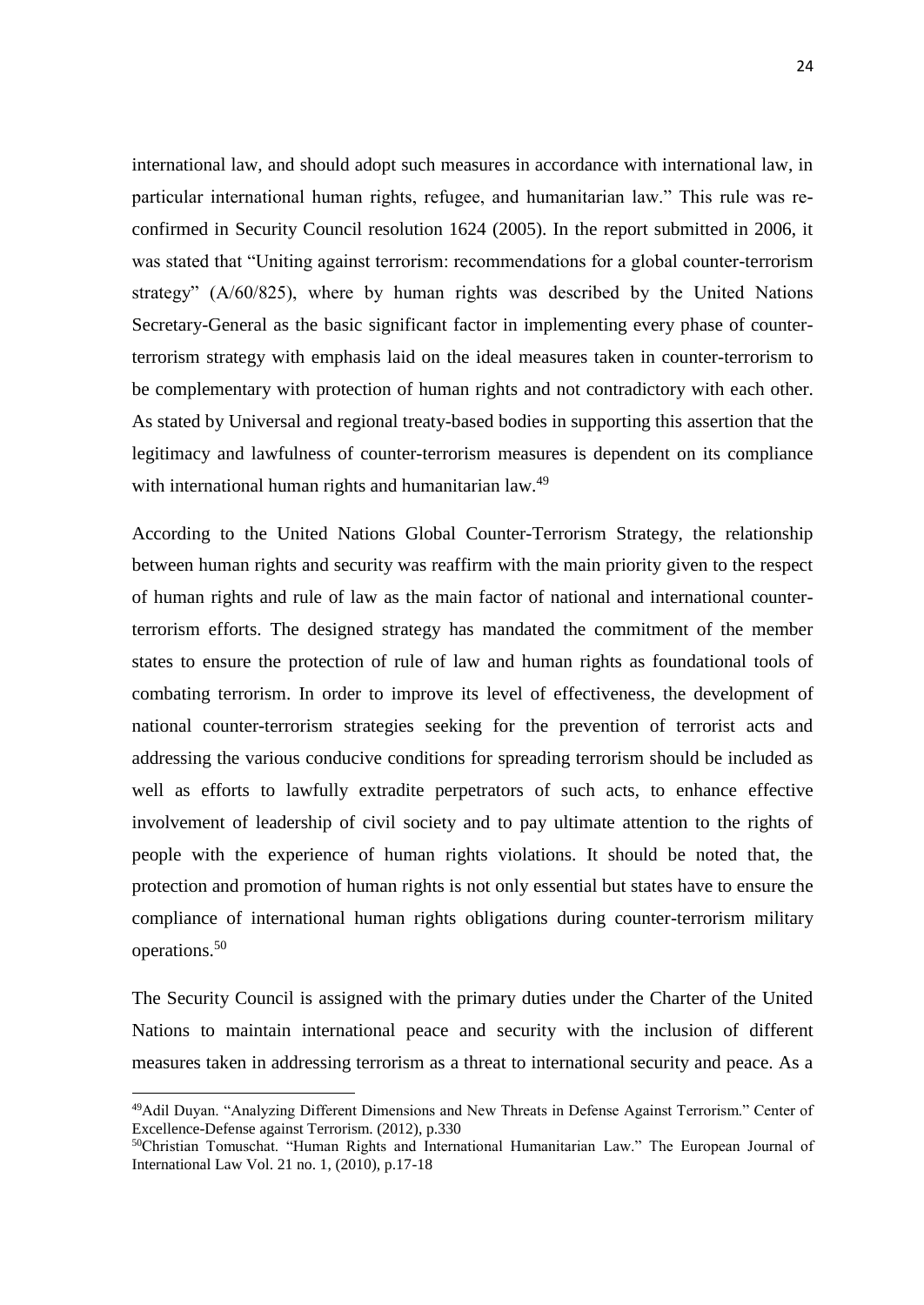international law, and should adopt such measures in accordance with international law, in particular international human rights, refugee, and humanitarian law." This rule was reconfirmed in Security Council resolution 1624 (2005). In the report submitted in 2006, it was stated that "Uniting against terrorism: recommendations for a global counter-terrorism strategy" (A/60/825), where by human rights was described by the United Nations Secretary-General as the basic significant factor in implementing every phase of counterterrorism strategy with emphasis laid on the ideal measures taken in counter-terrorism to be complementary with protection of human rights and not contradictory with each other. As stated by Universal and regional treaty-based bodies in supporting this assertion that the legitimacy and lawfulness of counter-terrorism measures is dependent on its compliance with international human rights and humanitarian law.<sup>49</sup>

According to the United Nations Global Counter-Terrorism Strategy, the relationship between human rights and security was reaffirm with the main priority given to the respect of human rights and rule of law as the main factor of national and international counterterrorism efforts. The designed strategy has mandated the commitment of the member states to ensure the protection of rule of law and human rights as foundational tools of combating terrorism. In order to improve its level of effectiveness, the development of national counter-terrorism strategies seeking for the prevention of terrorist acts and addressing the various conducive conditions for spreading terrorism should be included as well as efforts to lawfully extradite perpetrators of such acts, to enhance effective involvement of leadership of civil society and to pay ultimate attention to the rights of people with the experience of human rights violations. It should be noted that, the protection and promotion of human rights is not only essential but states have to ensure the compliance of international human rights obligations during counter-terrorism military operations.<sup>50</sup>

The Security Council is assigned with the primary duties under the Charter of the United Nations to maintain international peace and security with the inclusion of different measures taken in addressing terrorism as a threat to international security and peace. As a

<sup>49</sup>Adil Duyan. "Analyzing Different Dimensions and New Threats in Defense Against Terrorism." Center of Excellence-Defense against Terrorism. (2012), p.330

<sup>50</sup>Christian Tomuschat. "Human Rights and International Humanitarian Law." The European Journal of International Law Vol. 21 no. 1, (2010), p.17-18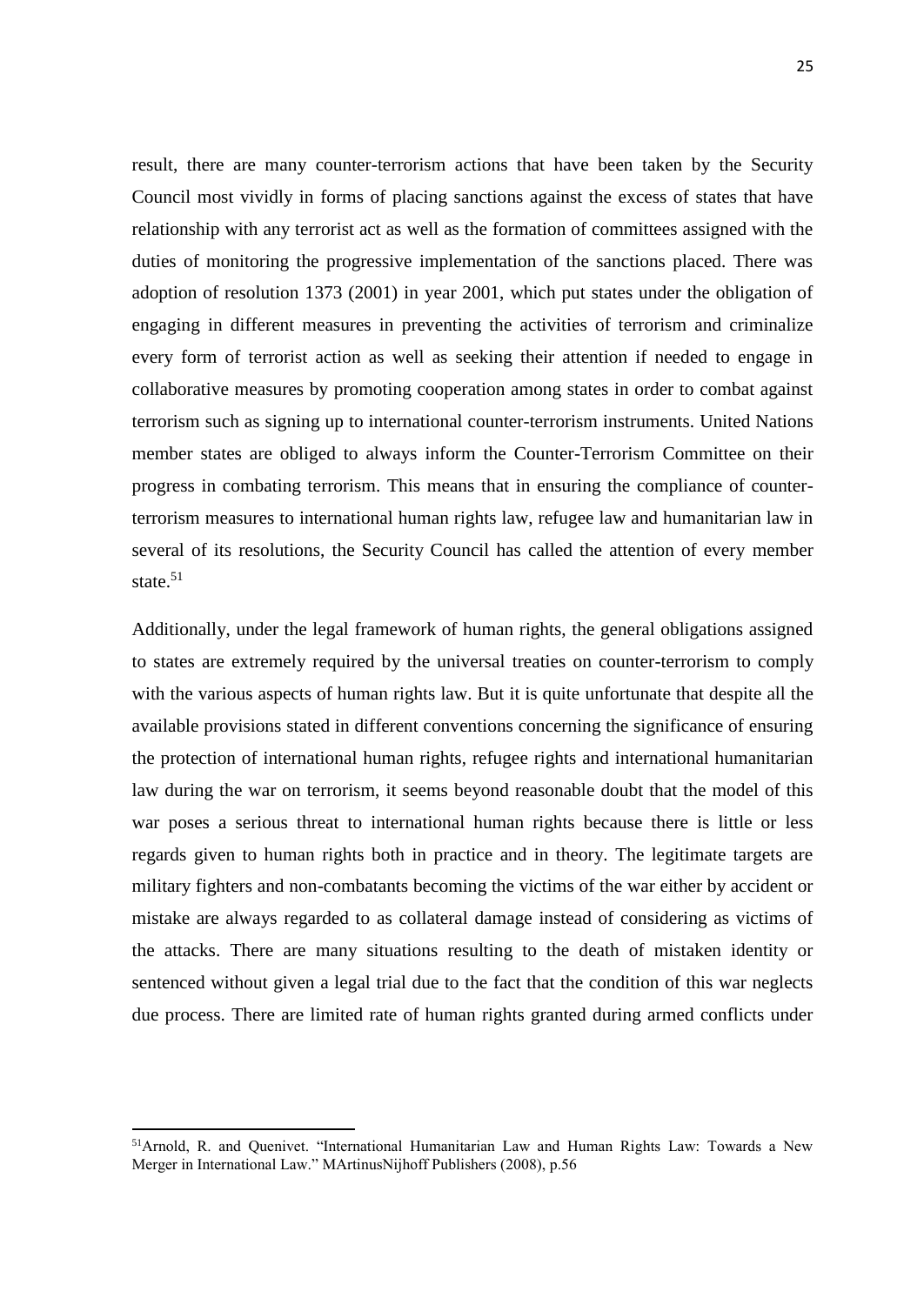result, there are many counter-terrorism actions that have been taken by the Security Council most vividly in forms of placing sanctions against the excess of states that have relationship with any terrorist act as well as the formation of committees assigned with the duties of monitoring the progressive implementation of the sanctions placed. There was adoption of resolution 1373 (2001) in year 2001, which put states under the obligation of engaging in different measures in preventing the activities of terrorism and criminalize every form of terrorist action as well as seeking their attention if needed to engage in collaborative measures by promoting cooperation among states in order to combat against terrorism such as signing up to international counter-terrorism instruments. United Nations member states are obliged to always inform the Counter-Terrorism Committee on their progress in combating terrorism. This means that in ensuring the compliance of counterterrorism measures to international human rights law, refugee law and humanitarian law in several of its resolutions, the Security Council has called the attention of every member state.<sup>51</sup>

Additionally, under the legal framework of human rights, the general obligations assigned to states are extremely required by the universal treaties on counter-terrorism to comply with the various aspects of human rights law. But it is quite unfortunate that despite all the available provisions stated in different conventions concerning the significance of ensuring the protection of international human rights, refugee rights and international humanitarian law during the war on terrorism, it seems beyond reasonable doubt that the model of this war poses a serious threat to international human rights because there is little or less regards given to human rights both in practice and in theory. The legitimate targets are military fighters and non-combatants becoming the victims of the war either by accident or mistake are always regarded to as collateral damage instead of considering as victims of the attacks. There are many situations resulting to the death of mistaken identity or sentenced without given a legal trial due to the fact that the condition of this war neglects due process. There are limited rate of human rights granted during armed conflicts under

 $\overline{a}$ 

<sup>51</sup>Arnold, R. and Quenivet. "International Humanitarian Law and Human Rights Law: Towards a New Merger in International Law." MArtinusNijhoff Publishers (2008), p.56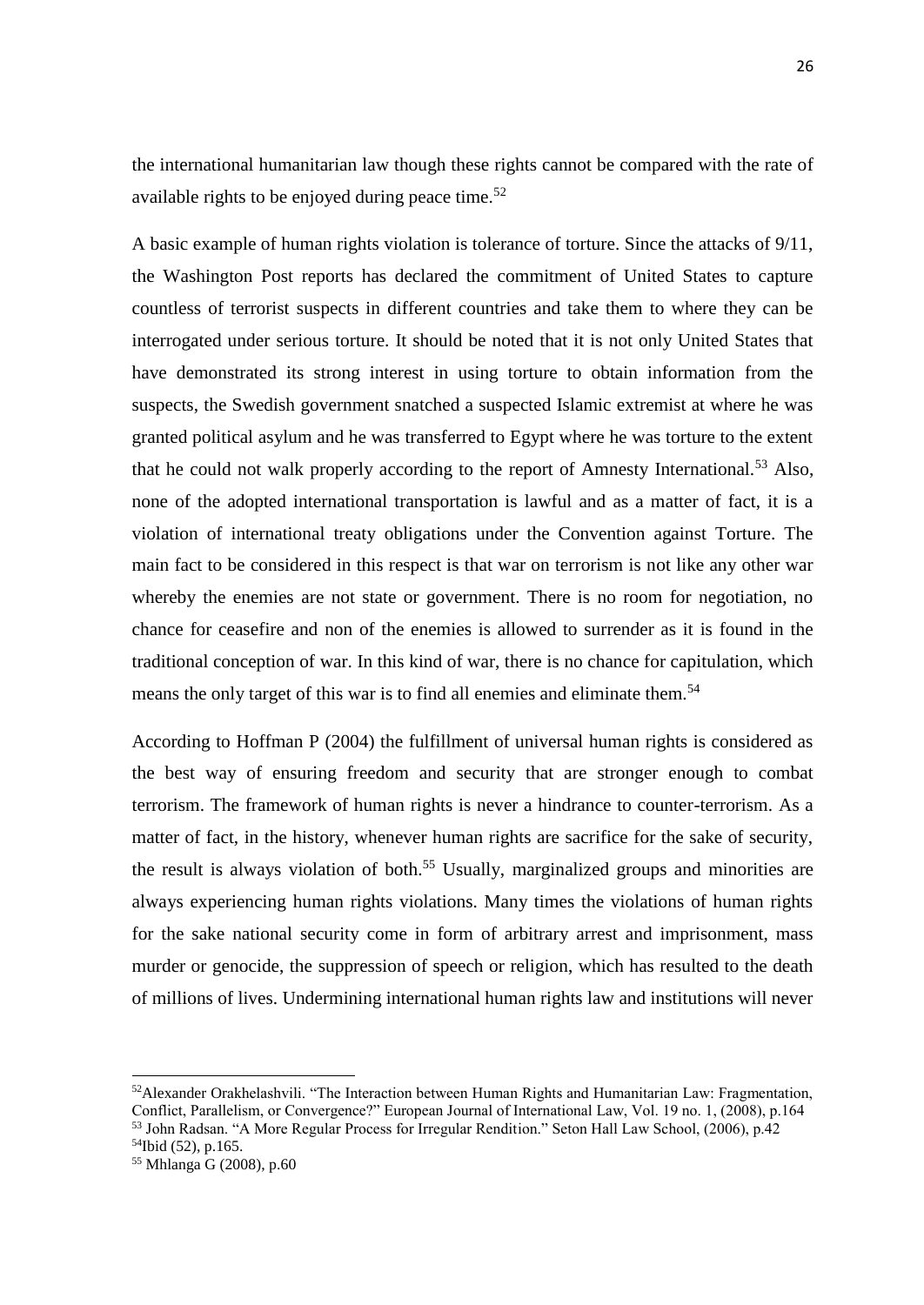the international humanitarian law though these rights cannot be compared with the rate of available rights to be enjoyed during peace time.<sup>52</sup>

A basic example of human rights violation is tolerance of torture. Since the attacks of 9/11, the Washington Post reports has declared the commitment of United States to capture countless of terrorist suspects in different countries and take them to where they can be interrogated under serious torture. It should be noted that it is not only United States that have demonstrated its strong interest in using torture to obtain information from the suspects, the Swedish government snatched a suspected Islamic extremist at where he was granted political asylum and he was transferred to Egypt where he was torture to the extent that he could not walk properly according to the report of Amnesty International.<sup>53</sup> Also, none of the adopted international transportation is lawful and as a matter of fact, it is a violation of international treaty obligations under the Convention against Torture. The main fact to be considered in this respect is that war on terrorism is not like any other war whereby the enemies are not state or government. There is no room for negotiation, no chance for ceasefire and non of the enemies is allowed to surrender as it is found in the traditional conception of war. In this kind of war, there is no chance for capitulation, which means the only target of this war is to find all enemies and eliminate them.<sup>54</sup>

According to Hoffman P (2004) the fulfillment of universal human rights is considered as the best way of ensuring freedom and security that are stronger enough to combat terrorism. The framework of human rights is never a hindrance to counter-terrorism. As a matter of fact, in the history, whenever human rights are sacrifice for the sake of security, the result is always violation of both.<sup>55</sup> Usually, marginalized groups and minorities are always experiencing human rights violations. Many times the violations of human rights for the sake national security come in form of arbitrary arrest and imprisonment, mass murder or genocide, the suppression of speech or religion, which has resulted to the death of millions of lives. Undermining international human rights law and institutions will never

<sup>52</sup>Alexander Orakhelashvili. "The Interaction between Human Rights and Humanitarian Law: Fragmentation, Conflict, Parallelism, or Convergence?" European Journal of International Law, Vol. 19 no. 1, (2008), p.164 <sup>53</sup> John Radsan. "A More Regular Process for Irregular Rendition." Seton Hall Law School, (2006), p.42

<sup>54</sup>Ibid (52), p.165.

<sup>55</sup> Mhlanga G (2008), p.60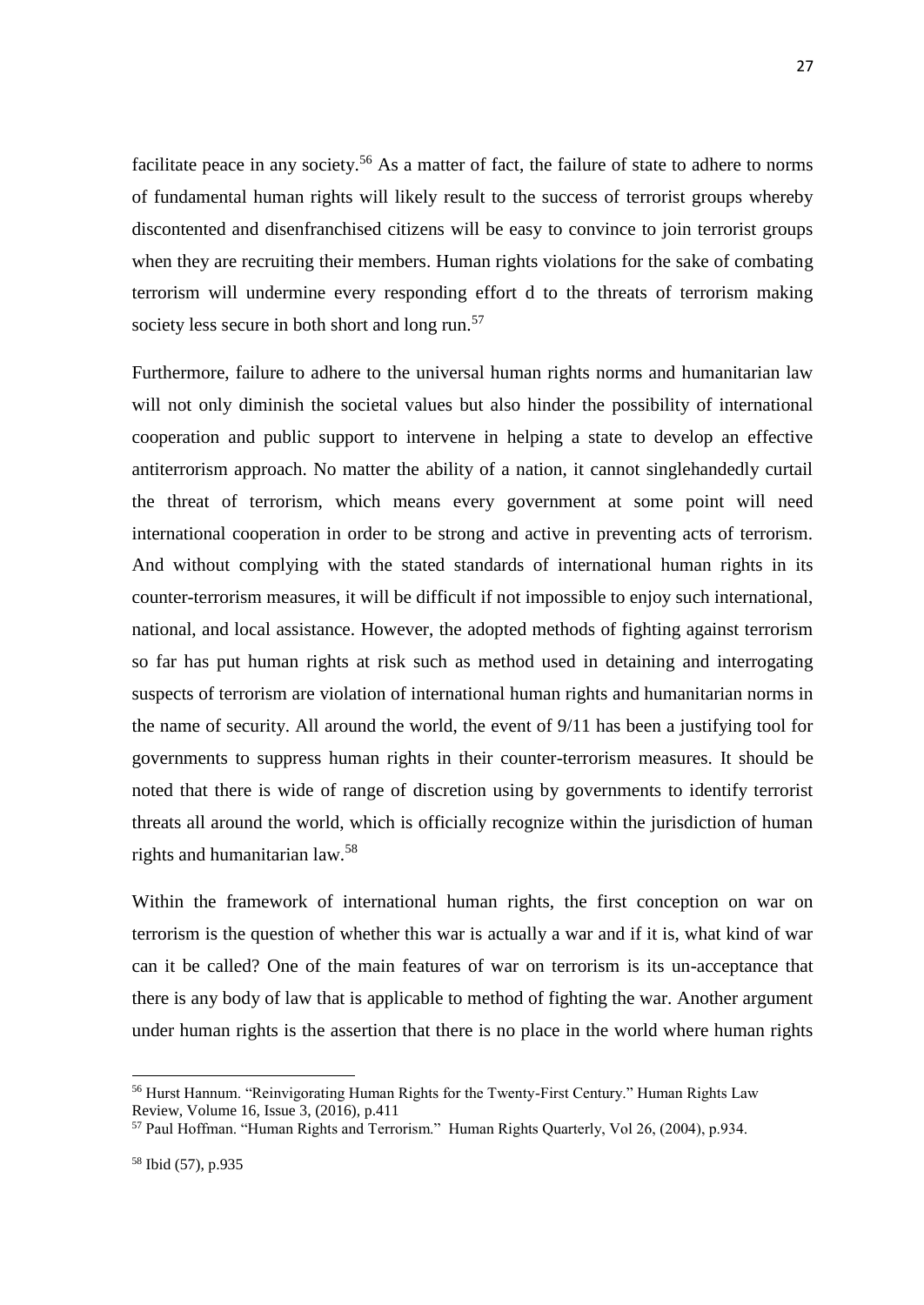facilitate peace in any society.<sup>56</sup> As a matter of fact, the failure of state to adhere to norms of fundamental human rights will likely result to the success of terrorist groups whereby discontented and disenfranchised citizens will be easy to convince to join terrorist groups when they are recruiting their members. Human rights violations for the sake of combating terrorism will undermine every responding effort d to the threats of terrorism making society less secure in both short and long run.<sup>57</sup>

Furthermore, failure to adhere to the universal human rights norms and humanitarian law will not only diminish the societal values but also hinder the possibility of international cooperation and public support to intervene in helping a state to develop an effective antiterrorism approach. No matter the ability of a nation, it cannot singlehandedly curtail the threat of terrorism, which means every government at some point will need international cooperation in order to be strong and active in preventing acts of terrorism. And without complying with the stated standards of international human rights in its counter-terrorism measures, it will be difficult if not impossible to enjoy such international, national, and local assistance. However, the adopted methods of fighting against terrorism so far has put human rights at risk such as method used in detaining and interrogating suspects of terrorism are violation of international human rights and humanitarian norms in the name of security. All around the world, the event of 9/11 has been a justifying tool for governments to suppress human rights in their counter-terrorism measures. It should be noted that there is wide of range of discretion using by governments to identify terrorist threats all around the world, which is officially recognize within the jurisdiction of human rights and humanitarian law.<sup>58</sup>

Within the framework of international human rights, the first conception on war on terrorism is the question of whether this war is actually a war and if it is, what kind of war can it be called? One of the main features of war on terrorism is its un-acceptance that there is any body of law that is applicable to method of fighting the war. Another argument under human rights is the assertion that there is no place in the world where human rights

<sup>56</sup> Hurst Hannum. "Reinvigorating Human Rights for the Twenty-First Century." Human Rights Law Review, Volume 16, Issue 3, (2016), p.411

<sup>57</sup> Paul Hoffman. "Human Rights and Terrorism." Human Rights Quarterly, Vol 26, (2004), p.934.

<sup>58</sup> Ibid (57), p.935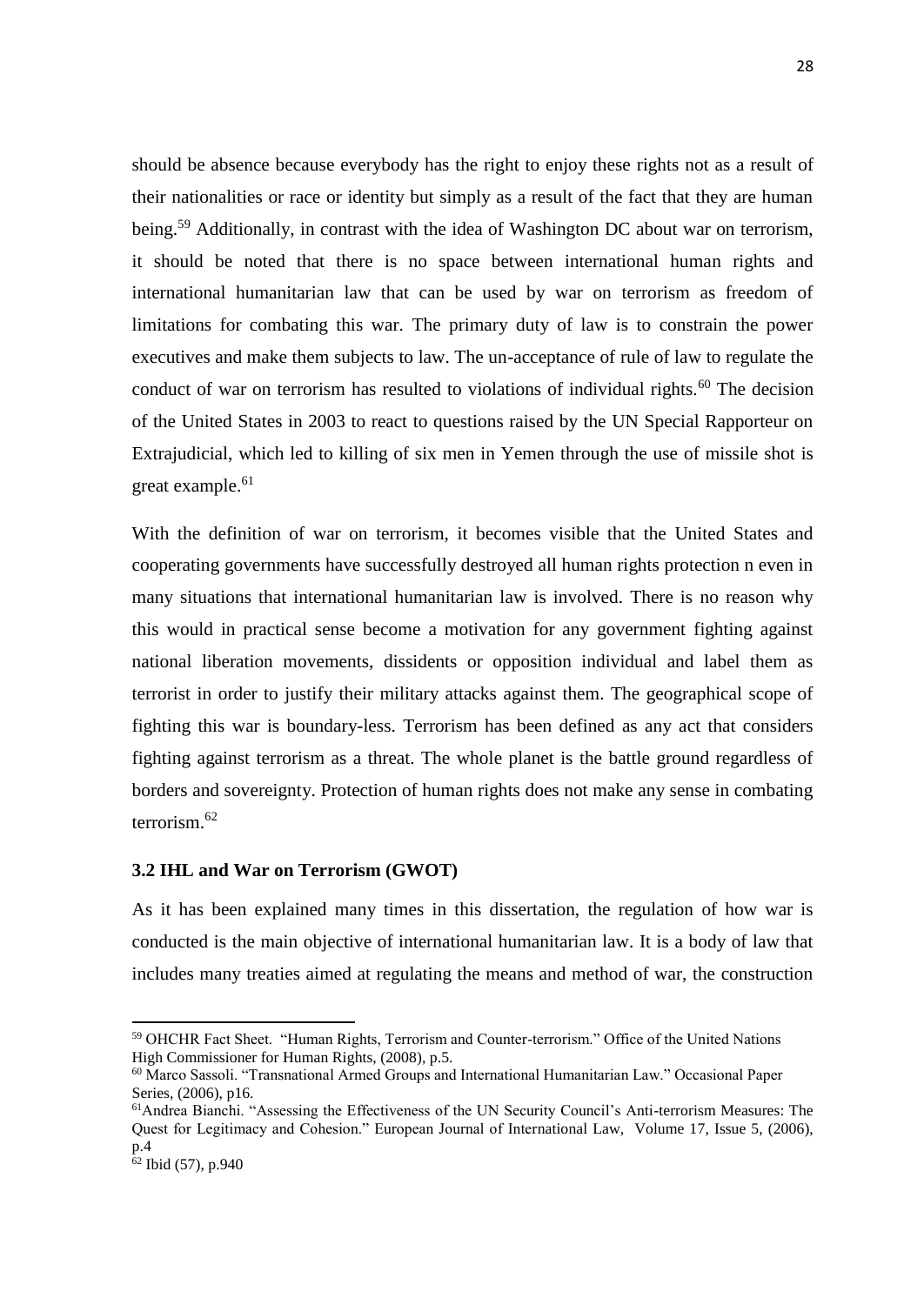should be absence because everybody has the right to enjoy these rights not as a result of their nationalities or race or identity but simply as a result of the fact that they are human being.<sup>59</sup> Additionally, in contrast with the idea of Washington DC about war on terrorism, it should be noted that there is no space between international human rights and international humanitarian law that can be used by war on terrorism as freedom of limitations for combating this war. The primary duty of law is to constrain the power executives and make them subjects to law. The un-acceptance of rule of law to regulate the conduct of war on terrorism has resulted to violations of individual rights.<sup>60</sup> The decision of the United States in 2003 to react to questions raised by the UN Special Rapporteur on Extrajudicial, which led to killing of six men in Yemen through the use of missile shot is great example.<sup>61</sup>

With the definition of war on terrorism, it becomes visible that the United States and cooperating governments have successfully destroyed all human rights protection n even in many situations that international humanitarian law is involved. There is no reason why this would in practical sense become a motivation for any government fighting against national liberation movements, dissidents or opposition individual and label them as terrorist in order to justify their military attacks against them. The geographical scope of fighting this war is boundary-less. Terrorism has been defined as any act that considers fighting against terrorism as a threat. The whole planet is the battle ground regardless of borders and sovereignty. Protection of human rights does not make any sense in combating terrorism.<sup>62</sup>

### <span id="page-38-0"></span>**3.2 IHL and War on Terrorism (GWOT)**

As it has been explained many times in this dissertation, the regulation of how war is conducted is the main objective of international humanitarian law. It is a body of law that includes many treaties aimed at regulating the means and method of war, the construction

<sup>59</sup> OHCHR Fact Sheet. "Human Rights, Terrorism and Counter-terrorism." Office of the United Nations High Commissioner for Human Rights, (2008), p.5.

<sup>60</sup> Marco Sassoli. "Transnational Armed Groups and International Humanitarian Law." Occasional Paper Series, (2006), p16.

<sup>61</sup>Andrea Bianchi. "Assessing the Effectiveness of the UN Security Council's Anti-terrorism Measures: The Quest for Legitimacy and Cohesion." European Journal of International Law, Volume 17, Issue 5, (2006), p.4

 $62$  Ibid (57), p.940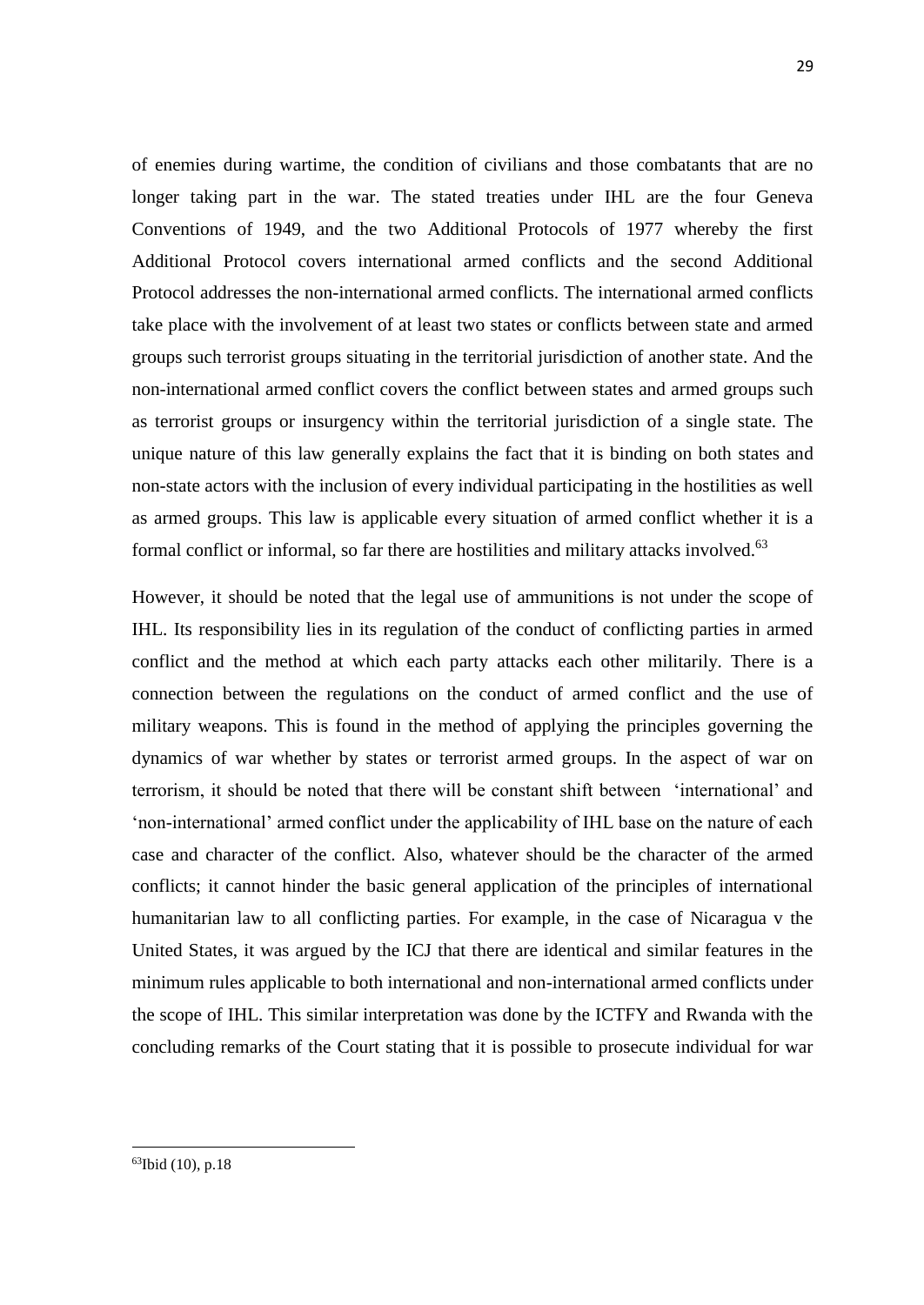of enemies during wartime, the condition of civilians and those combatants that are no longer taking part in the war. The stated treaties under IHL are the four Geneva Conventions of 1949, and the two Additional Protocols of 1977 whereby the first Additional Protocol covers international armed conflicts and the second Additional Protocol addresses the non-international armed conflicts. The international armed conflicts take place with the involvement of at least two states or conflicts between state and armed groups such terrorist groups situating in the territorial jurisdiction of another state. And the non-international armed conflict covers the conflict between states and armed groups such as terrorist groups or insurgency within the territorial jurisdiction of a single state. The unique nature of this law generally explains the fact that it is binding on both states and non-state actors with the inclusion of every individual participating in the hostilities as well as armed groups. This law is applicable every situation of armed conflict whether it is a formal conflict or informal, so far there are hostilities and military attacks involved.<sup>63</sup>

However, it should be noted that the legal use of ammunitions is not under the scope of IHL. Its responsibility lies in its regulation of the conduct of conflicting parties in armed conflict and the method at which each party attacks each other militarily. There is a connection between the regulations on the conduct of armed conflict and the use of military weapons. This is found in the method of applying the principles governing the dynamics of war whether by states or terrorist armed groups. In the aspect of war on terrorism, it should be noted that there will be constant shift between 'international' and 'non-international' armed conflict under the applicability of IHL base on the nature of each case and character of the conflict. Also, whatever should be the character of the armed conflicts; it cannot hinder the basic general application of the principles of international humanitarian law to all conflicting parties. For example, in the case of Nicaragua v the United States, it was argued by the ICJ that there are identical and similar features in the minimum rules applicable to both international and non-international armed conflicts under the scope of IHL. This similar interpretation was done by the ICTFY and Rwanda with the concluding remarks of the Court stating that it is possible to prosecute individual for war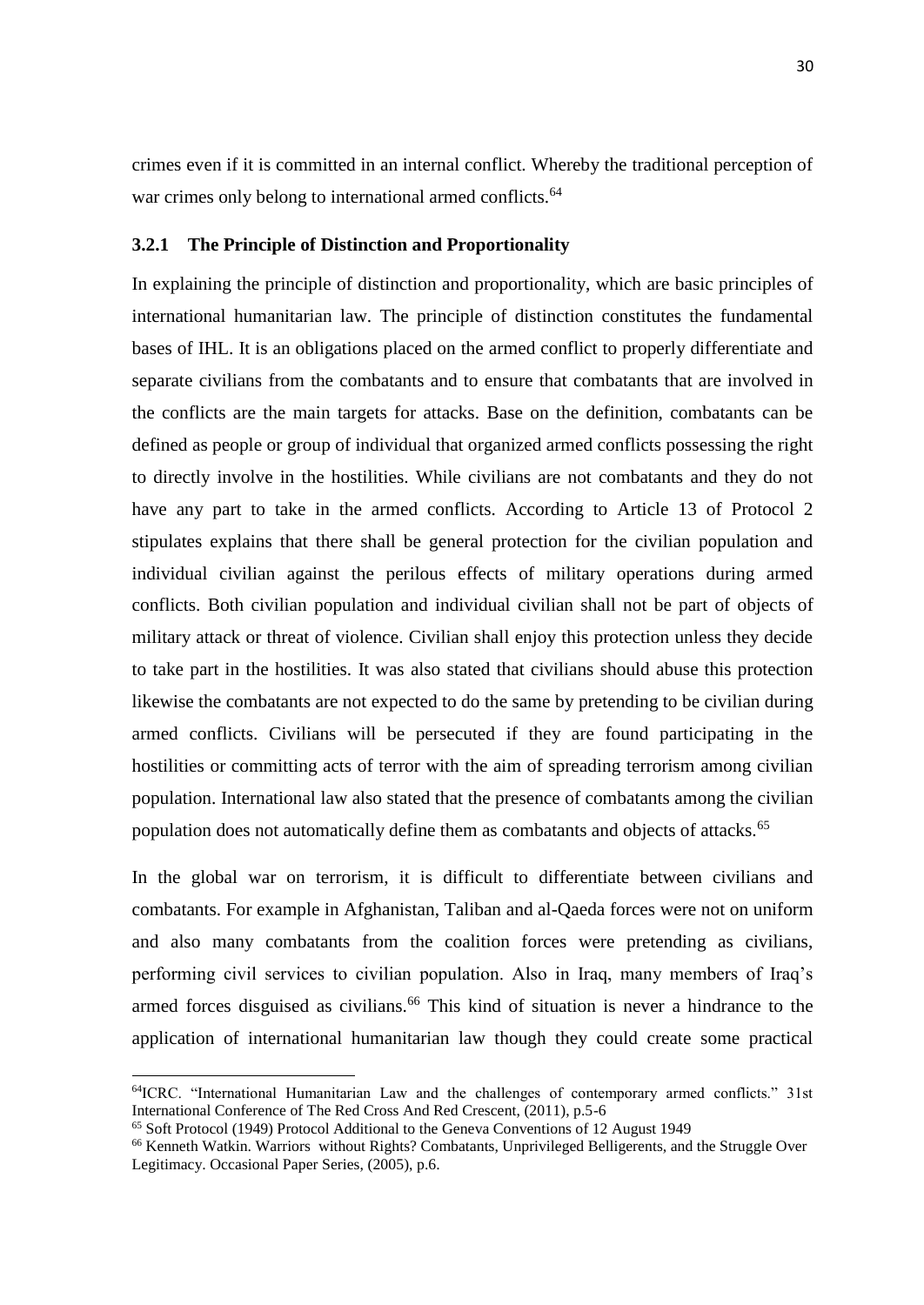crimes even if it is committed in an internal conflict. Whereby the traditional perception of war crimes only belong to international armed conflicts.<sup>64</sup>

### <span id="page-40-0"></span>**3.2.1 The Principle of Distinction and Proportionality**

In explaining the principle of distinction and proportionality, which are basic principles of international humanitarian law. The principle of distinction constitutes the fundamental bases of IHL. It is an obligations placed on the armed conflict to properly differentiate and separate civilians from the combatants and to ensure that combatants that are involved in the conflicts are the main targets for attacks. Base on the definition, combatants can be defined as people or group of individual that organized armed conflicts possessing the right to directly involve in the hostilities. While civilians are not combatants and they do not have any part to take in the armed conflicts. According to Article 13 of Protocol 2 stipulates explains that there shall be general protection for the civilian population and individual civilian against the perilous effects of military operations during armed conflicts. Both civilian population and individual civilian shall not be part of objects of military attack or threat of violence. Civilian shall enjoy this protection unless they decide to take part in the hostilities. It was also stated that civilians should abuse this protection likewise the combatants are not expected to do the same by pretending to be civilian during armed conflicts. Civilians will be persecuted if they are found participating in the hostilities or committing acts of terror with the aim of spreading terrorism among civilian population. International law also stated that the presence of combatants among the civilian population does not automatically define them as combatants and objects of attacks.<sup>65</sup>

In the global war on terrorism, it is difficult to differentiate between civilians and combatants. For example in Afghanistan, Taliban and al-Qaeda forces were not on uniform and also many combatants from the coalition forces were pretending as civilians, performing civil services to civilian population. Also in Iraq, many members of Iraq's armed forces disguised as civilians.<sup>66</sup> This kind of situation is never a hindrance to the application of international humanitarian law though they could create some practical

<sup>64</sup>ICRC. "International Humanitarian Law and the challenges of contemporary armed conflicts." 31st International Conference of The Red Cross And Red Crescent, (2011), p.5-6

<sup>65</sup> Soft Protocol (1949) Protocol Additional to the Geneva Conventions of 12 August 1949

<sup>66</sup> Kenneth Watkin. Warriors without Rights? Combatants, Unprivileged Belligerents, and the Struggle Over Legitimacy. Occasional Paper Series, (2005), p.6.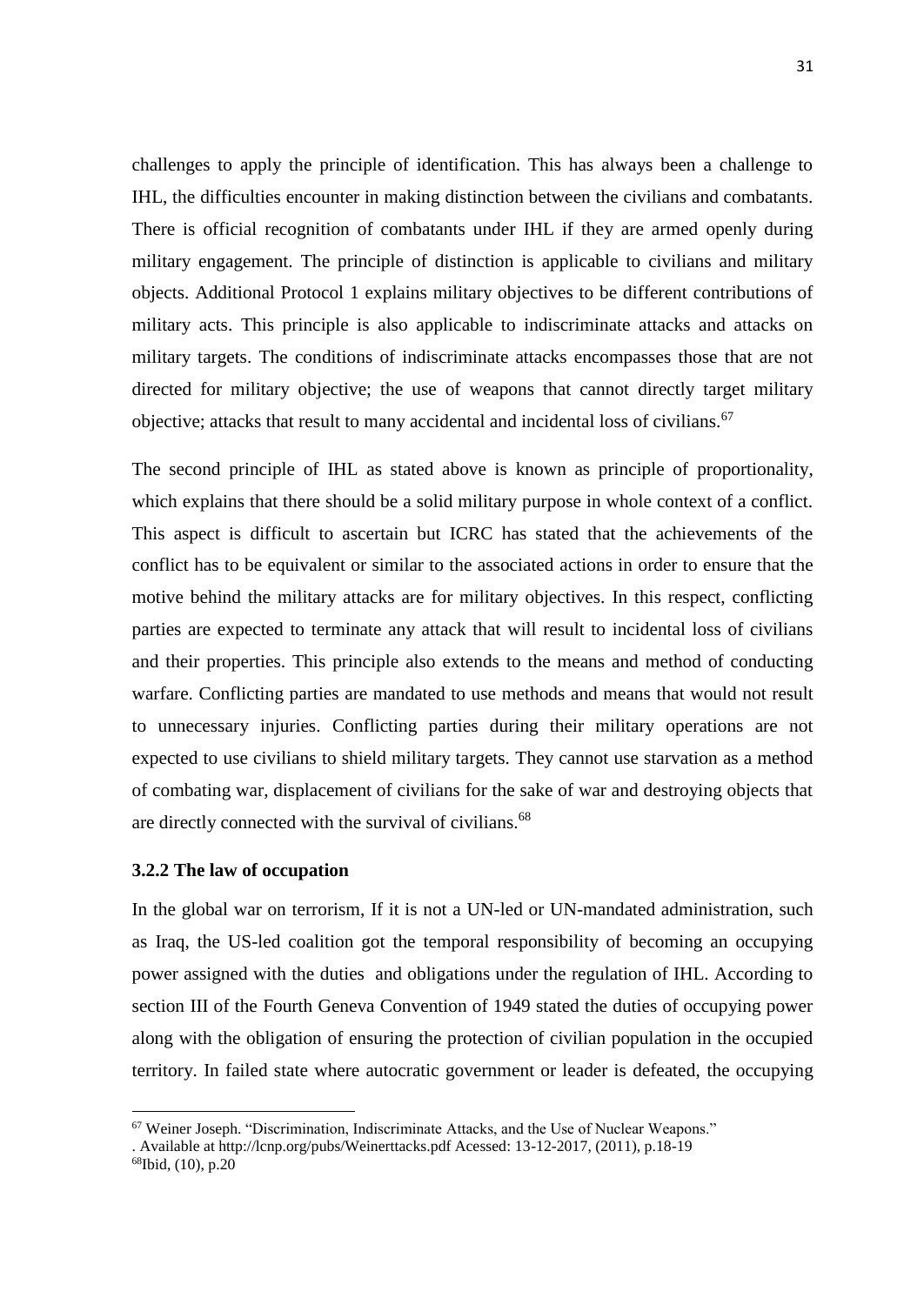challenges to apply the principle of identification. This has always been a challenge to IHL, the difficulties encounter in making distinction between the civilians and combatants. There is official recognition of combatants under IHL if they are armed openly during military engagement. The principle of distinction is applicable to civilians and military objects. Additional Protocol 1 explains military objectives to be different contributions of military acts. This principle is also applicable to indiscriminate attacks and attacks on military targets. The conditions of indiscriminate attacks encompasses those that are not directed for military objective; the use of weapons that cannot directly target military objective; attacks that result to many accidental and incidental loss of civilians.<sup>67</sup>

The second principle of IHL as stated above is known as principle of proportionality, which explains that there should be a solid military purpose in whole context of a conflict. This aspect is difficult to ascertain but ICRC has stated that the achievements of the conflict has to be equivalent or similar to the associated actions in order to ensure that the motive behind the military attacks are for military objectives. In this respect, conflicting parties are expected to terminate any attack that will result to incidental loss of civilians and their properties. This principle also extends to the means and method of conducting warfare. Conflicting parties are mandated to use methods and means that would not result to unnecessary injuries. Conflicting parties during their military operations are not expected to use civilians to shield military targets. They cannot use starvation as a method of combating war, displacement of civilians for the sake of war and destroying objects that are directly connected with the survival of civilians.<sup>68</sup>

#### <span id="page-41-0"></span>**3.2.2 The law of occupation**

In the global war on terrorism, If it is not a UN-led or UN-mandated administration, such as Iraq, the US-led coalition got the temporal responsibility of becoming an occupying power assigned with the duties and obligations under the regulation of IHL. According to section III of the Fourth Geneva Convention of 1949 stated the duties of occupying power along with the obligation of ensuring the protection of civilian population in the occupied territory. In failed state where autocratic government or leader is defeated, the occupying

<sup>67</sup> Weiner Joseph. "Discrimination, Indiscriminate Attacks, and the Use of Nuclear Weapons."

<sup>.</sup> Available at http://lcnp.org/pubs/Weinerttacks.pdf Acessed: 13-12-2017, (2011), p.18-19

<sup>68</sup>Ibid, (10), p.20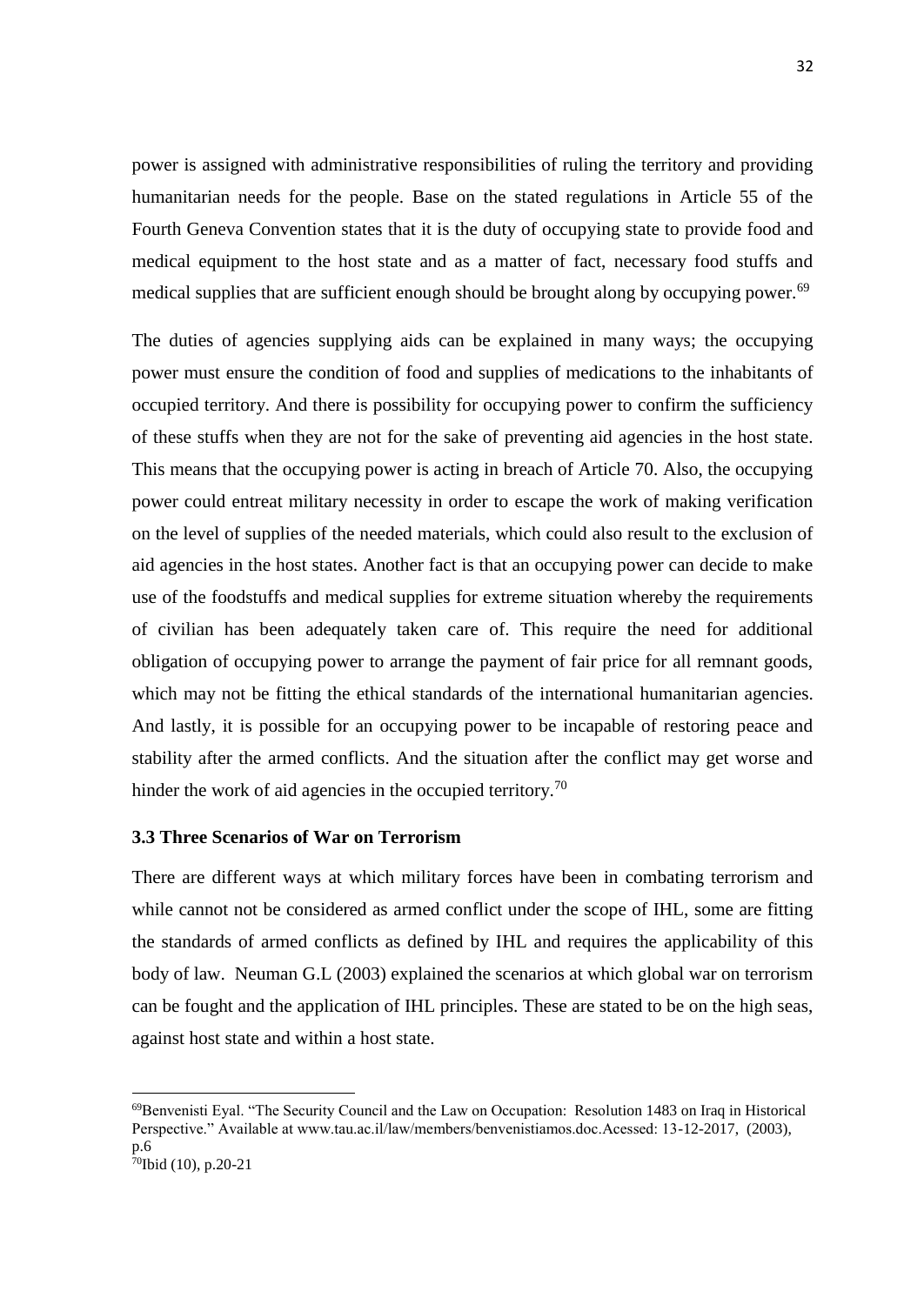power is assigned with administrative responsibilities of ruling the territory and providing humanitarian needs for the people. Base on the stated regulations in Article 55 of the Fourth Geneva Convention states that it is the duty of occupying state to provide food and medical equipment to the host state and as a matter of fact, necessary food stuffs and medical supplies that are sufficient enough should be brought along by occupying power.<sup>69</sup>

The duties of agencies supplying aids can be explained in many ways; the occupying power must ensure the condition of food and supplies of medications to the inhabitants of occupied territory. And there is possibility for occupying power to confirm the sufficiency of these stuffs when they are not for the sake of preventing aid agencies in the host state. This means that the occupying power is acting in breach of Article 70. Also, the occupying power could entreat military necessity in order to escape the work of making verification on the level of supplies of the needed materials, which could also result to the exclusion of aid agencies in the host states. Another fact is that an occupying power can decide to make use of the foodstuffs and medical supplies for extreme situation whereby the requirements of civilian has been adequately taken care of. This require the need for additional obligation of occupying power to arrange the payment of fair price for all remnant goods, which may not be fitting the ethical standards of the international humanitarian agencies. And lastly, it is possible for an occupying power to be incapable of restoring peace and stability after the armed conflicts. And the situation after the conflict may get worse and hinder the work of aid agencies in the occupied territory.<sup>70</sup>

### <span id="page-42-0"></span>**3.3 Three Scenarios of War on Terrorism**

There are different ways at which military forces have been in combating terrorism and while cannot not be considered as armed conflict under the scope of IHL, some are fitting the standards of armed conflicts as defined by IHL and requires the applicability of this body of law. Neuman G.L (2003) explained the scenarios at which global war on terrorism can be fought and the application of IHL principles. These are stated to be on the high seas, against host state and within a host state.

<sup>69</sup>Benvenisti Eyal. "The Security Council and the Law on Occupation: Resolution 1483 on Iraq in Historical Perspective." Available at www.tau.ac.il/law/members/benvenistiamos.doc.Acessed: 13-12-2017, (2003), p.6

 $70$ Ibid (10), p.20-21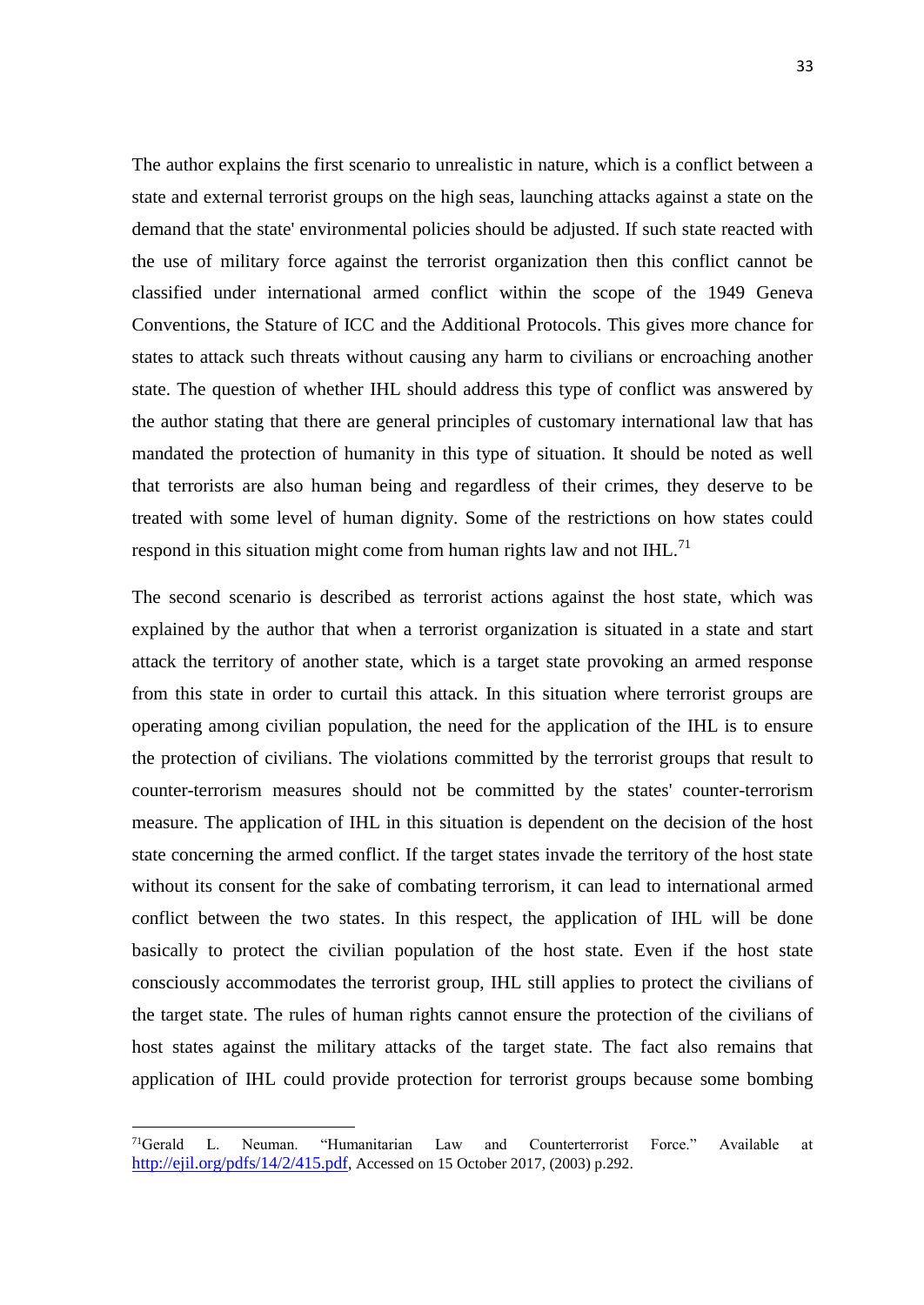The author explains the first scenario to unrealistic in nature, which is a conflict between a state and external terrorist groups on the high seas, launching attacks against a state on the demand that the state' environmental policies should be adjusted. If such state reacted with the use of military force against the terrorist organization then this conflict cannot be classified under international armed conflict within the scope of the 1949 Geneva Conventions, the Stature of ICC and the Additional Protocols. This gives more chance for states to attack such threats without causing any harm to civilians or encroaching another state. The question of whether IHL should address this type of conflict was answered by the author stating that there are general principles of customary international law that has mandated the protection of humanity in this type of situation. It should be noted as well that terrorists are also human being and regardless of their crimes, they deserve to be treated with some level of human dignity. Some of the restrictions on how states could respond in this situation might come from human rights law and not  $IHL$ <sup>71</sup>

The second scenario is described as terrorist actions against the host state, which was explained by the author that when a terrorist organization is situated in a state and start attack the territory of another state, which is a target state provoking an armed response from this state in order to curtail this attack. In this situation where terrorist groups are operating among civilian population, the need for the application of the IHL is to ensure the protection of civilians. The violations committed by the terrorist groups that result to counter-terrorism measures should not be committed by the states' counter-terrorism measure. The application of IHL in this situation is dependent on the decision of the host state concerning the armed conflict. If the target states invade the territory of the host state without its consent for the sake of combating terrorism, it can lead to international armed conflict between the two states. In this respect, the application of IHL will be done basically to protect the civilian population of the host state. Even if the host state consciously accommodates the terrorist group, IHL still applies to protect the civilians of the target state. The rules of human rights cannot ensure the protection of the civilians of host states against the military attacks of the target state. The fact also remains that application of IHL could provide protection for terrorist groups because some bombing

<sup>71</sup>Gerald L. Neuman. "Humanitarian Law and Counterterrorist Force." Available at <http://ejil.org/pdfs/14/2/415.pdf>, Accessed on 15 October 2017, (2003) p.292.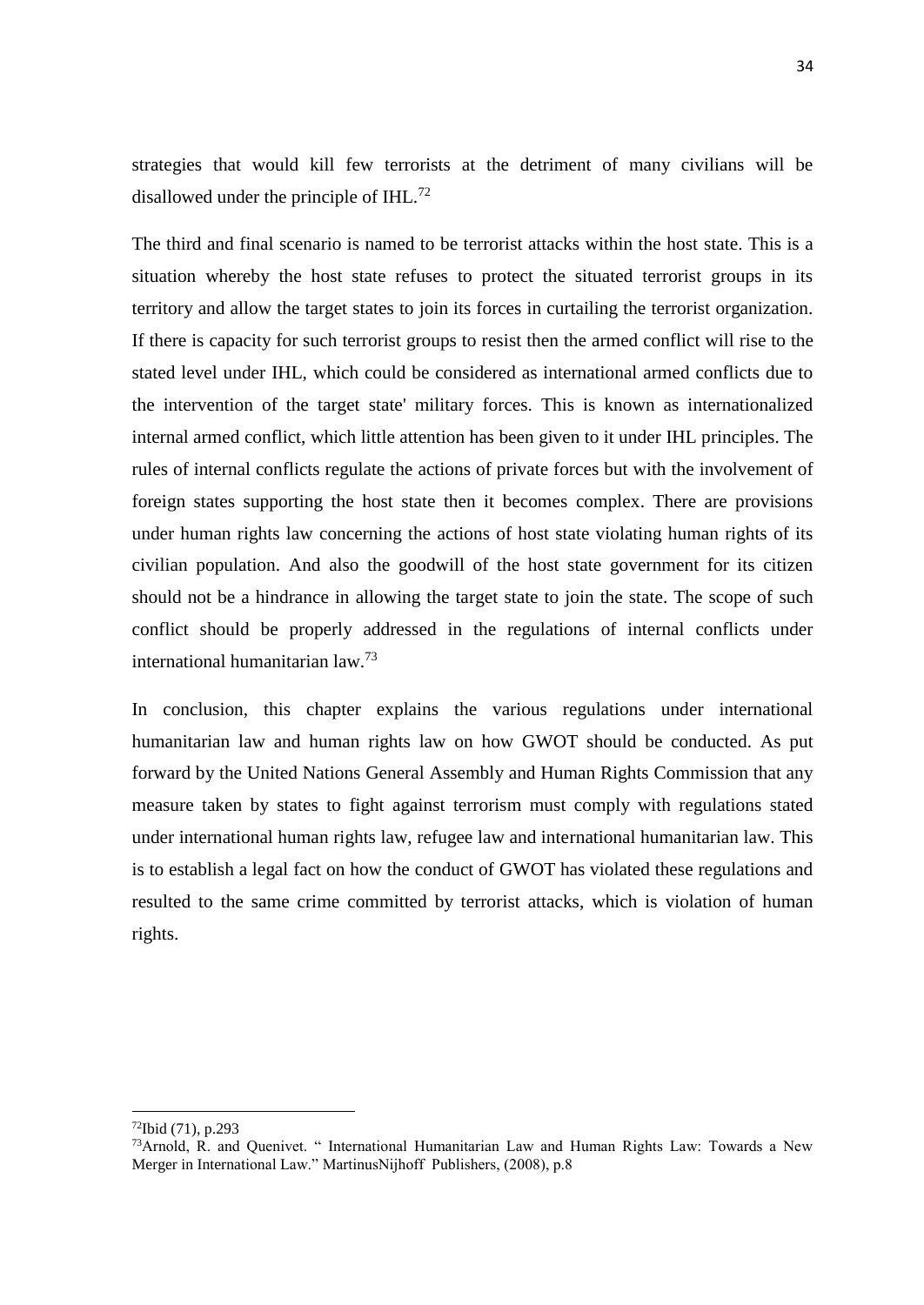strategies that would kill few terrorists at the detriment of many civilians will be disallowed under the principle of IHL.<sup>72</sup>

The third and final scenario is named to be terrorist attacks within the host state. This is a situation whereby the host state refuses to protect the situated terrorist groups in its territory and allow the target states to join its forces in curtailing the terrorist organization. If there is capacity for such terrorist groups to resist then the armed conflict will rise to the stated level under IHL, which could be considered as international armed conflicts due to the intervention of the target state' military forces. This is known as internationalized internal armed conflict, which little attention has been given to it under IHL principles. The rules of internal conflicts regulate the actions of private forces but with the involvement of foreign states supporting the host state then it becomes complex. There are provisions under human rights law concerning the actions of host state violating human rights of its civilian population. And also the goodwill of the host state government for its citizen should not be a hindrance in allowing the target state to join the state. The scope of such conflict should be properly addressed in the regulations of internal conflicts under international humanitarian law.<sup>73</sup>

In conclusion, this chapter explains the various regulations under international humanitarian law and human rights law on how GWOT should be conducted. As put forward by the United Nations General Assembly and Human Rights Commission that any measure taken by states to fight against terrorism must comply with regulations stated under international human rights law, refugee law and international humanitarian law. This is to establish a legal fact on how the conduct of GWOT has violated these regulations and resulted to the same crime committed by terrorist attacks, which is violation of human rights.

 $72$ Ibid (71), p.293

<sup>&</sup>lt;sup>73</sup>Arnold, R. and Quenivet. " International Humanitarian Law and Human Rights Law: Towards a New Merger in International Law." MartinusNijhoff Publishers, (2008), p.8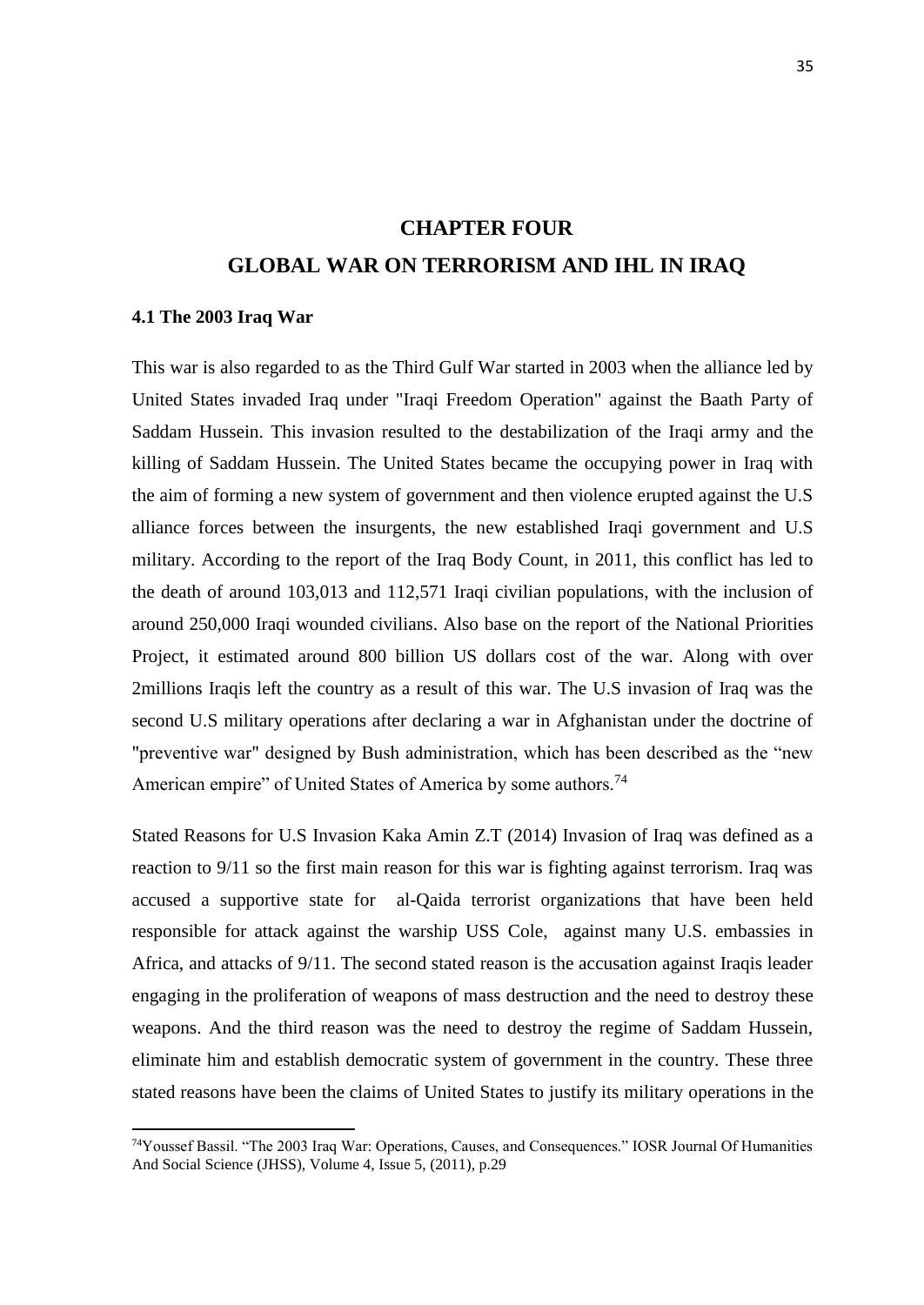## **CHAPTER FOUR GLOBAL WAR ON TERRORISM AND IHL IN IRAQ**

#### <span id="page-45-1"></span><span id="page-45-0"></span>**4.1 The 2003 Iraq War**

 $\overline{a}$ 

This war is also regarded to as the Third Gulf War started in 2003 when the alliance led by United States invaded Iraq under "Iraqi Freedom Operation" against the Baath Party of Saddam Hussein. This invasion resulted to the destabilization of the Iraqi army and the killing of Saddam Hussein. The United States became the occupying power in Iraq with the aim of forming a new system of government and then violence erupted against the U.S alliance forces between the insurgents, the new established Iraqi government and U.S military. According to the report of the Iraq Body Count, in 2011, this conflict has led to the death of around 103,013 and 112,571 Iraqi civilian populations, with the inclusion of around 250,000 Iraqi wounded civilians. Also base on the report of the National Priorities Project, it estimated around 800 billion US dollars cost of the war. Along with over 2millions Iraqis left the country as a result of this war. The U.S invasion of Iraq was the second U.S military operations after declaring a war in Afghanistan under the doctrine of "preventive war" designed by Bush administration, which has been described as the "new American empire" of United States of America by some authors.<sup>74</sup>

Stated Reasons for U.S Invasion Kaka Amin Z.T (2014) Invasion of Iraq was defined as a reaction to 9/11 so the first main reason for this war is fighting against terrorism. Iraq was accused a supportive state for al-Qaida terrorist organizations that have been held responsible for attack against the warship USS Cole, against many U.S. embassies in Africa, and attacks of 9/11. The second stated reason is the accusation against Iraqis leader engaging in the proliferation of weapons of mass destruction and the need to destroy these weapons. And the third reason was the need to destroy the regime of Saddam Hussein, eliminate him and establish democratic system of government in the country. These three stated reasons have been the claims of United States to justify its military operations in the

<sup>74</sup>Youssef Bassil. "The 2003 Iraq War: Operations, Causes, and Consequences." IOSR Journal Of Humanities And Social Science (JHSS), Volume 4, Issue 5, (2011), p.29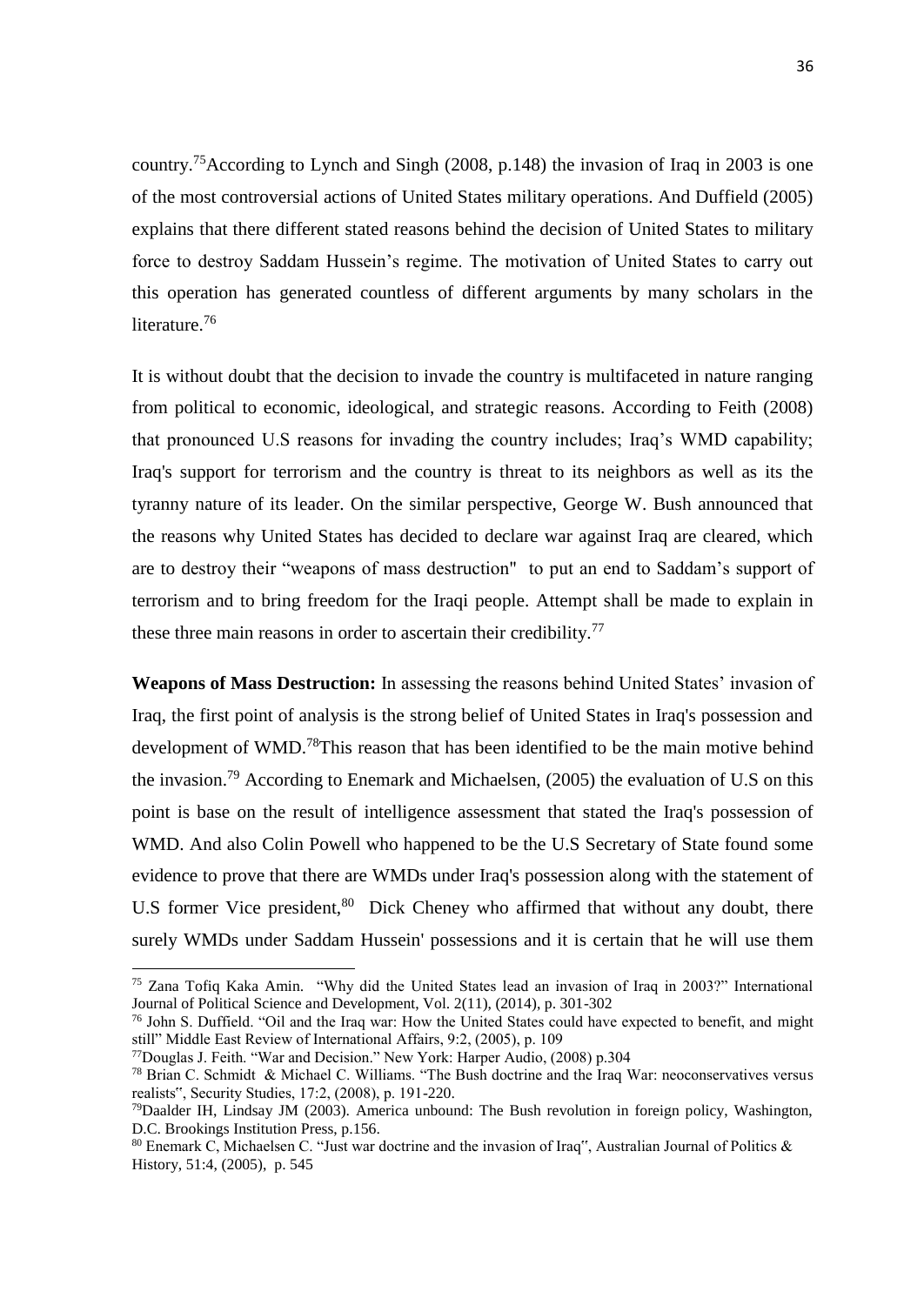country.<sup>75</sup>According to Lynch and Singh (2008, p.148) the invasion of Iraq in 2003 is one of the most controversial actions of United States military operations. And Duffield (2005) explains that there different stated reasons behind the decision of United States to military force to destroy Saddam Hussein's regime. The motivation of United States to carry out this operation has generated countless of different arguments by many scholars in the literature.<sup>76</sup>

It is without doubt that the decision to invade the country is multifaceted in nature ranging from political to economic, ideological, and strategic reasons. According to Feith (2008) that pronounced U.S reasons for invading the country includes; Iraq's WMD capability; Iraq's support for terrorism and the country is threat to its neighbors as well as its the tyranny nature of its leader. On the similar perspective, George W. Bush announced that the reasons why United States has decided to declare war against Iraq are cleared, which are to destroy their "weapons of mass destruction" to put an end to Saddam's support of terrorism and to bring freedom for the Iraqi people. Attempt shall be made to explain in these three main reasons in order to ascertain their credibility.<sup>77</sup>

**Weapons of Mass Destruction:** In assessing the reasons behind United States' invasion of Iraq, the first point of analysis is the strong belief of United States in Iraq's possession and development of WMD.<sup>78</sup>This reason that has been identified to be the main motive behind the invasion.<sup>79</sup> According to Enemark and Michaelsen,  $(2005)$  the evaluation of U.S on this point is base on the result of intelligence assessment that stated the Iraq's possession of WMD. And also Colin Powell who happened to be the U.S Secretary of State found some evidence to prove that there are WMDs under Iraq's possession along with the statement of U.S former Vice president,<sup>80</sup> Dick Cheney who affirmed that without any doubt, there surely WMDs under Saddam Hussein' possessions and it is certain that he will use them

<sup>75</sup> Zana Tofiq Kaka Amin. "Why did the United States lead an invasion of Iraq in 2003?" International Journal of Political Science and Development, Vol. 2(11), (2014), p. 301-302

<sup>76</sup> John S. Duffield. "Oil and the Iraq war: How the United States could have expected to benefit, and might still" Middle East Review of International Affairs, 9:2, (2005), p. 109

<sup>77</sup>Douglas J. Feith. "War and Decision." New York: Harper Audio, (2008) p.304

<sup>78</sup> Brian C. Schmidt & Michael C. Williams. "The Bush doctrine and the Iraq War: neoconservatives versus realists", Security Studies, 17:2, (2008), p. 191-220.

<sup>79</sup>Daalder IH, Lindsay JM (2003). America unbound: The Bush revolution in foreign policy, Washington, D.C. Brookings Institution Press, p.156.

<sup>&</sup>lt;sup>80</sup> Enemark C, Michaelsen C. "Just war doctrine and the invasion of Iraq", Australian Journal of Politics & History, 51:4, (2005), p. 545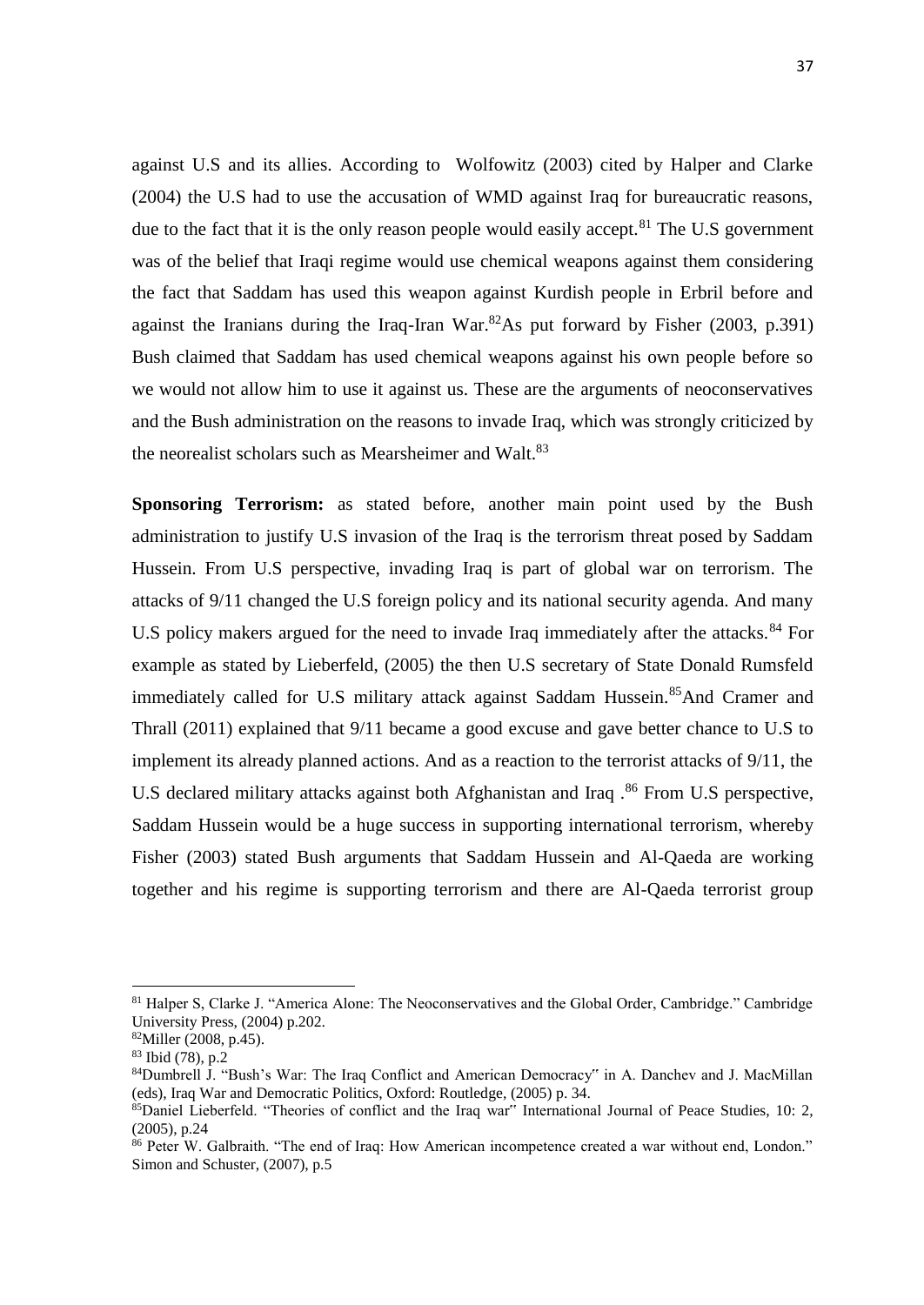against U.S and its allies. According to Wolfowitz (2003) cited by Halper and Clarke (2004) the U.S had to use the accusation of WMD against Iraq for bureaucratic reasons, due to the fact that it is the only reason people would easily accept.<sup>81</sup> The U.S government was of the belief that Iraqi regime would use chemical weapons against them considering the fact that Saddam has used this weapon against Kurdish people in Erbril before and against the Iranians during the Iraq-Iran War. ${}^{82}$ As put forward by Fisher (2003, p.391) Bush claimed that Saddam has used chemical weapons against his own people before so we would not allow him to use it against us. These are the arguments of neoconservatives and the Bush administration on the reasons to invade Iraq, which was strongly criticized by the neorealist scholars such as Mearsheimer and Walt.<sup>83</sup>

**Sponsoring Terrorism:** as stated before, another main point used by the Bush administration to justify U.S invasion of the Iraq is the terrorism threat posed by Saddam Hussein. From U.S perspective, invading Iraq is part of global war on terrorism. The attacks of 9/11 changed the U.S foreign policy and its national security agenda. And many U.S policy makers argued for the need to invade Iraq immediately after the attacks.<sup>84</sup> For example as stated by Lieberfeld, (2005) the then U.S secretary of State Donald Rumsfeld immediately called for U.S military attack against Saddam Hussein.<sup>85</sup>And Cramer and Thrall (2011) explained that 9/11 became a good excuse and gave better chance to U.S to implement its already planned actions. And as a reaction to the terrorist attacks of 9/11, the U.S declared military attacks against both Afghanistan and Iraq.<sup>86</sup> From U.S perspective, Saddam Hussein would be a huge success in supporting international terrorism, whereby Fisher (2003) stated Bush arguments that Saddam Hussein and Al-Qaeda are working together and his regime is supporting terrorism and there are Al-Qaeda terrorist group

<sup>&</sup>lt;sup>81</sup> Halper S, Clarke J. "America Alone: The Neoconservatives and the Global Order, Cambridge." Cambridge University Press, (2004) p.202.

<sup>82</sup>Miller (2008, p.45).

<sup>83</sup> Ibid (78), p.2

<sup>84</sup>Dumbrell J. "Bush's War: The Iraq Conflict and American Democracy" in A. Danchev and J. MacMillan (eds), Iraq War and Democratic Politics, Oxford: Routledge, (2005) p. 34.

<sup>&</sup>lt;sup>85</sup>Daniel Lieberfeld. "Theories of conflict and the Iraq war" International Journal of Peace Studies, 10: 2, (2005), p.24

<sup>86</sup> Peter W. Galbraith. "The end of Iraq: How American incompetence created a war without end, London." Simon and Schuster, (2007), p.5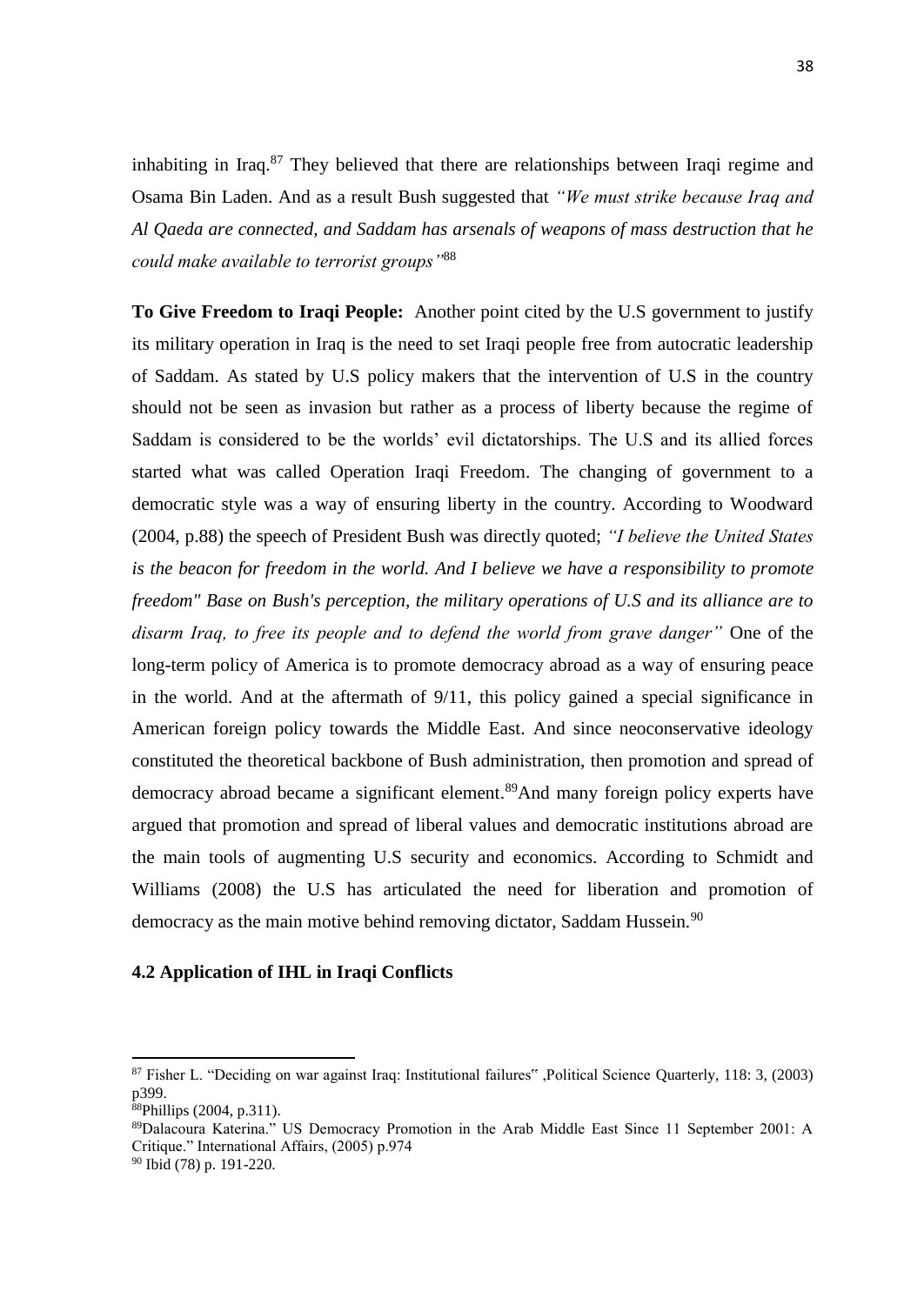inhabiting in Iraq. $87$  They believed that there are relationships between Iraqi regime and Osama Bin Laden. And as a result Bush suggested that *"We must strike because Iraq and Al Qaeda are connected, and Saddam has arsenals of weapons of mass destruction that he could make available to terrorist groups"*<sup>88</sup>

**To Give Freedom to Iraqi People:** Another point cited by the U.S government to justify its military operation in Iraq is the need to set Iraqi people free from autocratic leadership of Saddam. As stated by U.S policy makers that the intervention of U.S in the country should not be seen as invasion but rather as a process of liberty because the regime of Saddam is considered to be the worlds' evil dictatorships. The U.S and its allied forces started what was called Operation Iraqi Freedom. The changing of government to a democratic style was a way of ensuring liberty in the country. According to Woodward (2004, p.88) the speech of President Bush was directly quoted; *"I believe the United States is the beacon for freedom in the world. And I believe we have a responsibility to promote freedom" Base on Bush's perception, the military operations of U.S and its alliance are to disarm Iraq, to free its people and to defend the world from grave danger"* One of the long-term policy of America is to promote democracy abroad as a way of ensuring peace in the world. And at the aftermath of 9/11, this policy gained a special significance in American foreign policy towards the Middle East. And since neoconservative ideology constituted the theoretical backbone of Bush administration, then promotion and spread of democracy abroad became a significant element.<sup>89</sup>And many foreign policy experts have argued that promotion and spread of liberal values and democratic institutions abroad are the main tools of augmenting U.S security and economics. According to Schmidt and Williams (2008) the U.S has articulated the need for liberation and promotion of democracy as the main motive behind removing dictator, Saddam Hussein.<sup>90</sup>

### <span id="page-48-0"></span>**4.2 Application of IHL in Iraqi Conflicts**

**.** 

<sup>89</sup>Dalacoura Katerina." US Democracy Promotion in the Arab Middle East Since 11 September 2001: A Critique." International Affairs, (2005) p.974

<sup>90</sup> Ibid (78) p. 191-220.

<sup>87</sup> Fisher L. "Deciding on war against Iraq: Institutional failures" ,Political Science Quarterly, 118: 3, (2003) p399.

<sup>88</sup>Phillips (2004, p.311).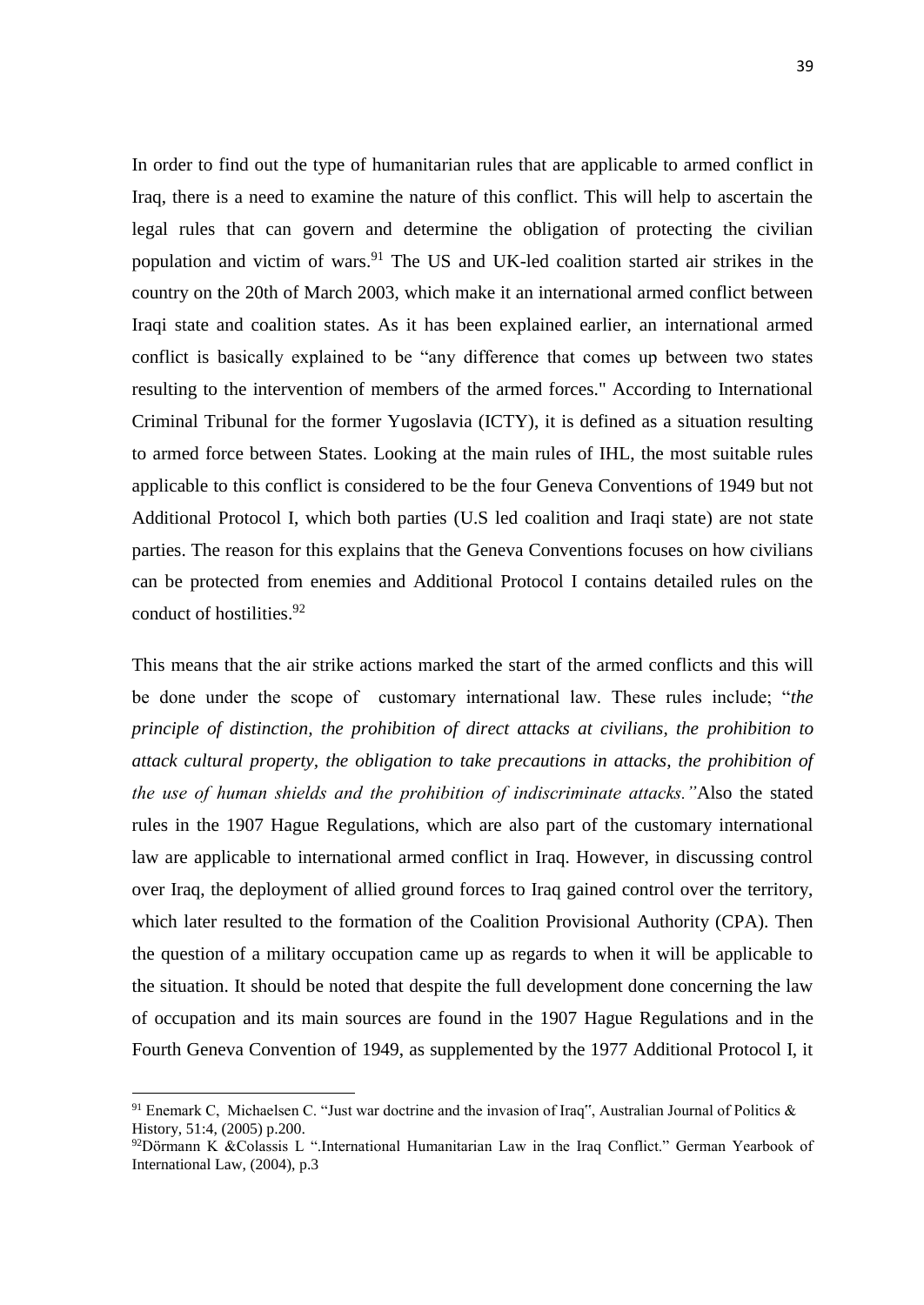In order to find out the type of humanitarian rules that are applicable to armed conflict in Iraq, there is a need to examine the nature of this conflict. This will help to ascertain the legal rules that can govern and determine the obligation of protecting the civilian population and victim of wars.<sup>91</sup> The US and UK-led coalition started air strikes in the country on the 20th of March 2003, which make it an international armed conflict between Iraqi state and coalition states. As it has been explained earlier, an international armed conflict is basically explained to be "any difference that comes up between two states resulting to the intervention of members of the armed forces." According to International Criminal Tribunal for the former Yugoslavia (ICTY), it is defined as a situation resulting to armed force between States. Looking at the main rules of IHL, the most suitable rules applicable to this conflict is considered to be the four Geneva Conventions of 1949 but not Additional Protocol I, which both parties (U.S led coalition and Iraqi state) are not state parties. The reason for this explains that the Geneva Conventions focuses on how civilians can be protected from enemies and Additional Protocol I contains detailed rules on the conduct of hostilities.<sup>92</sup>

This means that the air strike actions marked the start of the armed conflicts and this will be done under the scope of customary international law. These rules include; "*the principle of distinction, the prohibition of direct attacks at civilians, the prohibition to attack cultural property, the obligation to take precautions in attacks, the prohibition of the use of human shields and the prohibition of indiscriminate attacks."*Also the stated rules in the 1907 Hague Regulations, which are also part of the customary international law are applicable to international armed conflict in Iraq. However, in discussing control over Iraq, the deployment of allied ground forces to Iraq gained control over the territory, which later resulted to the formation of the Coalition Provisional Authority (CPA). Then the question of a military occupation came up as regards to when it will be applicable to the situation. It should be noted that despite the full development done concerning the law of occupation and its main sources are found in the 1907 Hague Regulations and in the Fourth Geneva Convention of 1949, as supplemented by the 1977 Additional Protocol I, it

<sup>&</sup>lt;sup>91</sup> Enemark C, Michaelsen C. "Just war doctrine and the invasion of Iraq", Australian Journal of Politics & History, 51:4, (2005) p.200.

 $92$ Dörmann K &Colassis L ".International Humanitarian Law in the Iraq Conflict." German Yearbook of International Law, (2004), p.3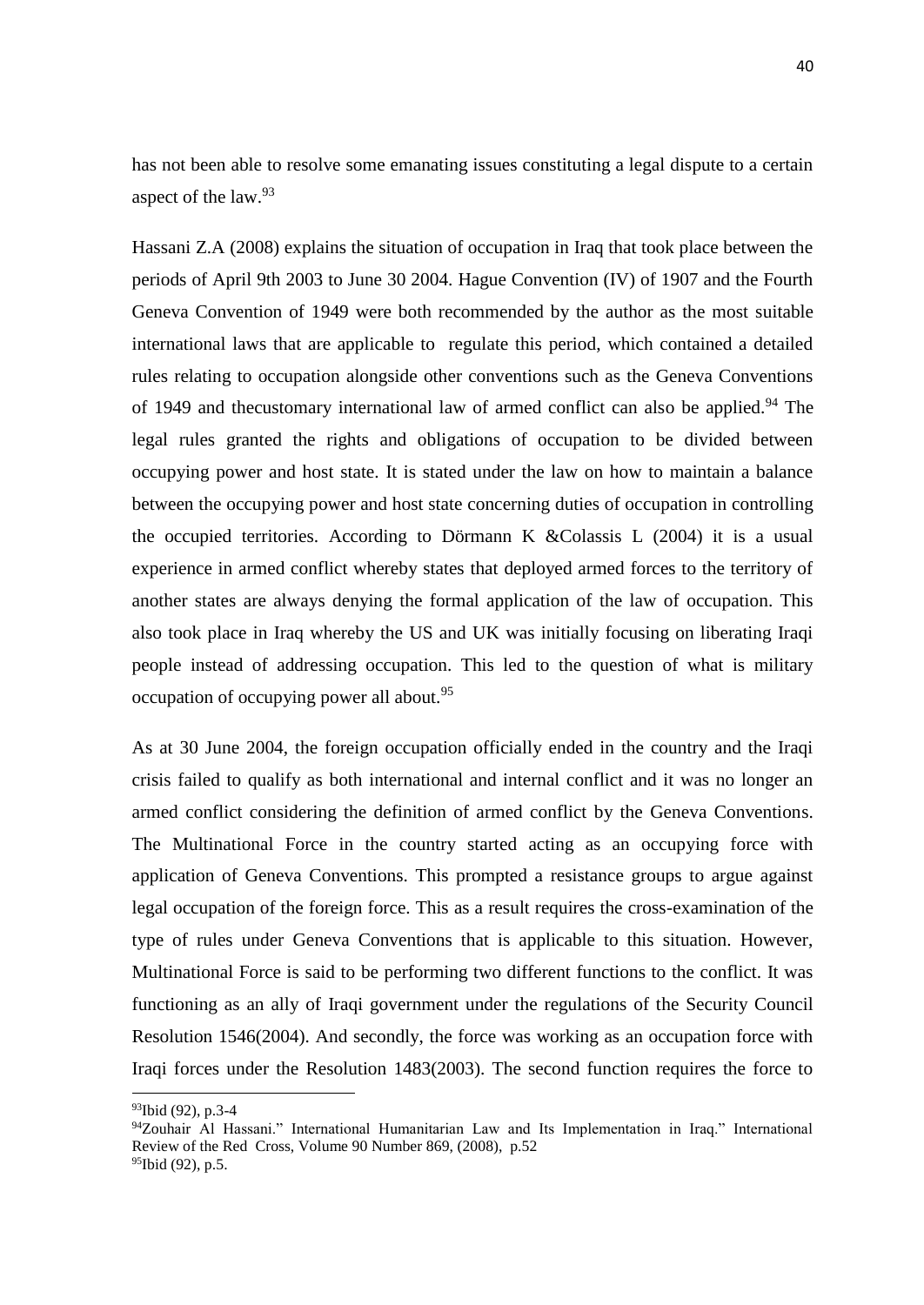has not been able to resolve some emanating issues constituting a legal dispute to a certain aspect of the law.<sup>93</sup>

Hassani Z.A (2008) explains the situation of occupation in Iraq that took place between the periods of April 9th 2003 to June 30 2004. Hague Convention (IV) of 1907 and the Fourth Geneva Convention of 1949 were both recommended by the author as the most suitable international laws that are applicable to regulate this period, which contained a detailed rules relating to occupation alongside other conventions such as the Geneva Conventions of 1949 and thecustomary international law of armed conflict can also be applied.<sup>94</sup> The legal rules granted the rights and obligations of occupation to be divided between occupying power and host state. It is stated under the law on how to maintain a balance between the occupying power and host state concerning duties of occupation in controlling the occupied territories. According to Dörmann K &Colassis L (2004) it is a usual experience in armed conflict whereby states that deployed armed forces to the territory of another states are always denying the formal application of the law of occupation. This also took place in Iraq whereby the US and UK was initially focusing on liberating Iraqi people instead of addressing occupation. This led to the question of what is military occupation of occupying power all about.<sup>95</sup>

As at 30 June 2004, the foreign occupation officially ended in the country and the Iraqi crisis failed to qualify as both international and internal conflict and it was no longer an armed conflict considering the definition of armed conflict by the Geneva Conventions. The Multinational Force in the country started acting as an occupying force with application of Geneva Conventions. This prompted a resistance groups to argue against legal occupation of the foreign force. This as a result requires the cross-examination of the type of rules under Geneva Conventions that is applicable to this situation. However, Multinational Force is said to be performing two different functions to the conflict. It was functioning as an ally of Iraqi government under the regulations of the Security Council Resolution 1546(2004). And secondly, the force was working as an occupation force with Iraqi forces under the Resolution 1483(2003). The second function requires the force to

<sup>93</sup>Ibid (92), p.3-4

<sup>94</sup>Zouhair Al Hassani." International Humanitarian Law and Its Implementation in Iraq." International Review of the Red Cross, Volume 90 Number 869, (2008), p.52  $95$ Ibid (92), p.5.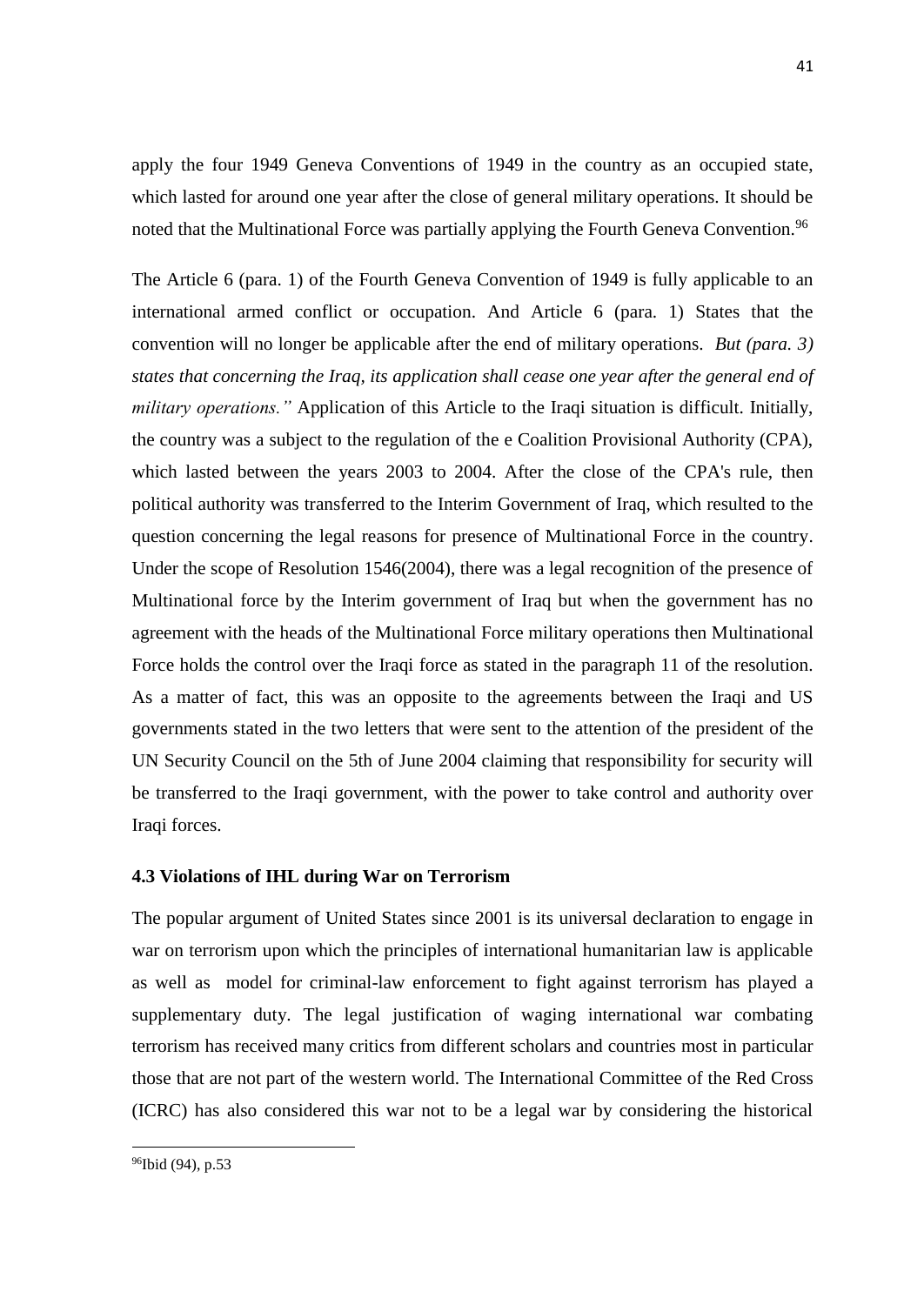apply the four 1949 Geneva Conventions of 1949 in the country as an occupied state, which lasted for around one year after the close of general military operations. It should be noted that the Multinational Force was partially applying the Fourth Geneva Convention.<sup>96</sup>

The Article 6 (para. 1) of the Fourth Geneva Convention of 1949 is fully applicable to an international armed conflict or occupation. And Article 6 (para. 1) States that the convention will no longer be applicable after the end of military operations. *But (para. 3) states that concerning the Iraq, its application shall cease one year after the general end of military operations."* Application of this Article to the Iraqi situation is difficult. Initially, the country was a subject to the regulation of the e Coalition Provisional Authority (CPA), which lasted between the years 2003 to 2004. After the close of the CPA's rule, then political authority was transferred to the Interim Government of Iraq, which resulted to the question concerning the legal reasons for presence of Multinational Force in the country. Under the scope of Resolution 1546(2004), there was a legal recognition of the presence of Multinational force by the Interim government of Iraq but when the government has no agreement with the heads of the Multinational Force military operations then Multinational Force holds the control over the Iraqi force as stated in the paragraph 11 of the resolution. As a matter of fact, this was an opposite to the agreements between the Iraqi and US governments stated in the two letters that were sent to the attention of the president of the UN Security Council on the 5th of June 2004 claiming that responsibility for security will be transferred to the Iraqi government, with the power to take control and authority over Iraqi forces.

### <span id="page-51-0"></span>**4.3 Violations of IHL during War on Terrorism**

The popular argument of United States since 2001 is its universal declaration to engage in war on terrorism upon which the principles of international humanitarian law is applicable as well as model for criminal-law enforcement to fight against terrorism has played a supplementary duty. The legal justification of waging international war combating terrorism has received many critics from different scholars and countries most in particular those that are not part of the western world. The International Committee of the Red Cross (ICRC) has also considered this war not to be a legal war by considering the historical

<sup>&</sup>lt;sup>96</sup>Ibid (94), p.53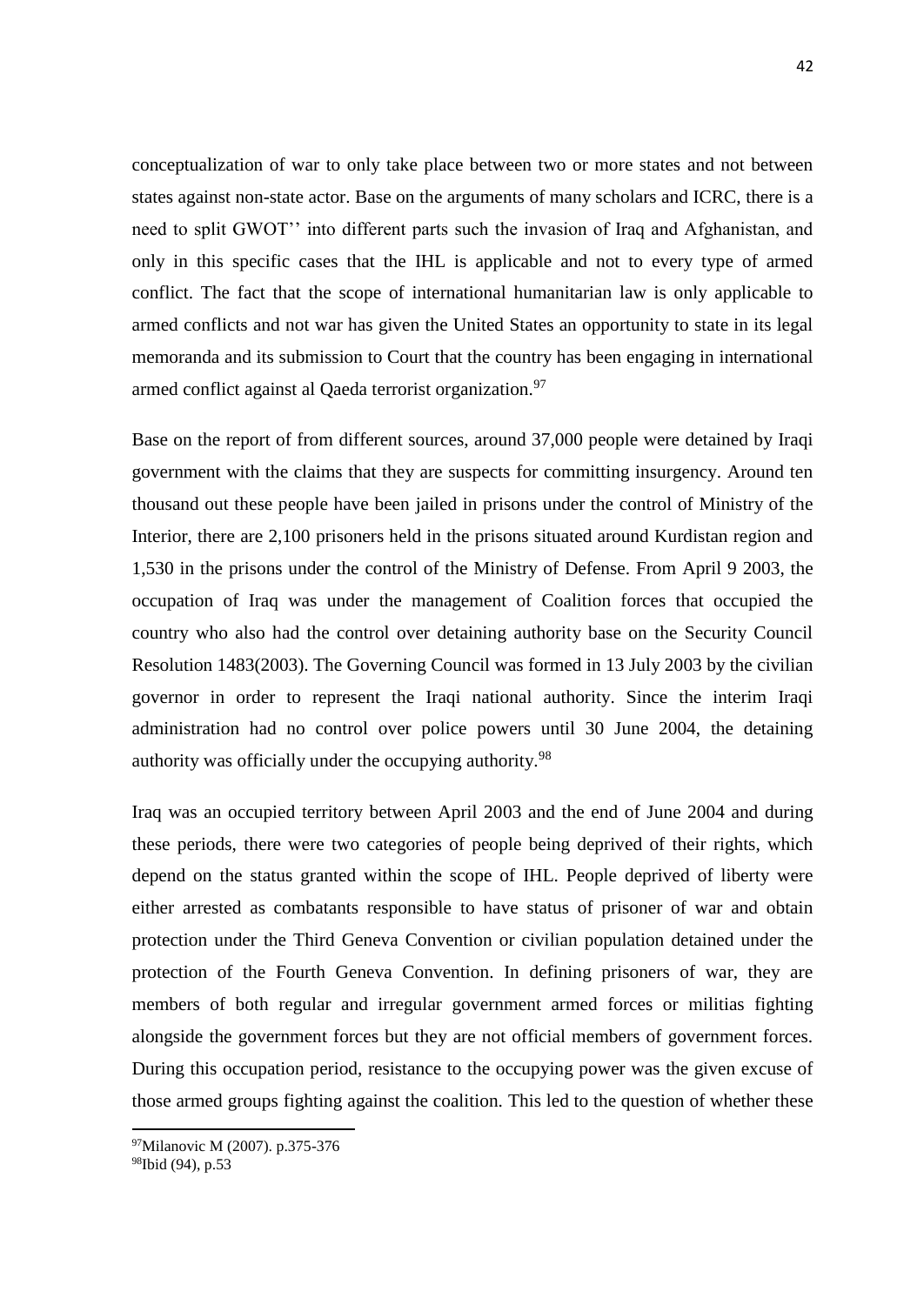conceptualization of war to only take place between two or more states and not between states against non-state actor. Base on the arguments of many scholars and ICRC, there is a need to split GWOT'' into different parts such the invasion of Iraq and Afghanistan, and only in this specific cases that the IHL is applicable and not to every type of armed conflict. The fact that the scope of international humanitarian law is only applicable to armed conflicts and not war has given the United States an opportunity to state in its legal memoranda and its submission to Court that the country has been engaging in international armed conflict against al Qaeda terrorist organization.<sup>97</sup>

Base on the report of from different sources, around 37,000 people were detained by Iraqi government with the claims that they are suspects for committing insurgency. Around ten thousand out these people have been jailed in prisons under the control of Ministry of the Interior, there are 2,100 prisoners held in the prisons situated around Kurdistan region and 1,530 in the prisons under the control of the Ministry of Defense. From April 9 2003, the occupation of Iraq was under the management of Coalition forces that occupied the country who also had the control over detaining authority base on the Security Council Resolution 1483(2003). The Governing Council was formed in 13 July 2003 by the civilian governor in order to represent the Iraqi national authority. Since the interim Iraqi administration had no control over police powers until 30 June 2004, the detaining authority was officially under the occupying authority.<sup>98</sup>

Iraq was an occupied territory between April 2003 and the end of June 2004 and during these periods, there were two categories of people being deprived of their rights, which depend on the status granted within the scope of IHL. People deprived of liberty were either arrested as combatants responsible to have status of prisoner of war and obtain protection under the Third Geneva Convention or civilian population detained under the protection of the Fourth Geneva Convention. In defining prisoners of war, they are members of both regular and irregular government armed forces or militias fighting alongside the government forces but they are not official members of government forces. During this occupation period, resistance to the occupying power was the given excuse of those armed groups fighting against the coalition. This led to the question of whether these

 $\overline{\phantom{a}}$ 

<sup>97</sup>Milanovic M (2007). p.375-376

<sup>&</sup>lt;sup>98</sup>Ibid (94), p.53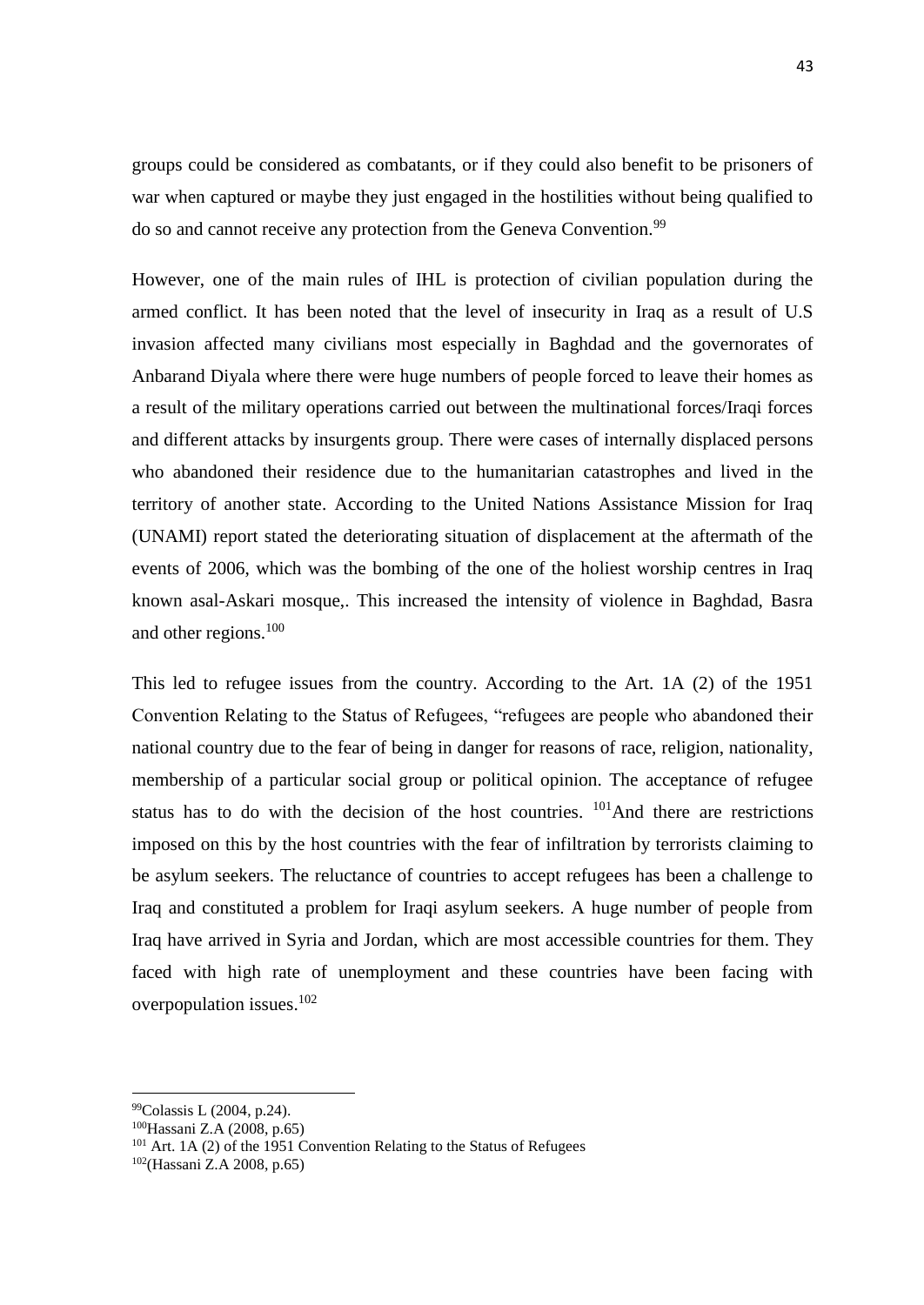groups could be considered as combatants, or if they could also benefit to be prisoners of war when captured or maybe they just engaged in the hostilities without being qualified to do so and cannot receive any protection from the Geneva Convention.<sup>99</sup>

However, one of the main rules of IHL is protection of civilian population during the armed conflict. It has been noted that the level of insecurity in Iraq as a result of U.S invasion affected many civilians most especially in Baghdad and the governorates of Anbarand Diyala where there were huge numbers of people forced to leave their homes as a result of the military operations carried out between the multinational forces/Iraqi forces and different attacks by insurgents group. There were cases of internally displaced persons who abandoned their residence due to the humanitarian catastrophes and lived in the territory of another state. According to the United Nations Assistance Mission for Iraq (UNAMI) report stated the deteriorating situation of displacement at the aftermath of the events of 2006, which was the bombing of the one of the holiest worship centres in Iraq known asal-Askari mosque,. This increased the intensity of violence in Baghdad, Basra and other regions.<sup>100</sup>

This led to refugee issues from the country. According to the Art. 1A (2) of the 1951 Convention Relating to the Status of Refugees, "refugees are people who abandoned their national country due to the fear of being in danger for reasons of race, religion, nationality, membership of a particular social group or political opinion. The acceptance of refugee status has to do with the decision of the host countries. <sup>101</sup>And there are restrictions imposed on this by the host countries with the fear of infiltration by terrorists claiming to be asylum seekers. The reluctance of countries to accept refugees has been a challenge to Iraq and constituted a problem for Iraqi asylum seekers. A huge number of people from Iraq have arrived in Syria and Jordan, which are most accessible countries for them. They faced with high rate of unemployment and these countries have been facing with overpopulation issues.<sup>102</sup>

<sup>99</sup>Colassis L (2004, p.24).

<sup>100</sup>Hassani Z.A (2008, p.65)

 $101$  Art. 1A (2) of the 1951 Convention Relating to the Status of Refugees

<sup>102</sup>(Hassani Z.A 2008, p.65)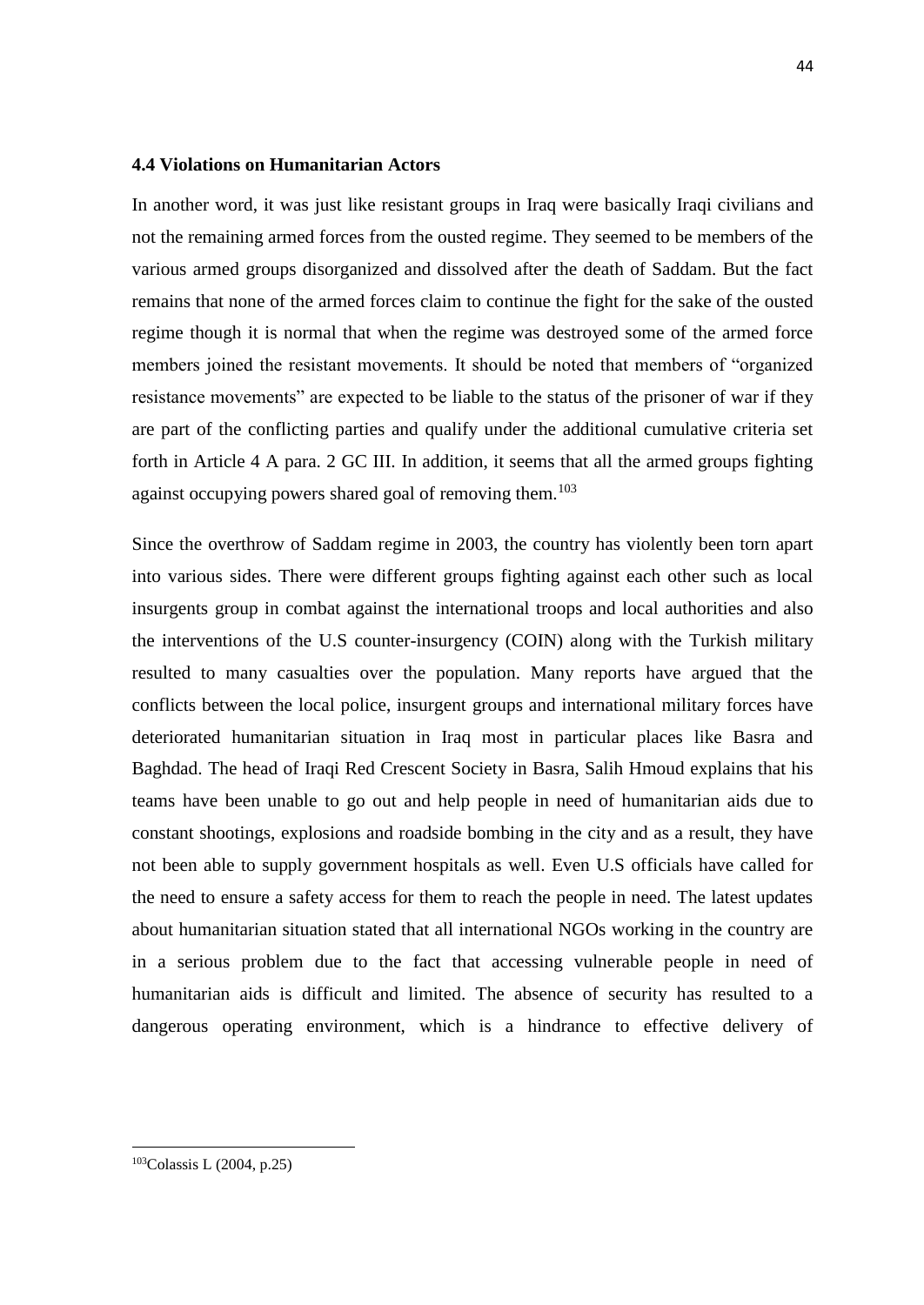#### <span id="page-54-0"></span>**4.4 Violations on Humanitarian Actors**

In another word, it was just like resistant groups in Iraq were basically Iraqi civilians and not the remaining armed forces from the ousted regime. They seemed to be members of the various armed groups disorganized and dissolved after the death of Saddam. But the fact remains that none of the armed forces claim to continue the fight for the sake of the ousted regime though it is normal that when the regime was destroyed some of the armed force members joined the resistant movements. It should be noted that members of "organized resistance movements" are expected to be liable to the status of the prisoner of war if they are part of the conflicting parties and qualify under the additional cumulative criteria set forth in Article 4 A para. 2 GC III. In addition, it seems that all the armed groups fighting against occupying powers shared goal of removing them.<sup>103</sup>

Since the overthrow of Saddam regime in 2003, the country has violently been torn apart into various sides. There were different groups fighting against each other such as local insurgents group in combat against the international troops and local authorities and also the interventions of the U.S counter-insurgency (COIN) along with the Turkish military resulted to many casualties over the population. Many reports have argued that the conflicts between the local police, insurgent groups and international military forces have deteriorated humanitarian situation in Iraq most in particular places like Basra and Baghdad. The head of Iraqi Red Crescent Society in Basra, Salih Hmoud explains that his teams have been unable to go out and help people in need of humanitarian aids due to constant shootings, explosions and roadside bombing in the city and as a result, they have not been able to supply government hospitals as well. Even U.S officials have called for the need to ensure a safety access for them to reach the people in need. The latest updates about humanitarian situation stated that all international NGOs working in the country are in a serious problem due to the fact that accessing vulnerable people in need of humanitarian aids is difficult and limited. The absence of security has resulted to a dangerous operating environment, which is a hindrance to effective delivery of

<sup>103</sup>Colassis L (2004, p.25)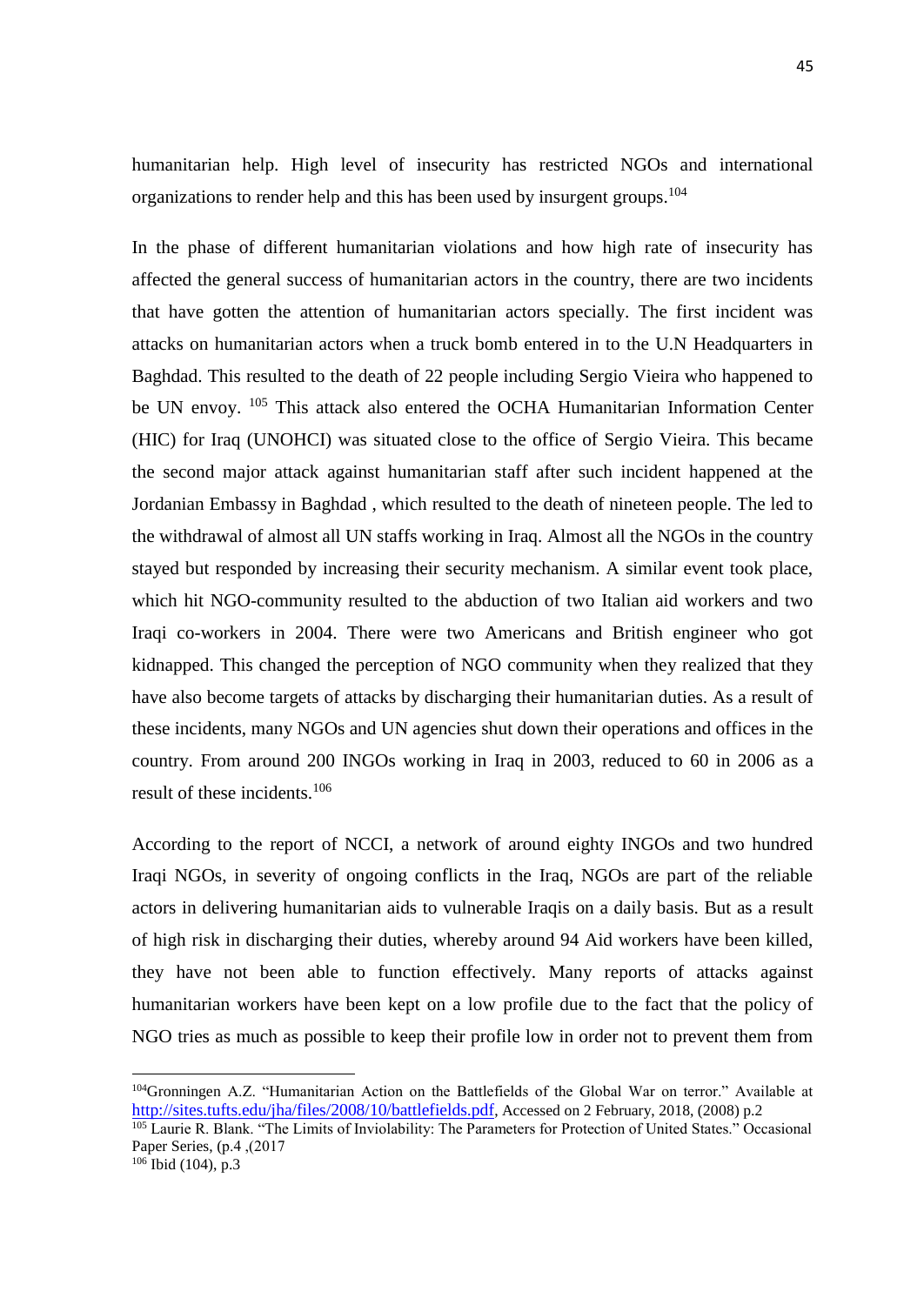humanitarian help. High level of insecurity has restricted NGOs and international organizations to render help and this has been used by insurgent groups.<sup>104</sup>

In the phase of different humanitarian violations and how high rate of insecurity has affected the general success of humanitarian actors in the country, there are two incidents that have gotten the attention of humanitarian actors specially. The first incident was attacks on humanitarian actors when a truck bomb entered in to the U.N Headquarters in Baghdad. This resulted to the death of 22 people including Sergio Vieira who happened to be UN envoy. <sup>105</sup> This attack also entered the OCHA Humanitarian Information Center (HIC) for Iraq (UNOHCI) was situated close to the office of Sergio Vieira. This became the second major attack against humanitarian staff after such incident happened at the Jordanian Embassy in Baghdad , which resulted to the death of nineteen people. The led to the withdrawal of almost all UN staffs working in Iraq. Almost all the NGOs in the country stayed but responded by increasing their security mechanism. A similar event took place, which hit NGO-community resulted to the abduction of two Italian aid workers and two Iraqi co-workers in 2004. There were two Americans and British engineer who got kidnapped. This changed the perception of NGO community when they realized that they have also become targets of attacks by discharging their humanitarian duties. As a result of these incidents, many NGOs and UN agencies shut down their operations and offices in the country. From around 200 INGOs working in Iraq in 2003, reduced to 60 in 2006 as a result of these incidents.<sup>106</sup>

According to the report of NCCI, a network of around eighty INGOs and two hundred Iraqi NGOs, in severity of ongoing conflicts in the Iraq, NGOs are part of the reliable actors in delivering humanitarian aids to vulnerable Iraqis on a daily basis. But as a result of high risk in discharging their duties, whereby around 94 Aid workers have been killed, they have not been able to function effectively. Many reports of attacks against humanitarian workers have been kept on a low profile due to the fact that the policy of NGO tries as much as possible to keep their profile low in order not to prevent them from

<sup>104</sup>Gronningen A.Z. "Humanitarian Action on the Battlefields of the Global War on terror." Available at <http://sites.tufts.edu/jha/files/2008/10/battlefields.pdf>, Accessed on 2 February, 2018, (2008) p.2

<sup>&</sup>lt;sup>105</sup> Laurie R. Blank. "The Limits of Inviolability: The Parameters for Protection of United States." Occasional Paper Series, (p.4 ,(2017

 $106$  Ibid (104), p.3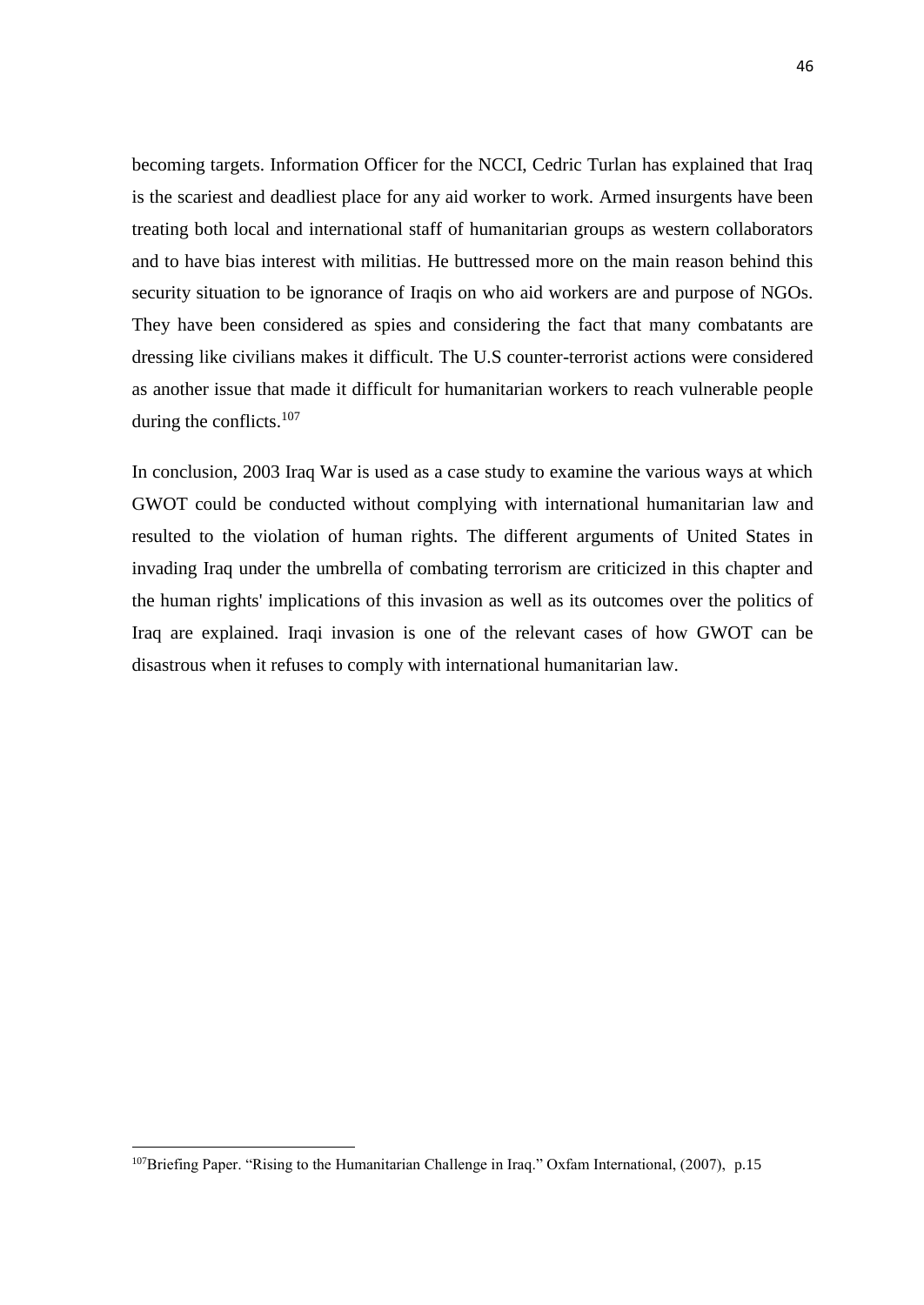becoming targets. Information Officer for the NCCI, Cedric Turlan has explained that Iraq is the scariest and deadliest place for any aid worker to work. Armed insurgents have been treating both local and international staff of humanitarian groups as western collaborators and to have bias interest with militias. He buttressed more on the main reason behind this security situation to be ignorance of Iraqis on who aid workers are and purpose of NGOs. They have been considered as spies and considering the fact that many combatants are dressing like civilians makes it difficult. The U.S counter-terrorist actions were considered as another issue that made it difficult for humanitarian workers to reach vulnerable people during the conflicts.<sup>107</sup>

In conclusion, 2003 Iraq War is used as a case study to examine the various ways at which GWOT could be conducted without complying with international humanitarian law and resulted to the violation of human rights. The different arguments of United States in invading Iraq under the umbrella of combating terrorism are criticized in this chapter and the human rights' implications of this invasion as well as its outcomes over the politics of Iraq are explained. Iraqi invasion is one of the relevant cases of how GWOT can be disastrous when it refuses to comply with international humanitarian law.

<sup>&</sup>lt;sup>107</sup>Briefing Paper. "Rising to the Humanitarian Challenge in Iraq." Oxfam International, (2007), p.15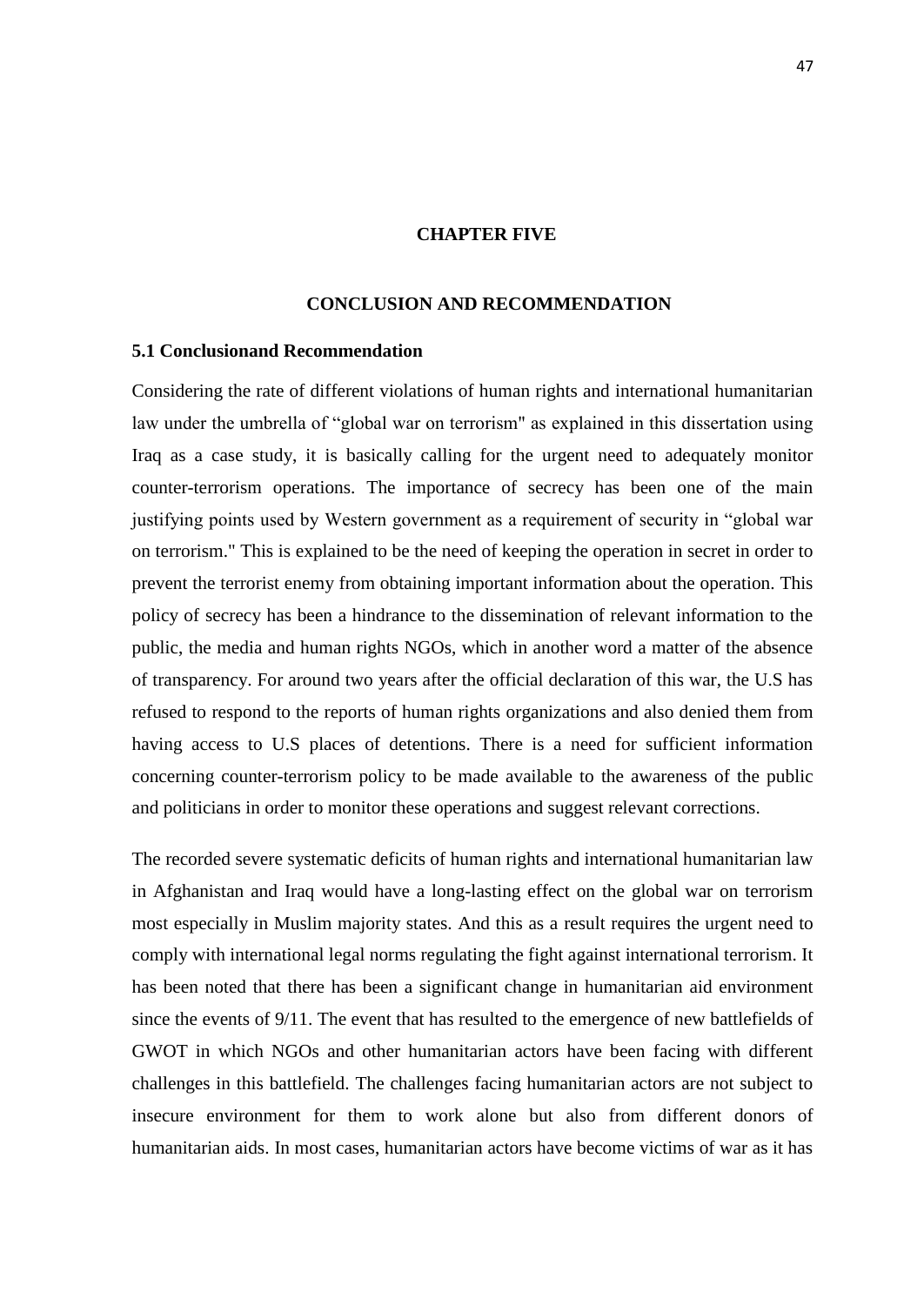### **CHAPTER FIVE**

### **CONCLUSION AND RECOMMENDATION**

#### <span id="page-57-1"></span><span id="page-57-0"></span>**5.1 Conclusionand Recommendation**

Considering the rate of different violations of human rights and international humanitarian law under the umbrella of "global war on terrorism" as explained in this dissertation using Iraq as a case study, it is basically calling for the urgent need to adequately monitor counter-terrorism operations. The importance of secrecy has been one of the main justifying points used by Western government as a requirement of security in "global war on terrorism." This is explained to be the need of keeping the operation in secret in order to prevent the terrorist enemy from obtaining important information about the operation. This policy of secrecy has been a hindrance to the dissemination of relevant information to the public, the media and human rights NGOs, which in another word a matter of the absence of transparency. For around two years after the official declaration of this war, the U.S has refused to respond to the reports of human rights organizations and also denied them from having access to U.S places of detentions. There is a need for sufficient information concerning counter-terrorism policy to be made available to the awareness of the public and politicians in order to monitor these operations and suggest relevant corrections.

The recorded severe systematic deficits of human rights and international humanitarian law in Afghanistan and Iraq would have a long-lasting effect on the global war on terrorism most especially in Muslim majority states. And this as a result requires the urgent need to comply with international legal norms regulating the fight against international terrorism. It has been noted that there has been a significant change in humanitarian aid environment since the events of 9/11. The event that has resulted to the emergence of new battlefields of GWOT in which NGOs and other humanitarian actors have been facing with different challenges in this battlefield. The challenges facing humanitarian actors are not subject to insecure environment for them to work alone but also from different donors of humanitarian aids. In most cases, humanitarian actors have become victims of war as it has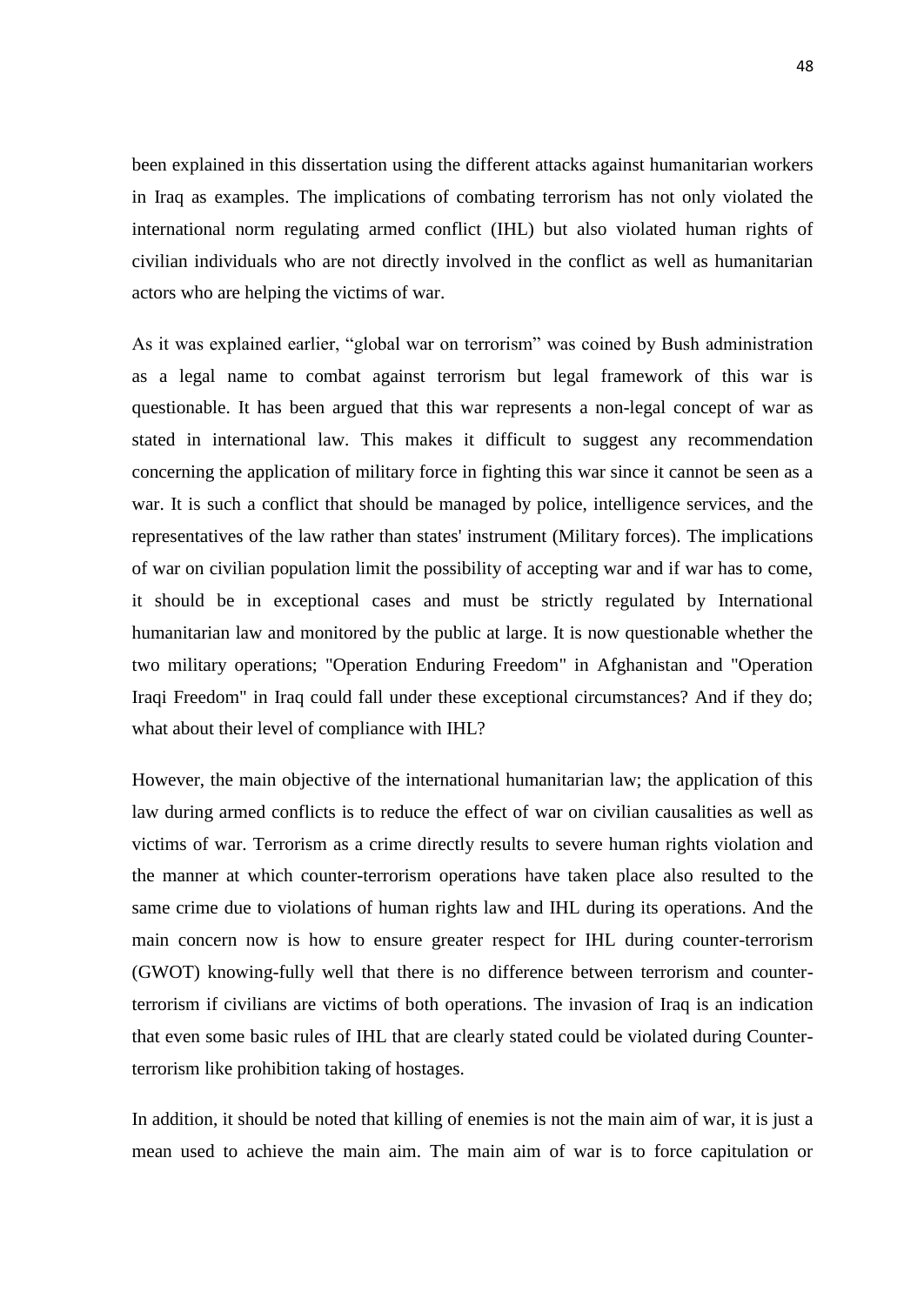been explained in this dissertation using the different attacks against humanitarian workers in Iraq as examples. The implications of combating terrorism has not only violated the international norm regulating armed conflict (IHL) but also violated human rights of civilian individuals who are not directly involved in the conflict as well as humanitarian actors who are helping the victims of war.

As it was explained earlier, "global war on terrorism" was coined by Bush administration as a legal name to combat against terrorism but legal framework of this war is questionable. It has been argued that this war represents a non-legal concept of war as stated in international law. This makes it difficult to suggest any recommendation concerning the application of military force in fighting this war since it cannot be seen as a war. It is such a conflict that should be managed by police, intelligence services, and the representatives of the law rather than states' instrument (Military forces). The implications of war on civilian population limit the possibility of accepting war and if war has to come, it should be in exceptional cases and must be strictly regulated by International humanitarian law and monitored by the public at large. It is now questionable whether the two military operations; "Operation Enduring Freedom" in Afghanistan and "Operation Iraqi Freedom" in Iraq could fall under these exceptional circumstances? And if they do; what about their level of compliance with IHL?

However, the main objective of the international humanitarian law; the application of this law during armed conflicts is to reduce the effect of war on civilian causalities as well as victims of war. Terrorism as a crime directly results to severe human rights violation and the manner at which counter-terrorism operations have taken place also resulted to the same crime due to violations of human rights law and IHL during its operations. And the main concern now is how to ensure greater respect for IHL during counter-terrorism (GWOT) knowing-fully well that there is no difference between terrorism and counterterrorism if civilians are victims of both operations. The invasion of Iraq is an indication that even some basic rules of IHL that are clearly stated could be violated during Counterterrorism like prohibition taking of hostages.

In addition, it should be noted that killing of enemies is not the main aim of war, it is just a mean used to achieve the main aim. The main aim of war is to force capitulation or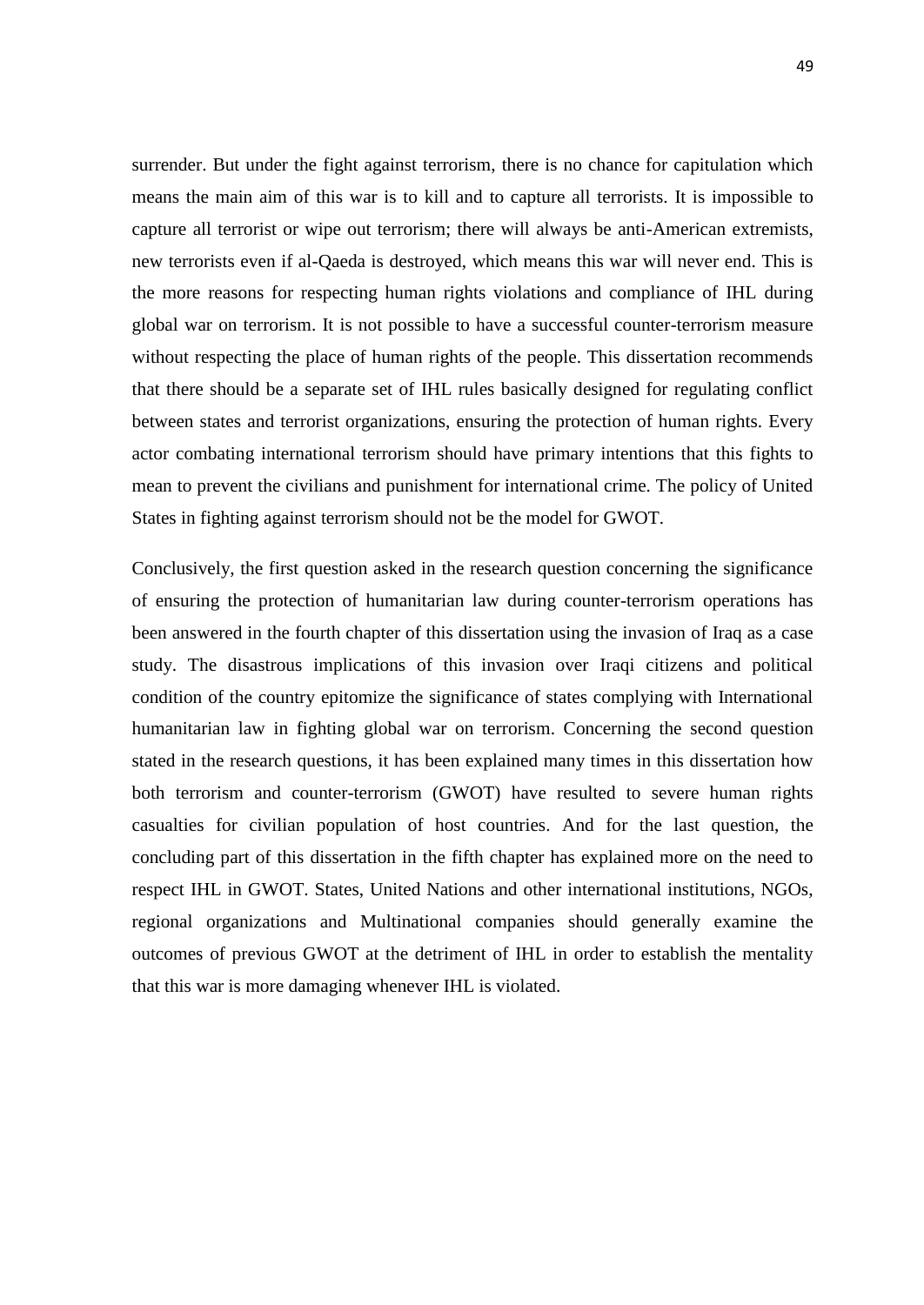surrender. But under the fight against terrorism, there is no chance for capitulation which means the main aim of this war is to kill and to capture all terrorists. It is impossible to capture all terrorist or wipe out terrorism; there will always be anti-American extremists, new terrorists even if al-Qaeda is destroyed, which means this war will never end. This is the more reasons for respecting human rights violations and compliance of IHL during global war on terrorism. It is not possible to have a successful counter-terrorism measure without respecting the place of human rights of the people. This dissertation recommends that there should be a separate set of IHL rules basically designed for regulating conflict between states and terrorist organizations, ensuring the protection of human rights. Every actor combating international terrorism should have primary intentions that this fights to mean to prevent the civilians and punishment for international crime. The policy of United States in fighting against terrorism should not be the model for GWOT.

Conclusively, the first question asked in the research question concerning the significance of ensuring the protection of humanitarian law during counter-terrorism operations has been answered in the fourth chapter of this dissertation using the invasion of Iraq as a case study. The disastrous implications of this invasion over Iraqi citizens and political condition of the country epitomize the significance of states complying with International humanitarian law in fighting global war on terrorism. Concerning the second question stated in the research questions, it has been explained many times in this dissertation how both terrorism and counter-terrorism (GWOT) have resulted to severe human rights casualties for civilian population of host countries. And for the last question, the concluding part of this dissertation in the fifth chapter has explained more on the need to respect IHL in GWOT. States, United Nations and other international institutions, NGOs, regional organizations and Multinational companies should generally examine the outcomes of previous GWOT at the detriment of IHL in order to establish the mentality that this war is more damaging whenever IHL is violated.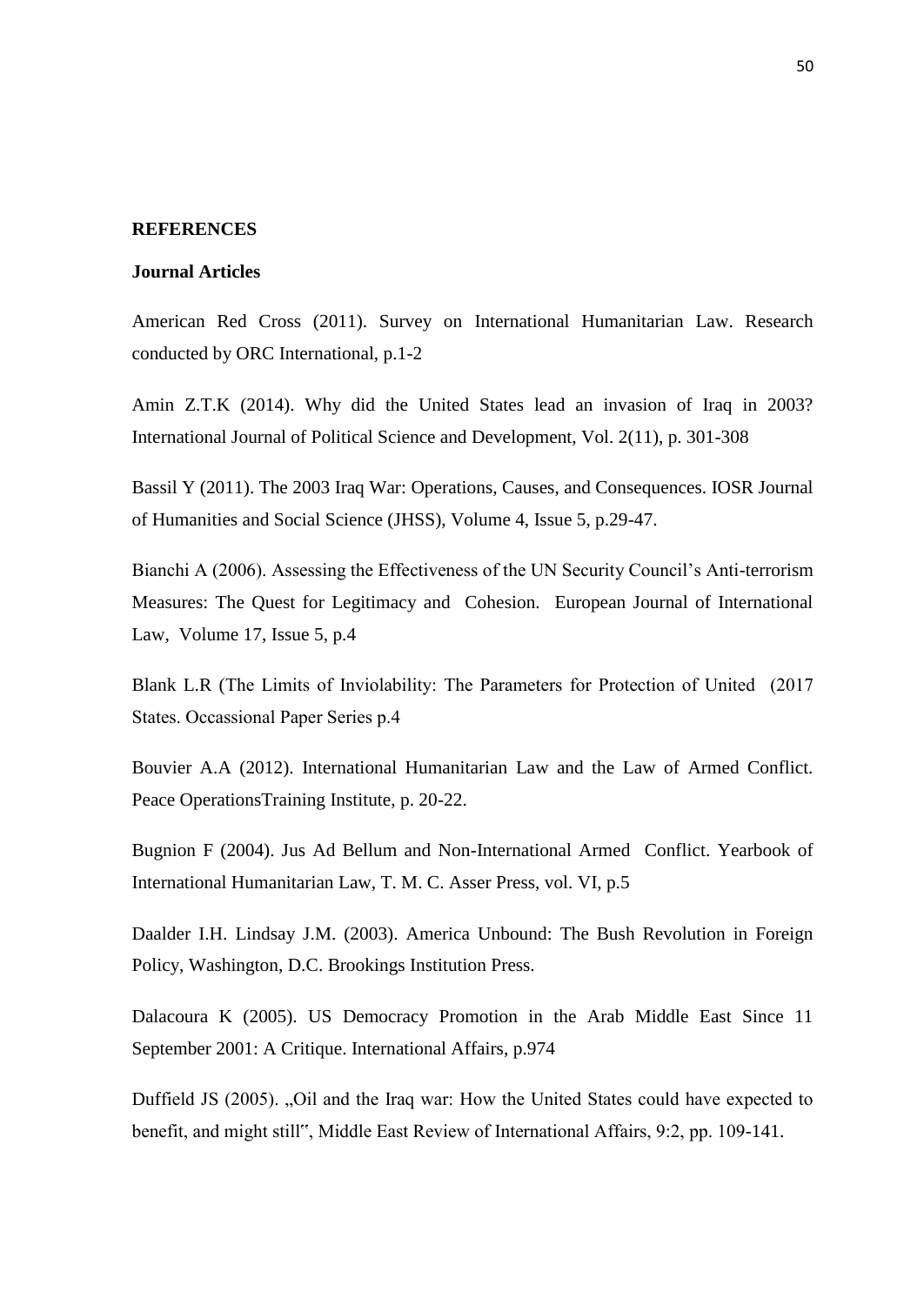#### **REFERENCES**

#### **Journal Articles**

American Red Cross (2011). Survey on International Humanitarian Law. Research conducted by ORC International, p.1-2

Amin Z.T.K (2014). Why did the United States lead an invasion of Iraq in 2003? International Journal of Political Science and Development, Vol. 2(11), p. 301-308

Bassil Y (2011). The 2003 Iraq War: Operations, Causes, and Consequences. IOSR Journal of Humanities and Social Science (JHSS), Volume 4, Issue 5, p.29-47.

Bianchi A (2006). Assessing the Effectiveness of the UN Security Council's Anti-terrorism Measures: The Quest for Legitimacy and Cohesion. European Journal of International Law, Volume 17, Issue 5, p.4

Blank L.R (The Limits of Inviolability: The Parameters for Protection of United (2017 States. Occassional Paper Series p.4

Bouvier A.A (2012). International Humanitarian Law and the Law of Armed Conflict. Peace OperationsTraining Institute, p. 20-22.

Bugnion F (2004). Jus Ad Bellum and Non-International Armed Conflict. Yearbook of International Humanitarian Law, T. M. C. Asser Press, vol. VI, p.5

Daalder I.H. Lindsay J.M. (2003). America Unbound: The Bush Revolution in Foreign Policy, Washington, D.C. Brookings Institution Press.

Dalacoura K (2005). US Democracy Promotion in the Arab Middle East Since 11 September 2001: A Critique. International Affairs, p.974

Duffield JS (2005). "Oil and the Iraq war: How the United States could have expected to benefit, and might still", Middle East Review of International Affairs, 9:2, pp. 109-141.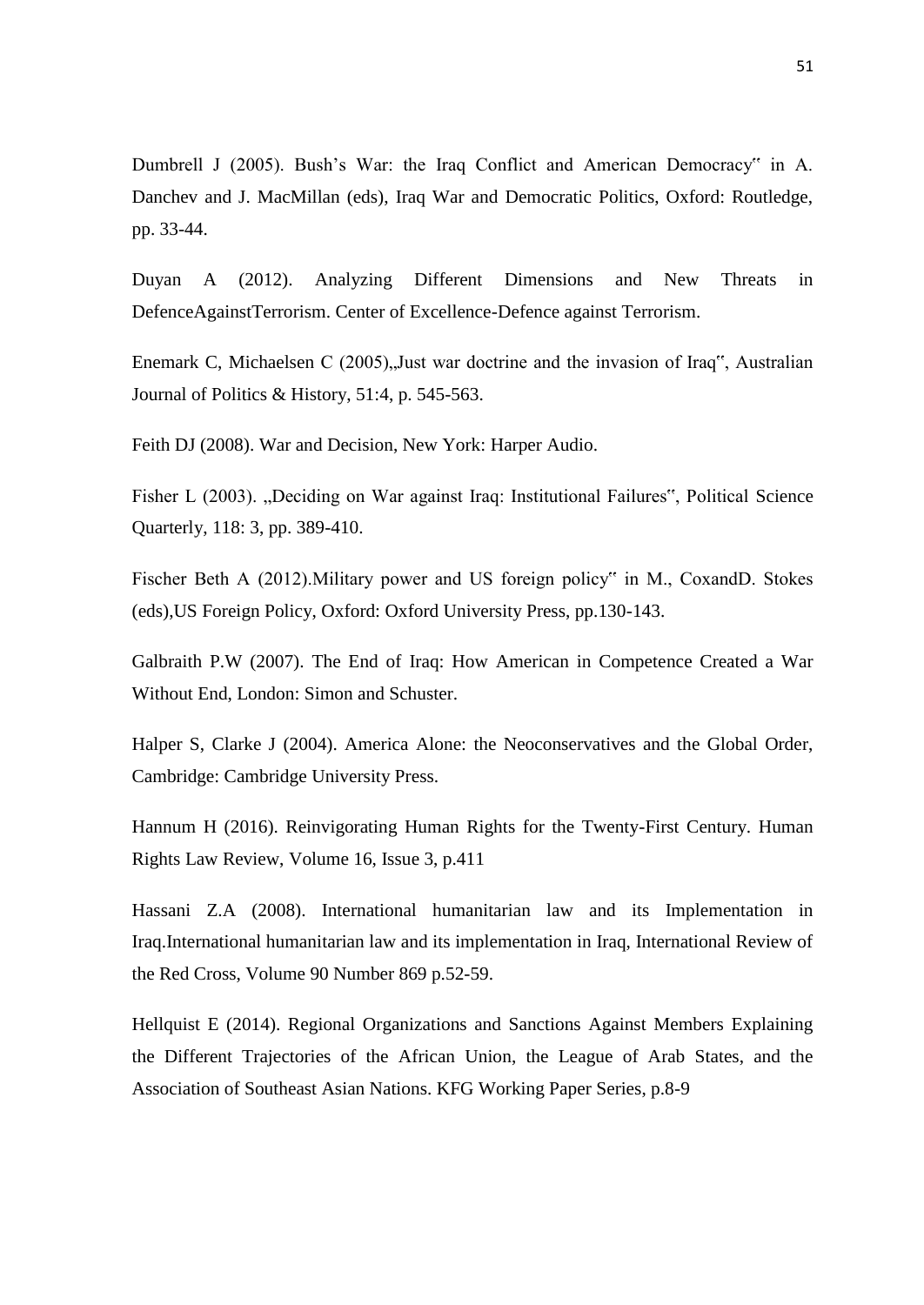Dumbrell J (2005). Bush's War: the Iraq Conflict and American Democracy" in A. Danchev and J. MacMillan (eds), Iraq War and Democratic Politics, Oxford: Routledge, pp. 33-44.

Duyan A (2012). Analyzing Different Dimensions and New Threats in DefenceAgainstTerrorism. Center of Excellence-Defence against Terrorism.

Enemark C, Michaelsen C  $(2005)$ , Just war doctrine and the invasion of Iraq", Australian Journal of Politics & History, 51:4, p. 545-563.

Feith DJ (2008). War and Decision, New York: Harper Audio.

Fisher L (2003). "Deciding on War against Iraq: Institutional Failures", Political Science Quarterly, 118: 3, pp. 389-410.

Fischer Beth A (2012).Military power and US foreign policy" in M., CoxandD. Stokes (eds),US Foreign Policy, Oxford: Oxford University Press, pp.130-143.

Galbraith P.W (2007). The End of Iraq: How American in Competence Created a War Without End, London: Simon and Schuster.

Halper S, Clarke J (2004). America Alone: the Neoconservatives and the Global Order, Cambridge: Cambridge University Press.

Hannum H (2016). Reinvigorating Human Rights for the Twenty-First Century. Human Rights Law Review, Volume 16, Issue 3, p.411

Hassani Z.A (2008). International humanitarian law and its Implementation in Iraq.International humanitarian law and its implementation in Iraq, International Review of the Red Cross, Volume 90 Number 869 p.52-59.

Hellquist E (2014). Regional Organizations and Sanctions Against Members Explaining the Different Trajectories of the African Union, the League of Arab States, and the Association of Southeast Asian Nations. KFG Working Paper Series, p.8-9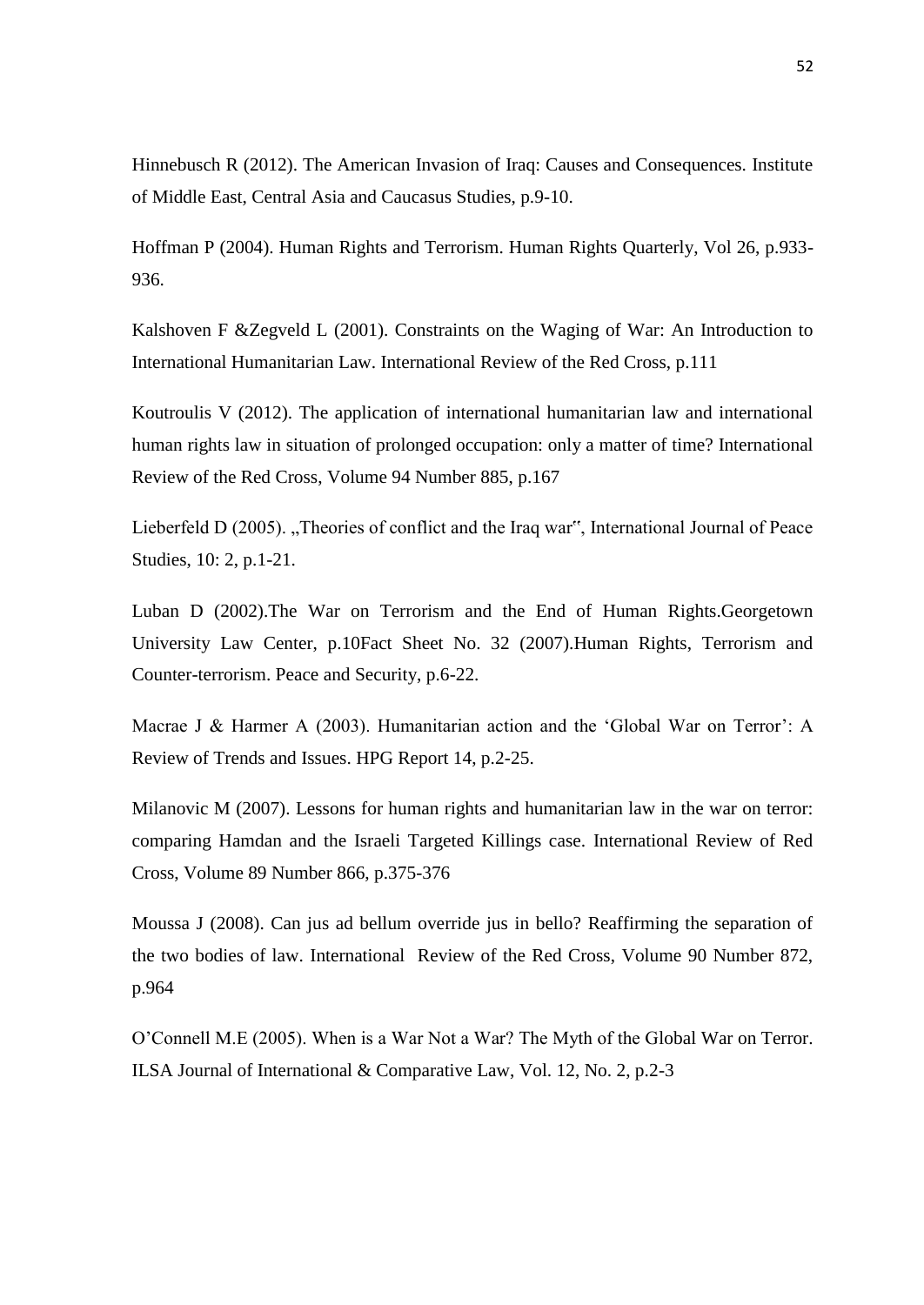Hinnebusch R (2012). The American Invasion of Iraq: Causes and Consequences. Institute of Middle East, Central Asia and Caucasus Studies, p.9-10.

Hoffman P (2004). Human Rights and Terrorism. Human Rights Quarterly, Vol 26, p.933- 936.

Kalshoven F &Zegveld L (2001). Constraints on the Waging of War: An Introduction to International Humanitarian Law. International Review of the Red Cross, p.111

Koutroulis V (2012). The application of international humanitarian law and international human rights law in situation of prolonged occupation: only a matter of time? International Review of the Red Cross, Volume 94 Number 885, p.167

Lieberfeld D (2005). "Theories of conflict and the Iraq war", International Journal of Peace Studies, 10: 2, p.1-21.

Luban D (2002).The War on Terrorism and the End of Human Rights.Georgetown University Law Center, p.10Fact Sheet No. 32 (2007).Human Rights, Terrorism and Counter-terrorism. Peace and Security, p.6-22.

Macrae J & Harmer A (2003). Humanitarian action and the 'Global War on Terror': A Review of Trends and Issues. HPG Report 14, p.2-25.

Milanovic M (2007). Lessons for human rights and humanitarian law in the war on terror: comparing Hamdan and the Israeli Targeted Killings case. International Review of Red Cross, Volume 89 Number 866, p.375-376

Moussa J (2008). Can jus ad bellum override jus in bello? Reaffirming the separation of the two bodies of law. International Review of the Red Cross, Volume 90 Number 872, p.964

O'Connell M.E (2005). When is a War Not a War? The Myth of the Global War on Terror. ILSA Journal of International & Comparative Law, Vol. 12, No. 2, p.2-3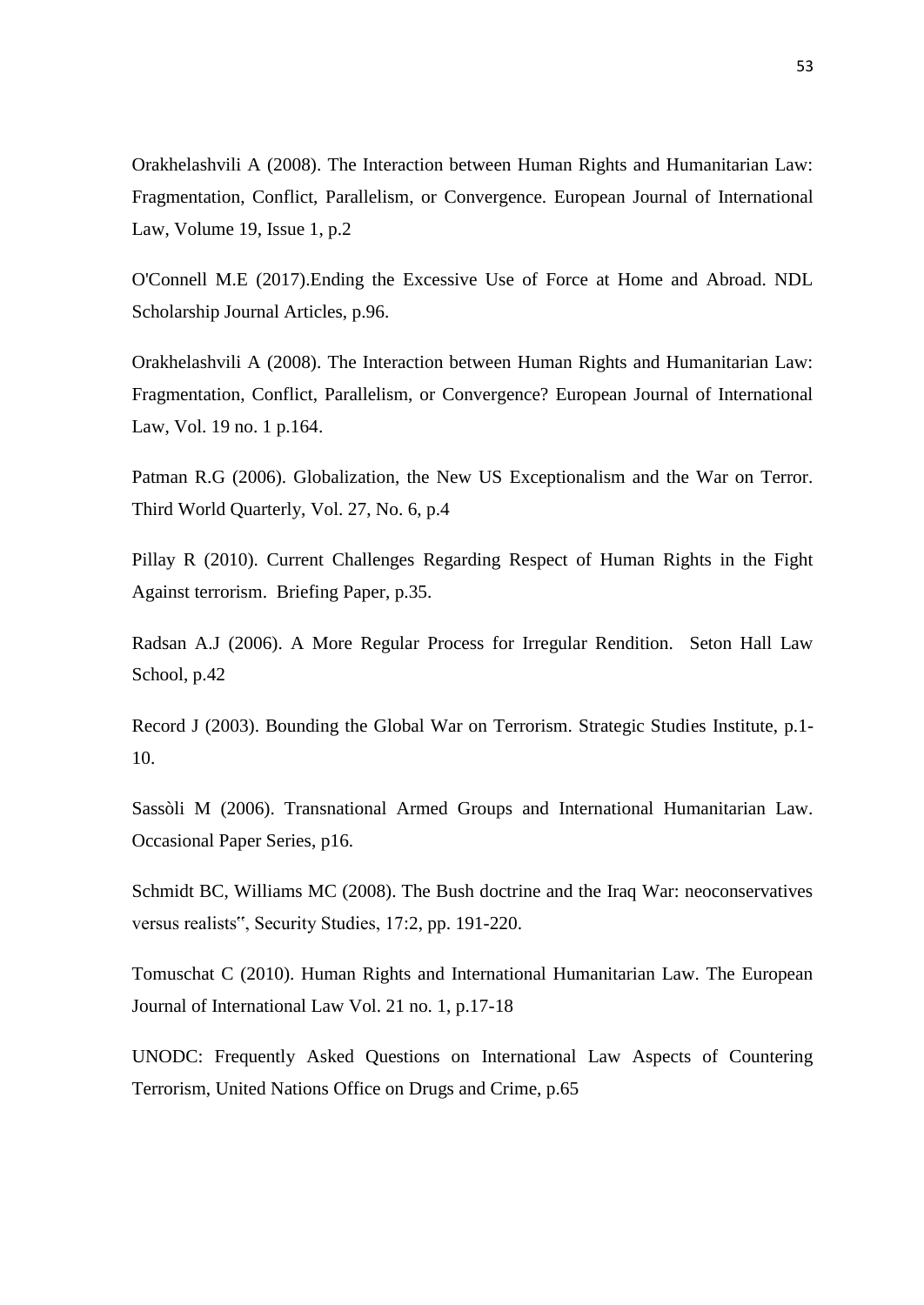Orakhelashvili A (2008). The Interaction between Human Rights and Humanitarian Law: Fragmentation, Conflict, Parallelism, or Convergence. European Journal of International Law, Volume 19, Issue 1, p.2

O'Connell M.E (2017).Ending the Excessive Use of Force at Home and Abroad. NDL Scholarship Journal Articles, p.96.

Orakhelashvili A (2008). The Interaction between Human Rights and Humanitarian Law: Fragmentation, Conflict, Parallelism, or Convergence? European Journal of International Law, Vol. 19 no. 1 p.164.

Patman R.G (2006). Globalization, the New US Exceptionalism and the War on Terror. Third World Quarterly, Vol. 27, No. 6, p.4

Pillay R (2010). Current Challenges Regarding Respect of Human Rights in the Fight Against terrorism. Briefing Paper, p.35.

Radsan A.J (2006). A More Regular Process for Irregular Rendition. Seton Hall Law School, p.42

Record J (2003). Bounding the Global War on Terrorism. Strategic Studies Institute, p.1- 10.

Sassòli M (2006). Transnational Armed Groups and International Humanitarian Law. Occasional Paper Series, p16.

Schmidt BC, Williams MC (2008). The Bush doctrine and the Iraq War: neoconservatives versus realists", Security Studies, 17:2, pp. 191-220.

Tomuschat C (2010). Human Rights and International Humanitarian Law. The European Journal of International Law Vol. 21 no. 1, p.17-18

UNODC: Frequently Asked Questions on International Law Aspects of Countering Terrorism, United Nations Office on Drugs and Crime, p.65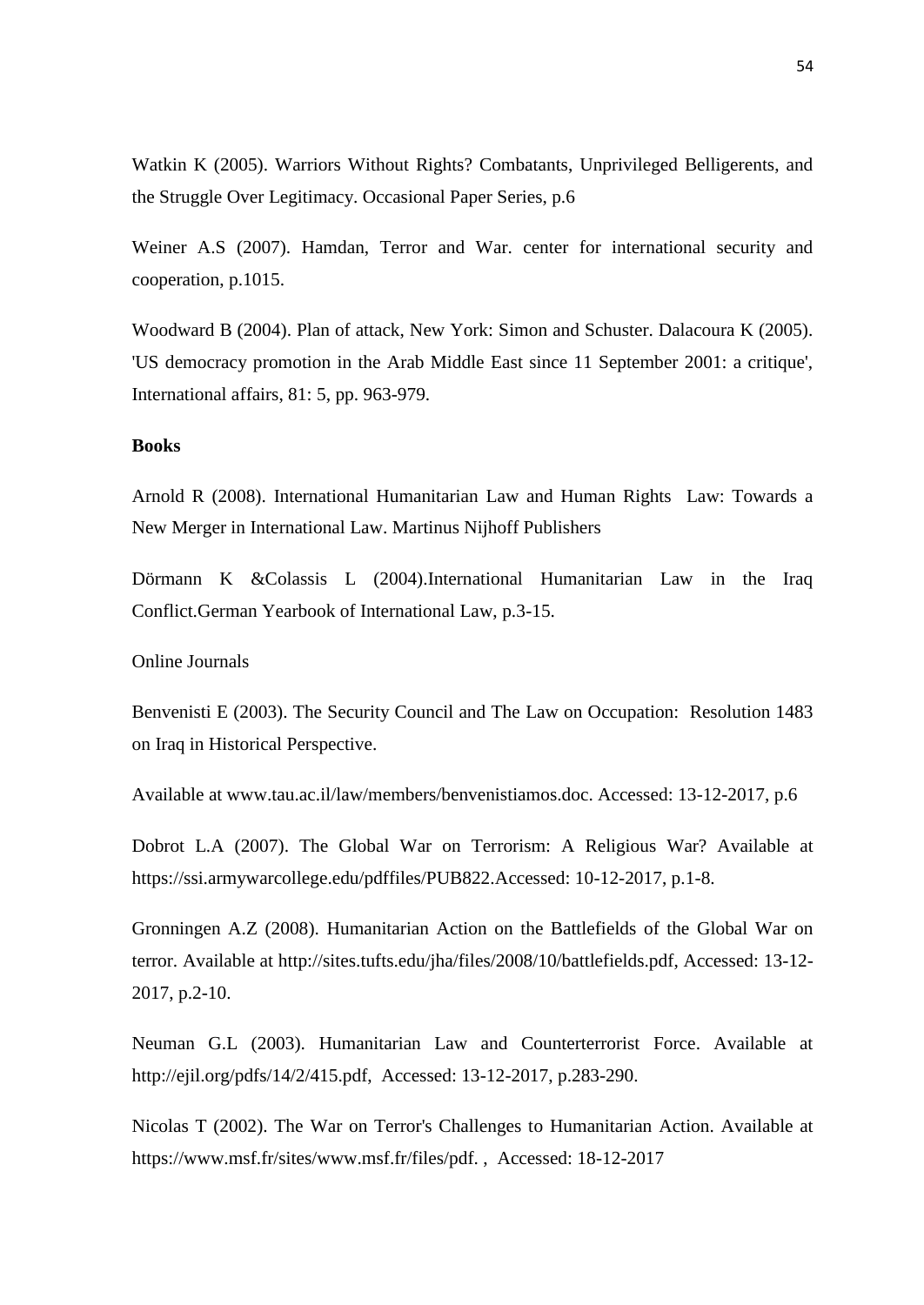Watkin K (2005). Warriors Without Rights? Combatants, Unprivileged Belligerents, and the Struggle Over Legitimacy. Occasional Paper Series, p.6

Weiner A.S (2007). Hamdan, Terror and War. center for international security and cooperation, p.1015.

Woodward B (2004). Plan of attack, New York: Simon and Schuster. Dalacoura K (2005). 'US democracy promotion in the Arab Middle East since 11 September 2001: a critique', International affairs, 81: 5, pp. 963-979.

### **Books**

Arnold R (2008). International Humanitarian Law and Human Rights Law: Towards a New Merger in International Law. Martinus Nijhoff Publishers

Dörmann K &Colassis L (2004).International Humanitarian Law in the Iraq Conflict.German Yearbook of International Law, p.3-15.

Online Journals

Benvenisti E (2003). The Security Council and The Law on Occupation: Resolution 1483 on Iraq in Historical Perspective.

Available at www.tau.ac.il/law/members/benvenistiamos.doc. Accessed: 13-12-2017, p.6

Dobrot L.A (2007). The Global War on Terrorism: A Religious War? Available at https://ssi.armywarcollege.edu/pdffiles/PUB822.Accessed: 10-12-2017, p.1-8.

Gronningen A.Z (2008). Humanitarian Action on the Battlefields of the Global War on terror. Available at http://sites.tufts.edu/jha/files/2008/10/battlefields.pdf, Accessed: 13-12- 2017, p.2-10.

Neuman G.L (2003). Humanitarian Law and Counterterrorist Force. Available at http://ejil.org/pdfs/14/2/415.pdf, Accessed: 13-12-2017, p.283-290.

Nicolas T (2002). The War on Terror's Challenges to Humanitarian Action. Available at https://www.msf.fr/sites/www.msf.fr/files/pdf. , Accessed: 18-12-2017